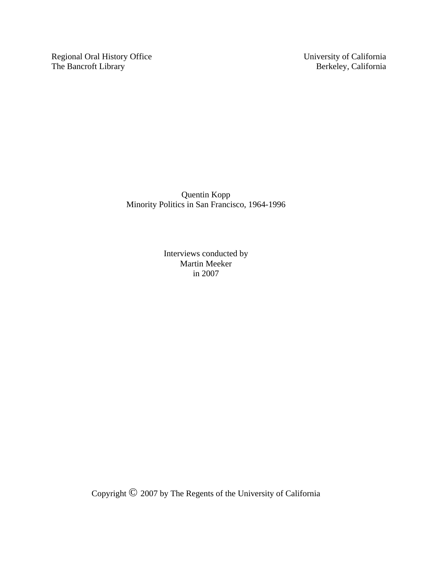Regional Oral History Office University of California<br>The Bancroft Library Berkeley, California The Bancroft Library

Quentin Kopp Minority Politics in San Francisco, 1964-1996

> Interviews conducted by Martin Meeker in 2007

Copyright © 2007 by The Regents of the University of California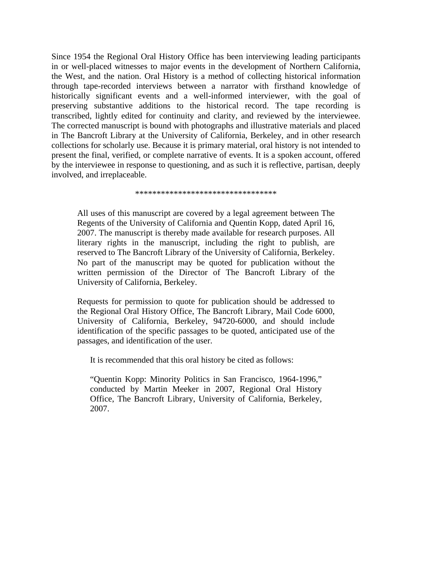Since 1954 the Regional Oral History Office has been interviewing leading participants in or well-placed witnesses to major events in the development of Northern California, the West, and the nation. Oral History is a method of collecting historical information through tape-recorded interviews between a narrator with firsthand knowledge of historically significant events and a well-informed interviewer, with the goal of preserving substantive additions to the historical record. The tape recording is transcribed, lightly edited for continuity and clarity, and reviewed by the interviewee. The corrected manuscript is bound with photographs and illustrative materials and placed in The Bancroft Library at the University of California, Berkeley, and in other research collections for scholarly use. Because it is primary material, oral history is not intended to present the final, verified, or complete narrative of events. It is a spoken account, offered by the interviewee in response to questioning, and as such it is reflective, partisan, deeply involved, and irreplaceable.

\*\*\*\*\*\*\*\*\*\*\*\*\*\*\*\*\*\*\*\*\*\*\*\*\*\*\*\*\*\*\*\*\*

All uses of this manuscript are covered by a legal agreement between The Regents of the University of California and Quentin Kopp, dated April 16, 2007. The manuscript is thereby made available for research purposes. All literary rights in the manuscript, including the right to publish, are reserved to The Bancroft Library of the University of California, Berkeley. No part of the manuscript may be quoted for publication without the written permission of the Director of The Bancroft Library of the University of California, Berkeley.

Requests for permission to quote for publication should be addressed to the Regional Oral History Office, The Bancroft Library, Mail Code 6000, University of California, Berkeley, 94720-6000, and should include identification of the specific passages to be quoted, anticipated use of the passages, and identification of the user.

It is recommended that this oral history be cited as follows:

"Quentin Kopp: Minority Politics in San Francisco, 1964-1996," conducted by Martin Meeker in 2007, Regional Oral History Office, The Bancroft Library, University of California, Berkeley, 2007.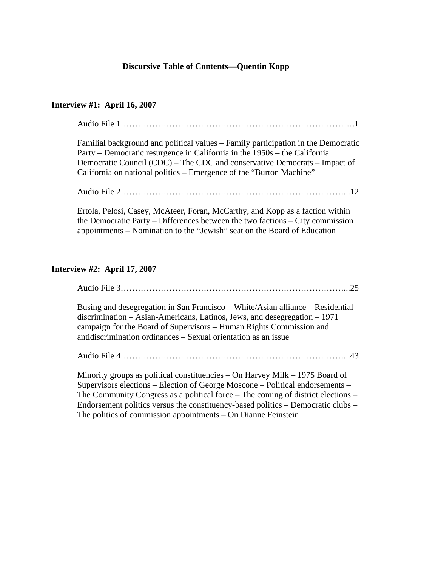## **Discursive Table of Contents—Quentin Kopp**

## **Interview #1: April 16, 2007**

Audio File 1……………………………………………………………………….1

Familial background and political values – Family participation in the Democratic Party – Democratic resurgence in California in the 1950s – the California Democratic Council (CDC) – The CDC and conservative Democrats – Impact of California on national politics – Emergence of the "Burton Machine"

Audio File 2……………………………………………………………………...12

Ertola, Pelosi, Casey, McAteer, Foran, McCarthy, and Kopp as a faction within the Democratic Party – Differences between the two factions – City commission appointments – Nomination to the "Jewish" seat on the Board of Education

## **Interview #2: April 17, 2007**

Audio File 3……………………………………………………………………...25

Busing and desegregation in San Francisco – White/Asian alliance – Residential discrimination – Asian-Americans, Latinos, Jews, and desegregation – 1971 campaign for the Board of Supervisors – Human Rights Commission and antidiscrimination ordinances – Sexual orientation as an issue

Audio File 4……………………………………………………………………...43

Minority groups as political constituencies – On Harvey Milk – 1975 Board of Supervisors elections – Election of George Moscone – Political endorsements – The Community Congress as a political force – The coming of district elections – Endorsement politics versus the constituency-based politics – Democratic clubs – The politics of commission appointments – On Dianne Feinstein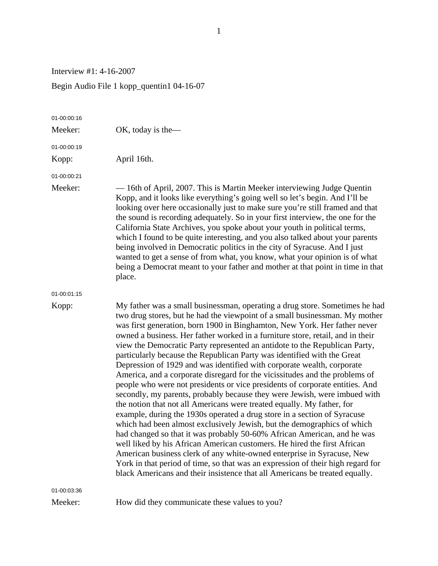Interview #1: 4-16-2007

Begin Audio File 1 kopp\_quentin1 04-16-07

| 01-00:00:16 |                                                                                                                                                                                                                                                                                                                                                                                                                                                                                                                                                                                                                                                                                                                                                                                                                                                                                                                                                                                                                                                                                                                                                                                                                                                                                                                                                                                                                                              |
|-------------|----------------------------------------------------------------------------------------------------------------------------------------------------------------------------------------------------------------------------------------------------------------------------------------------------------------------------------------------------------------------------------------------------------------------------------------------------------------------------------------------------------------------------------------------------------------------------------------------------------------------------------------------------------------------------------------------------------------------------------------------------------------------------------------------------------------------------------------------------------------------------------------------------------------------------------------------------------------------------------------------------------------------------------------------------------------------------------------------------------------------------------------------------------------------------------------------------------------------------------------------------------------------------------------------------------------------------------------------------------------------------------------------------------------------------------------------|
| Meeker:     | OK, today is the-                                                                                                                                                                                                                                                                                                                                                                                                                                                                                                                                                                                                                                                                                                                                                                                                                                                                                                                                                                                                                                                                                                                                                                                                                                                                                                                                                                                                                            |
| 01-00:00:19 |                                                                                                                                                                                                                                                                                                                                                                                                                                                                                                                                                                                                                                                                                                                                                                                                                                                                                                                                                                                                                                                                                                                                                                                                                                                                                                                                                                                                                                              |
| Kopp:       | April 16th.                                                                                                                                                                                                                                                                                                                                                                                                                                                                                                                                                                                                                                                                                                                                                                                                                                                                                                                                                                                                                                                                                                                                                                                                                                                                                                                                                                                                                                  |
| 01-00:00:21 |                                                                                                                                                                                                                                                                                                                                                                                                                                                                                                                                                                                                                                                                                                                                                                                                                                                                                                                                                                                                                                                                                                                                                                                                                                                                                                                                                                                                                                              |
| Meeker:     | — 16th of April, 2007. This is Martin Meeker interviewing Judge Quentin<br>Kopp, and it looks like everything's going well so let's begin. And I'll be<br>looking over here occasionally just to make sure you're still framed and that<br>the sound is recording adequately. So in your first interview, the one for the<br>California State Archives, you spoke about your youth in political terms,<br>which I found to be quite interesting, and you also talked about your parents<br>being involved in Democratic politics in the city of Syracuse. And I just<br>wanted to get a sense of from what, you know, what your opinion is of what<br>being a Democrat meant to your father and mother at that point in time in that<br>place.                                                                                                                                                                                                                                                                                                                                                                                                                                                                                                                                                                                                                                                                                               |
| 01-00:01:15 |                                                                                                                                                                                                                                                                                                                                                                                                                                                                                                                                                                                                                                                                                                                                                                                                                                                                                                                                                                                                                                                                                                                                                                                                                                                                                                                                                                                                                                              |
| Kopp:       | My father was a small businessman, operating a drug store. Sometimes he had<br>two drug stores, but he had the viewpoint of a small businessman. My mother<br>was first generation, born 1900 in Binghamton, New York. Her father never<br>owned a business. Her father worked in a furniture store, retail, and in their<br>view the Democratic Party represented an antidote to the Republican Party,<br>particularly because the Republican Party was identified with the Great<br>Depression of 1929 and was identified with corporate wealth, corporate<br>America, and a corporate disregard for the vicissitudes and the problems of<br>people who were not presidents or vice presidents of corporate entities. And<br>secondly, my parents, probably because they were Jewish, were imbued with<br>the notion that not all Americans were treated equally. My father, for<br>example, during the 1930s operated a drug store in a section of Syracuse<br>which had been almost exclusively Jewish, but the demographics of which<br>had changed so that it was probably 50-60% African American, and he was<br>well liked by his African American customers. He hired the first African<br>American business clerk of any white-owned enterprise in Syracuse, New<br>York in that period of time, so that was an expression of their high regard for<br>black Americans and their insistence that all Americans be treated equally. |
| 01-00:03:36 |                                                                                                                                                                                                                                                                                                                                                                                                                                                                                                                                                                                                                                                                                                                                                                                                                                                                                                                                                                                                                                                                                                                                                                                                                                                                                                                                                                                                                                              |
| Meeker:     | How did they communicate these values to you?                                                                                                                                                                                                                                                                                                                                                                                                                                                                                                                                                                                                                                                                                                                                                                                                                                                                                                                                                                                                                                                                                                                                                                                                                                                                                                                                                                                                |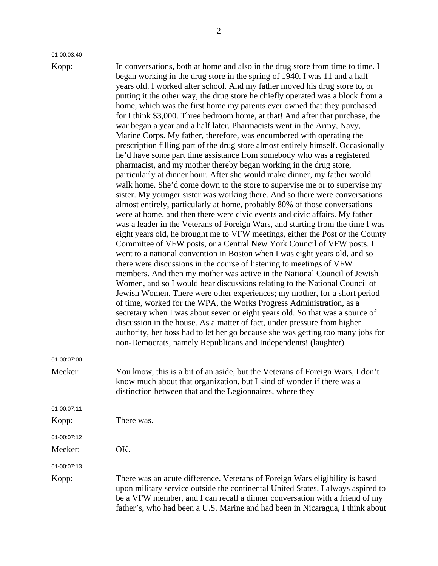01-00:03:40

Kopp: In conversations, both at home and also in the drug store from time to time. I began working in the drug store in the spring of 1940. I was 11 and a half years old. I worked after school. And my father moved his drug store to, or putting it the other way, the drug store he chiefly operated was a block from a home, which was the first home my parents ever owned that they purchased for I think \$3,000. Three bedroom home, at that! And after that purchase, the war began a year and a half later. Pharmacists went in the Army, Navy, Marine Corps. My father, therefore, was encumbered with operating the prescription filling part of the drug store almost entirely himself. Occasionally he'd have some part time assistance from somebody who was a registered pharmacist, and my mother thereby began working in the drug store, particularly at dinner hour. After she would make dinner, my father would walk home. She'd come down to the store to supervise me or to supervise my sister. My younger sister was working there. And so there were conversations almost entirely, particularly at home, probably 80% of those conversations were at home, and then there were civic events and civic affairs. My father was a leader in the Veterans of Foreign Wars, and starting from the time I was eight years old, he brought me to VFW meetings, either the Post or the County Committee of VFW posts, or a Central New York Council of VFW posts. I went to a national convention in Boston when I was eight years old, and so there were discussions in the course of listening to meetings of VFW members. And then my mother was active in the National Council of Jewish Women, and so I would hear discussions relating to the National Council of Jewish Women. There were other experiences; my mother, for a short period of time, worked for the WPA, the Works Progress Administration, as a secretary when I was about seven or eight years old. So that was a source of discussion in the house. As a matter of fact, under pressure from higher authority, her boss had to let her go because she was getting too many jobs for non-Democrats, namely Republicans and Independents! (laughter) Meeker: You know, this is a bit of an aside, but the Veterans of Foreign Wars, I don't know much about that organization, but I kind of wonder if there was a distinction between that and the Legionnaires, where they— Kopp: There was.

01-00:07:13

01-00:07:12

Meeker: OK.

01-00:07:00

01-00:07:11

Kopp: There was an acute difference. Veterans of Foreign Wars eligibility is based upon military service outside the continental United States. I always aspired to be a VFW member, and I can recall a dinner conversation with a friend of my father's, who had been a U.S. Marine and had been in Nicaragua, I think about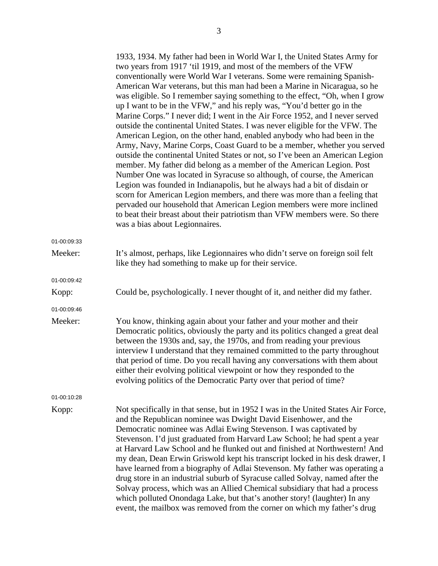1933, 1934. My father had been in World War I, the United States Army for two years from 1917 'til 1919, and most of the members of the VFW conventionally were World War I veterans. Some were remaining Spanish-American War veterans, but this man had been a Marine in Nicaragua, so he was eligible. So I remember saying something to the effect, "Oh, when I grow up I want to be in the VFW," and his reply was, "You'd better go in the Marine Corps." I never did; I went in the Air Force 1952, and I never served outside the continental United States. I was never eligible for the VFW. The American Legion, on the other hand, enabled anybody who had been in the Army, Navy, Marine Corps, Coast Guard to be a member, whether you served outside the continental United States or not, so I've been an American Legion member. My father did belong as a member of the American Legion. Post Number One was located in Syracuse so although, of course, the American Legion was founded in Indianapolis, but he always had a bit of disdain or scorn for American Legion members, and there was more than a feeling that pervaded our household that American Legion members were more inclined to beat their breast about their patriotism than VFW members were. So there was a bias about Legionnaires.

Meeker: It's almost, perhaps, like Legionnaires who didn't serve on foreign soil felt like they had something to make up for their service. 01-00:09:42 Kopp: Could be, psychologically. I never thought of it, and neither did my father. 01-00:09:46 Meeker: You know, thinking again about your father and your mother and their Democratic politics, obviously the party and its politics changed a great deal between the 1930s and, say, the 1970s, and from reading your previous interview I understand that they remained committed to the party throughout that period of time. Do you recall having any conversations with them about either their evolving political viewpoint or how they responded to the evolving politics of the Democratic Party over that period of time?

01-00:10:28

01-00:09:33

Kopp: Not specifically in that sense, but in 1952 I was in the United States Air Force, and the Republican nominee was Dwight David Eisenhower, and the Democratic nominee was Adlai Ewing Stevenson. I was captivated by Stevenson. I'd just graduated from Harvard Law School; he had spent a year at Harvard Law School and he flunked out and finished at Northwestern! And my dean, Dean Erwin Griswold kept his transcript locked in his desk drawer, I have learned from a biography of Adlai Stevenson. My father was operating a drug store in an industrial suburb of Syracuse called Solvay, named after the Solvay process, which was an Allied Chemical subsidiary that had a process which polluted Onondaga Lake, but that's another story! (laughter) In any event, the mailbox was removed from the corner on which my father's drug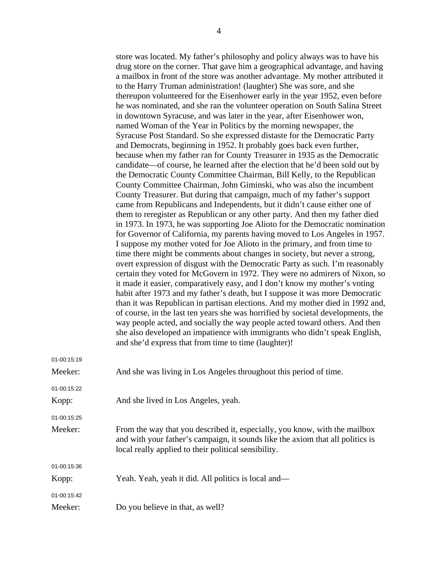|             | store was located. My father's philosophy and policy always was to have his      |
|-------------|----------------------------------------------------------------------------------|
|             | drug store on the corner. That gave him a geographical advantage, and having     |
|             | a mailbox in front of the store was another advantage. My mother attributed it   |
|             | to the Harry Truman administration! (laughter) She was sore, and she             |
|             | thereupon volunteered for the Eisenhower early in the year 1952, even before     |
|             | he was nominated, and she ran the volunteer operation on South Salina Street     |
|             | in downtown Syracuse, and was later in the year, after Eisenhower won,           |
|             | named Woman of the Year in Politics by the morning newspaper, the                |
|             | Syracuse Post Standard. So she expressed distaste for the Democratic Party       |
|             | and Democrats, beginning in 1952. It probably goes back even further,            |
|             | because when my father ran for County Treasurer in 1935 as the Democratic        |
|             | candidate—of course, he learned after the election that he'd been sold out by    |
|             | the Democratic County Committee Chairman, Bill Kelly, to the Republican          |
|             | County Committee Chairman, John Giminski, who was also the incumbent             |
|             | County Treasurer. But during that campaign, much of my father's support          |
|             | came from Republicans and Independents, but it didn't cause either one of        |
|             | them to reregister as Republican or any other party. And then my father died     |
|             |                                                                                  |
|             | in 1973. In 1973, he was supporting Joe Alioto for the Democratic nomination     |
|             | for Governor of California, my parents having moved to Los Angeles in 1957.      |
|             | I suppose my mother voted for Joe Alioto in the primary, and from time to        |
|             | time there might be comments about changes in society, but never a strong,       |
|             | overt expression of disgust with the Democratic Party as such. I'm reasonably    |
|             | certain they voted for McGovern in 1972. They were no admirers of Nixon, so      |
|             | it made it easier, comparatively easy, and I don't know my mother's voting       |
|             | habit after 1973 and my father's death, but I suppose it was more Democratic     |
|             | than it was Republican in partisan elections. And my mother died in 1992 and,    |
|             | of course, in the last ten years she was horrified by societal developments, the |
|             | way people acted, and socially the way people acted toward others. And then      |
|             | she also developed an impatience with immigrants who didn't speak English,       |
|             | and she'd express that from time to time (laughter)!                             |
| 01-00:15:19 |                                                                                  |
| Meeker:     | And she was living in Los Angeles throughout this period of time.                |
| 01-00:15:22 |                                                                                  |
| Kopp:       | And she lived in Los Angeles, yeah.                                              |
| 01-00:15:25 |                                                                                  |
| Meeker:     | From the way that you described it, especially, you know, with the mailbox       |
|             | and with your father's campaign, it sounds like the axiom that all politics is   |
|             | local really applied to their political sensibility.                             |
| 01-00:15:36 |                                                                                  |
| Kopp:       | Yeah. Yeah, yeah it did. All politics is local and—                              |
|             |                                                                                  |
| 01-00:15:42 |                                                                                  |
| Meeker:     | Do you believe in that, as well?                                                 |
|             |                                                                                  |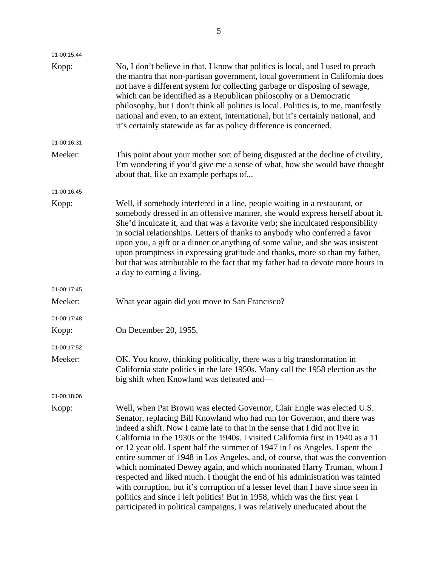| No, I don't believe in that. I know that politics is local, and I used to preach<br>the mantra that non-partisan government, local government in California does<br>not have a different system for collecting garbage or disposing of sewage,<br>which can be identified as a Republican philosophy or a Democratic<br>philosophy, but I don't think all politics is local. Politics is, to me, manifestly<br>national and even, to an extent, international, but it's certainly national, and<br>it's certainly statewide as far as policy difference is concerned.                                          |
|----------------------------------------------------------------------------------------------------------------------------------------------------------------------------------------------------------------------------------------------------------------------------------------------------------------------------------------------------------------------------------------------------------------------------------------------------------------------------------------------------------------------------------------------------------------------------------------------------------------|
|                                                                                                                                                                                                                                                                                                                                                                                                                                                                                                                                                                                                                |
| This point about your mother sort of being disgusted at the decline of civility,<br>I'm wondering if you'd give me a sense of what, how she would have thought<br>about that, like an example perhaps of                                                                                                                                                                                                                                                                                                                                                                                                       |
|                                                                                                                                                                                                                                                                                                                                                                                                                                                                                                                                                                                                                |
| Well, if somebody interfered in a line, people waiting in a restaurant, or<br>somebody dressed in an offensive manner, she would express herself about it.<br>She'd inculcate it, and that was a favorite verb; she inculcated responsibility<br>in social relationships. Letters of thanks to anybody who conferred a favor<br>upon you, a gift or a dinner or anything of some value, and she was insistent<br>upon promptness in expressing gratitude and thanks, more so than my father,<br>but that was attributable to the fact that my father had to devote more hours in<br>a day to earning a living. |
|                                                                                                                                                                                                                                                                                                                                                                                                                                                                                                                                                                                                                |
| What year again did you move to San Francisco?                                                                                                                                                                                                                                                                                                                                                                                                                                                                                                                                                                 |
|                                                                                                                                                                                                                                                                                                                                                                                                                                                                                                                                                                                                                |
| On December 20, 1955.                                                                                                                                                                                                                                                                                                                                                                                                                                                                                                                                                                                          |
|                                                                                                                                                                                                                                                                                                                                                                                                                                                                                                                                                                                                                |
| OK. You know, thinking politically, there was a big transformation in<br>California state politics in the late 1950s. Many call the 1958 election as the<br>big shift when Knowland was defeated and-                                                                                                                                                                                                                                                                                                                                                                                                          |
|                                                                                                                                                                                                                                                                                                                                                                                                                                                                                                                                                                                                                |
|                                                                                                                                                                                                                                                                                                                                                                                                                                                                                                                                                                                                                |
|                                                                                                                                                                                                                                                                                                                                                                                                                                                                                                                                                                                                                |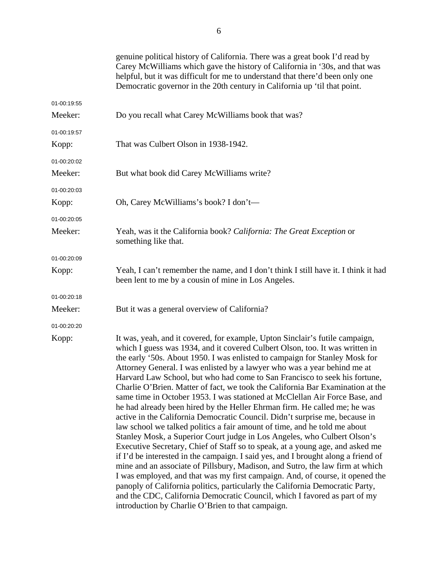|             | genuine political history of California. There was a great book I'd read by<br>Carey McWilliams which gave the history of California in '30s, and that was<br>helpful, but it was difficult for me to understand that there'd been only one<br>Democratic governor in the 20th century in California up 'til that point.                                                                                                                                                                                                                                                                                                                                                                                                                                                                                                                                                                                                                                                                                                                                                                                                                                                                                                                                                                                                                                                                                                                               |
|-------------|--------------------------------------------------------------------------------------------------------------------------------------------------------------------------------------------------------------------------------------------------------------------------------------------------------------------------------------------------------------------------------------------------------------------------------------------------------------------------------------------------------------------------------------------------------------------------------------------------------------------------------------------------------------------------------------------------------------------------------------------------------------------------------------------------------------------------------------------------------------------------------------------------------------------------------------------------------------------------------------------------------------------------------------------------------------------------------------------------------------------------------------------------------------------------------------------------------------------------------------------------------------------------------------------------------------------------------------------------------------------------------------------------------------------------------------------------------|
| 01-00:19:55 |                                                                                                                                                                                                                                                                                                                                                                                                                                                                                                                                                                                                                                                                                                                                                                                                                                                                                                                                                                                                                                                                                                                                                                                                                                                                                                                                                                                                                                                        |
| Meeker:     | Do you recall what Carey McWilliams book that was?                                                                                                                                                                                                                                                                                                                                                                                                                                                                                                                                                                                                                                                                                                                                                                                                                                                                                                                                                                                                                                                                                                                                                                                                                                                                                                                                                                                                     |
| 01-00:19:57 |                                                                                                                                                                                                                                                                                                                                                                                                                                                                                                                                                                                                                                                                                                                                                                                                                                                                                                                                                                                                                                                                                                                                                                                                                                                                                                                                                                                                                                                        |
| Kopp:       | That was Culbert Olson in 1938-1942.                                                                                                                                                                                                                                                                                                                                                                                                                                                                                                                                                                                                                                                                                                                                                                                                                                                                                                                                                                                                                                                                                                                                                                                                                                                                                                                                                                                                                   |
| 01-00:20:02 |                                                                                                                                                                                                                                                                                                                                                                                                                                                                                                                                                                                                                                                                                                                                                                                                                                                                                                                                                                                                                                                                                                                                                                                                                                                                                                                                                                                                                                                        |
| Meeker:     | But what book did Carey McWilliams write?                                                                                                                                                                                                                                                                                                                                                                                                                                                                                                                                                                                                                                                                                                                                                                                                                                                                                                                                                                                                                                                                                                                                                                                                                                                                                                                                                                                                              |
| 01-00:20:03 |                                                                                                                                                                                                                                                                                                                                                                                                                                                                                                                                                                                                                                                                                                                                                                                                                                                                                                                                                                                                                                                                                                                                                                                                                                                                                                                                                                                                                                                        |
| Kopp:       | Oh, Carey McWilliams's book? I don't—                                                                                                                                                                                                                                                                                                                                                                                                                                                                                                                                                                                                                                                                                                                                                                                                                                                                                                                                                                                                                                                                                                                                                                                                                                                                                                                                                                                                                  |
| 01-00:20:05 |                                                                                                                                                                                                                                                                                                                                                                                                                                                                                                                                                                                                                                                                                                                                                                                                                                                                                                                                                                                                                                                                                                                                                                                                                                                                                                                                                                                                                                                        |
| Meeker:     | Yeah, was it the California book? California: The Great Exception or<br>something like that.                                                                                                                                                                                                                                                                                                                                                                                                                                                                                                                                                                                                                                                                                                                                                                                                                                                                                                                                                                                                                                                                                                                                                                                                                                                                                                                                                           |
| 01-00:20:09 |                                                                                                                                                                                                                                                                                                                                                                                                                                                                                                                                                                                                                                                                                                                                                                                                                                                                                                                                                                                                                                                                                                                                                                                                                                                                                                                                                                                                                                                        |
| Kopp:       | Yeah, I can't remember the name, and I don't think I still have it. I think it had<br>been lent to me by a cousin of mine in Los Angeles.                                                                                                                                                                                                                                                                                                                                                                                                                                                                                                                                                                                                                                                                                                                                                                                                                                                                                                                                                                                                                                                                                                                                                                                                                                                                                                              |
| 01-00:20:18 |                                                                                                                                                                                                                                                                                                                                                                                                                                                                                                                                                                                                                                                                                                                                                                                                                                                                                                                                                                                                                                                                                                                                                                                                                                                                                                                                                                                                                                                        |
| Meeker:     | But it was a general overview of California?                                                                                                                                                                                                                                                                                                                                                                                                                                                                                                                                                                                                                                                                                                                                                                                                                                                                                                                                                                                                                                                                                                                                                                                                                                                                                                                                                                                                           |
| 01-00:20:20 |                                                                                                                                                                                                                                                                                                                                                                                                                                                                                                                                                                                                                                                                                                                                                                                                                                                                                                                                                                                                                                                                                                                                                                                                                                                                                                                                                                                                                                                        |
| Kopp:       | It was, yeah, and it covered, for example, Upton Sinclair's futile campaign,<br>which I guess was 1934, and it covered Culbert Olson, too. It was written in<br>the early '50s. About 1950. I was enlisted to campaign for Stanley Mosk for<br>Attorney General. I was enlisted by a lawyer who was a year behind me at<br>Harvard Law School, but who had come to San Francisco to seek his fortune,<br>Charlie O'Brien. Matter of fact, we took the California Bar Examination at the<br>same time in October 1953. I was stationed at McClellan Air Force Base, and<br>he had already been hired by the Heller Ehrman firm. He called me; he was<br>active in the California Democratic Council. Didn't surprise me, because in<br>law school we talked politics a fair amount of time, and he told me about<br>Stanley Mosk, a Superior Court judge in Los Angeles, who Culbert Olson's<br>Executive Secretary, Chief of Staff so to speak, at a young age, and asked me<br>if I'd be interested in the campaign. I said yes, and I brought along a friend of<br>mine and an associate of Pillsbury, Madison, and Sutro, the law firm at which<br>I was employed, and that was my first campaign. And, of course, it opened the<br>panoply of California politics, particularly the California Democratic Party,<br>and the CDC, California Democratic Council, which I favored as part of my<br>introduction by Charlie O'Brien to that campaign. |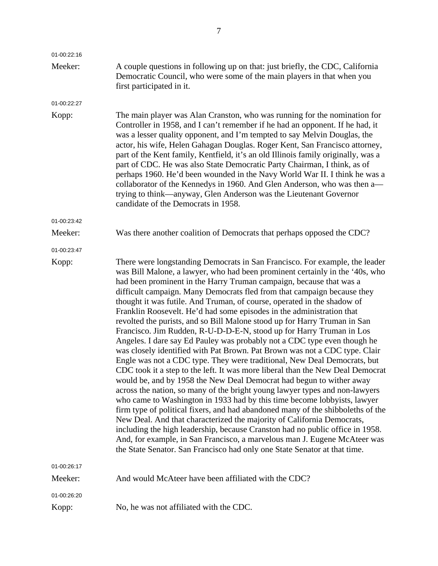| 01-00:22:16 |                                                                                                                                                                                                                                                                                                                                                                                                                                                                                                                                                                                                                                                                                                                                                                                                                                                                                                                                                                                                                                                                                                                                                                                                                                                                                                                                                                                                                                                                                                                                                                                           |
|-------------|-------------------------------------------------------------------------------------------------------------------------------------------------------------------------------------------------------------------------------------------------------------------------------------------------------------------------------------------------------------------------------------------------------------------------------------------------------------------------------------------------------------------------------------------------------------------------------------------------------------------------------------------------------------------------------------------------------------------------------------------------------------------------------------------------------------------------------------------------------------------------------------------------------------------------------------------------------------------------------------------------------------------------------------------------------------------------------------------------------------------------------------------------------------------------------------------------------------------------------------------------------------------------------------------------------------------------------------------------------------------------------------------------------------------------------------------------------------------------------------------------------------------------------------------------------------------------------------------|
| Meeker:     | A couple questions in following up on that: just briefly, the CDC, California<br>Democratic Council, who were some of the main players in that when you<br>first participated in it.                                                                                                                                                                                                                                                                                                                                                                                                                                                                                                                                                                                                                                                                                                                                                                                                                                                                                                                                                                                                                                                                                                                                                                                                                                                                                                                                                                                                      |
| 01-00:22:27 |                                                                                                                                                                                                                                                                                                                                                                                                                                                                                                                                                                                                                                                                                                                                                                                                                                                                                                                                                                                                                                                                                                                                                                                                                                                                                                                                                                                                                                                                                                                                                                                           |
| Kopp:       | The main player was Alan Cranston, who was running for the nomination for<br>Controller in 1958, and I can't remember if he had an opponent. If he had, it<br>was a lesser quality opponent, and I'm tempted to say Melvin Douglas, the<br>actor, his wife, Helen Gahagan Douglas. Roger Kent, San Francisco attorney,<br>part of the Kent family, Kentfield, it's an old Illinois family originally, was a<br>part of CDC. He was also State Democratic Party Chairman, I think, as of<br>perhaps 1960. He'd been wounded in the Navy World War II. I think he was a<br>collaborator of the Kennedys in 1960. And Glen Anderson, who was then a-<br>trying to think—anyway, Glen Anderson was the Lieutenant Governor<br>candidate of the Democrats in 1958.                                                                                                                                                                                                                                                                                                                                                                                                                                                                                                                                                                                                                                                                                                                                                                                                                             |
| 01-00:23:42 |                                                                                                                                                                                                                                                                                                                                                                                                                                                                                                                                                                                                                                                                                                                                                                                                                                                                                                                                                                                                                                                                                                                                                                                                                                                                                                                                                                                                                                                                                                                                                                                           |
| Meeker:     | Was there another coalition of Democrats that perhaps opposed the CDC?                                                                                                                                                                                                                                                                                                                                                                                                                                                                                                                                                                                                                                                                                                                                                                                                                                                                                                                                                                                                                                                                                                                                                                                                                                                                                                                                                                                                                                                                                                                    |
| 01-00:23:47 |                                                                                                                                                                                                                                                                                                                                                                                                                                                                                                                                                                                                                                                                                                                                                                                                                                                                                                                                                                                                                                                                                                                                                                                                                                                                                                                                                                                                                                                                                                                                                                                           |
| Kopp:       | There were longstanding Democrats in San Francisco. For example, the leader<br>was Bill Malone, a lawyer, who had been prominent certainly in the '40s, who<br>had been prominent in the Harry Truman campaign, because that was a<br>difficult campaign. Many Democrats fled from that campaign because they<br>thought it was futile. And Truman, of course, operated in the shadow of<br>Franklin Roosevelt. He'd had some episodes in the administration that<br>revolted the purists, and so Bill Malone stood up for Harry Truman in San<br>Francisco. Jim Rudden, R-U-D-D-E-N, stood up for Harry Truman in Los<br>Angeles. I dare say Ed Pauley was probably not a CDC type even though he<br>was closely identified with Pat Brown. Pat Brown was not a CDC type. Clair<br>Engle was not a CDC type. They were traditional, New Deal Democrats, but<br>CDC took it a step to the left. It was more liberal than the New Deal Democrat<br>would be, and by 1958 the New Deal Democrat had begun to wither away<br>across the nation, so many of the bright young lawyer types and non-lawyers<br>who came to Washington in 1933 had by this time become lobbyists, lawyer<br>firm type of political fixers, and had abandoned many of the shibboleths of the<br>New Deal. And that characterized the majority of California Democrats,<br>including the high leadership, because Cranston had no public office in 1958.<br>And, for example, in San Francisco, a marvelous man J. Eugene McAteer was<br>the State Senator. San Francisco had only one State Senator at that time. |
| 01-00:26:17 |                                                                                                                                                                                                                                                                                                                                                                                                                                                                                                                                                                                                                                                                                                                                                                                                                                                                                                                                                                                                                                                                                                                                                                                                                                                                                                                                                                                                                                                                                                                                                                                           |
| Meeker:     | And would McAteer have been affiliated with the CDC?                                                                                                                                                                                                                                                                                                                                                                                                                                                                                                                                                                                                                                                                                                                                                                                                                                                                                                                                                                                                                                                                                                                                                                                                                                                                                                                                                                                                                                                                                                                                      |
| 01-00:26:20 |                                                                                                                                                                                                                                                                                                                                                                                                                                                                                                                                                                                                                                                                                                                                                                                                                                                                                                                                                                                                                                                                                                                                                                                                                                                                                                                                                                                                                                                                                                                                                                                           |
| Kopp:       | No, he was not affiliated with the CDC.                                                                                                                                                                                                                                                                                                                                                                                                                                                                                                                                                                                                                                                                                                                                                                                                                                                                                                                                                                                                                                                                                                                                                                                                                                                                                                                                                                                                                                                                                                                                                   |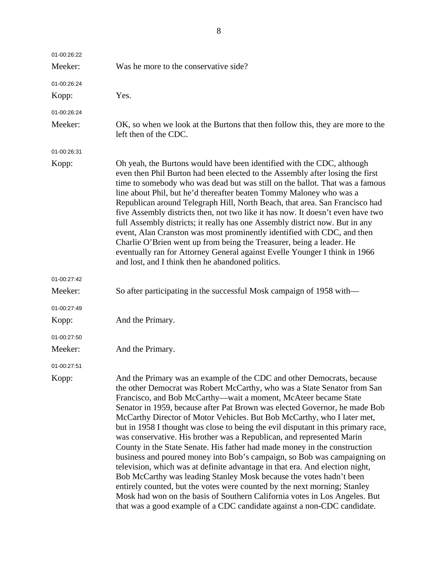| 01-00:26:22 |                                                                                                                                                                                                                                                                                                                                                                                                                                                                                                                                                                                                                                                                                                                                                                                                                                                                                                                                                                                                                                                                                                    |
|-------------|----------------------------------------------------------------------------------------------------------------------------------------------------------------------------------------------------------------------------------------------------------------------------------------------------------------------------------------------------------------------------------------------------------------------------------------------------------------------------------------------------------------------------------------------------------------------------------------------------------------------------------------------------------------------------------------------------------------------------------------------------------------------------------------------------------------------------------------------------------------------------------------------------------------------------------------------------------------------------------------------------------------------------------------------------------------------------------------------------|
| Meeker:     | Was he more to the conservative side?                                                                                                                                                                                                                                                                                                                                                                                                                                                                                                                                                                                                                                                                                                                                                                                                                                                                                                                                                                                                                                                              |
| 01-00:26:24 |                                                                                                                                                                                                                                                                                                                                                                                                                                                                                                                                                                                                                                                                                                                                                                                                                                                                                                                                                                                                                                                                                                    |
| Kopp:       | Yes.                                                                                                                                                                                                                                                                                                                                                                                                                                                                                                                                                                                                                                                                                                                                                                                                                                                                                                                                                                                                                                                                                               |
| 01-00:26:24 |                                                                                                                                                                                                                                                                                                                                                                                                                                                                                                                                                                                                                                                                                                                                                                                                                                                                                                                                                                                                                                                                                                    |
| Meeker:     | OK, so when we look at the Burtons that then follow this, they are more to the<br>left then of the CDC.                                                                                                                                                                                                                                                                                                                                                                                                                                                                                                                                                                                                                                                                                                                                                                                                                                                                                                                                                                                            |
| 01-00:26:31 |                                                                                                                                                                                                                                                                                                                                                                                                                                                                                                                                                                                                                                                                                                                                                                                                                                                                                                                                                                                                                                                                                                    |
| Kopp:       | Oh yeah, the Burtons would have been identified with the CDC, although<br>even then Phil Burton had been elected to the Assembly after losing the first<br>time to somebody who was dead but was still on the ballot. That was a famous<br>line about Phil, but he'd thereafter beaten Tommy Maloney who was a<br>Republican around Telegraph Hill, North Beach, that area. San Francisco had<br>five Assembly districts then, not two like it has now. It doesn't even have two<br>full Assembly districts; it really has one Assembly district now. But in any<br>event, Alan Cranston was most prominently identified with CDC, and then<br>Charlie O'Brien went up from being the Treasurer, being a leader. He<br>eventually ran for Attorney General against Evelle Younger I think in 1966<br>and lost, and I think then he abandoned politics.                                                                                                                                                                                                                                             |
| 01-00:27:42 |                                                                                                                                                                                                                                                                                                                                                                                                                                                                                                                                                                                                                                                                                                                                                                                                                                                                                                                                                                                                                                                                                                    |
| Meeker:     | So after participating in the successful Mosk campaign of 1958 with—                                                                                                                                                                                                                                                                                                                                                                                                                                                                                                                                                                                                                                                                                                                                                                                                                                                                                                                                                                                                                               |
| 01-00:27:49 |                                                                                                                                                                                                                                                                                                                                                                                                                                                                                                                                                                                                                                                                                                                                                                                                                                                                                                                                                                                                                                                                                                    |
| Kopp:       | And the Primary.                                                                                                                                                                                                                                                                                                                                                                                                                                                                                                                                                                                                                                                                                                                                                                                                                                                                                                                                                                                                                                                                                   |
| 01-00:27:50 |                                                                                                                                                                                                                                                                                                                                                                                                                                                                                                                                                                                                                                                                                                                                                                                                                                                                                                                                                                                                                                                                                                    |
| Meeker:     | And the Primary.                                                                                                                                                                                                                                                                                                                                                                                                                                                                                                                                                                                                                                                                                                                                                                                                                                                                                                                                                                                                                                                                                   |
| 01-00:27:51 |                                                                                                                                                                                                                                                                                                                                                                                                                                                                                                                                                                                                                                                                                                                                                                                                                                                                                                                                                                                                                                                                                                    |
| Kopp:       | And the Primary was an example of the CDC and other Democrats, because<br>the other Democrat was Robert McCarthy, who was a State Senator from San<br>Francisco, and Bob McCarthy-wait a moment, McAteer became State<br>Senator in 1959, because after Pat Brown was elected Governor, he made Bob<br>McCarthy Director of Motor Vehicles. But Bob McCarthy, who I later met,<br>but in 1958 I thought was close to being the evil disputant in this primary race,<br>was conservative. His brother was a Republican, and represented Marin<br>County in the State Senate. His father had made money in the construction<br>business and poured money into Bob's campaign, so Bob was campaigning on<br>television, which was at definite advantage in that era. And election night,<br>Bob McCarthy was leading Stanley Mosk because the votes hadn't been<br>entirely counted, but the votes were counted by the next morning; Stanley<br>Mosk had won on the basis of Southern California votes in Los Angeles. But<br>that was a good example of a CDC candidate against a non-CDC candidate. |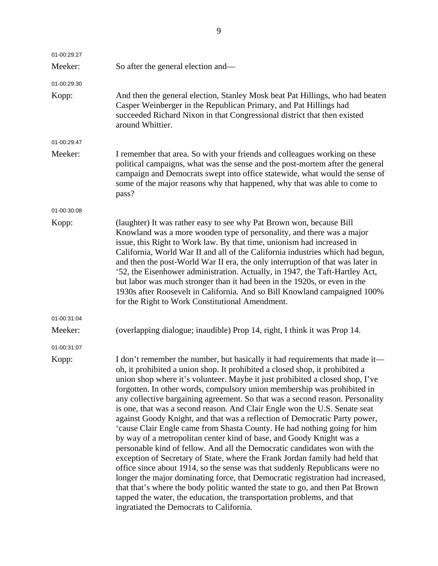| 01-00:29:27 |                                                                                                                                                                                                                                                                                                                                                                                                                                                                                                                                                                                                                                                                                                                                                                                                                                                                                                                                                                                                                                                                                                                                                                                                                                                                 |
|-------------|-----------------------------------------------------------------------------------------------------------------------------------------------------------------------------------------------------------------------------------------------------------------------------------------------------------------------------------------------------------------------------------------------------------------------------------------------------------------------------------------------------------------------------------------------------------------------------------------------------------------------------------------------------------------------------------------------------------------------------------------------------------------------------------------------------------------------------------------------------------------------------------------------------------------------------------------------------------------------------------------------------------------------------------------------------------------------------------------------------------------------------------------------------------------------------------------------------------------------------------------------------------------|
| Meeker:     | So after the general election and—                                                                                                                                                                                                                                                                                                                                                                                                                                                                                                                                                                                                                                                                                                                                                                                                                                                                                                                                                                                                                                                                                                                                                                                                                              |
| 01-00:29:30 |                                                                                                                                                                                                                                                                                                                                                                                                                                                                                                                                                                                                                                                                                                                                                                                                                                                                                                                                                                                                                                                                                                                                                                                                                                                                 |
| Kopp:       | And then the general election, Stanley Mosk beat Pat Hillings, who had beaten<br>Casper Weinberger in the Republican Primary, and Pat Hillings had<br>succeeded Richard Nixon in that Congressional district that then existed<br>around Whittier.                                                                                                                                                                                                                                                                                                                                                                                                                                                                                                                                                                                                                                                                                                                                                                                                                                                                                                                                                                                                              |
| 01-00:29:47 |                                                                                                                                                                                                                                                                                                                                                                                                                                                                                                                                                                                                                                                                                                                                                                                                                                                                                                                                                                                                                                                                                                                                                                                                                                                                 |
| Meeker:     | I remember that area. So with your friends and colleagues working on these<br>political campaigns, what was the sense and the post-mortem after the general<br>campaign and Democrats swept into office statewide, what would the sense of<br>some of the major reasons why that happened, why that was able to come to<br>pass?                                                                                                                                                                                                                                                                                                                                                                                                                                                                                                                                                                                                                                                                                                                                                                                                                                                                                                                                |
| 01-00:30:08 |                                                                                                                                                                                                                                                                                                                                                                                                                                                                                                                                                                                                                                                                                                                                                                                                                                                                                                                                                                                                                                                                                                                                                                                                                                                                 |
| Kopp:       | (laughter) It was rather easy to see why Pat Brown won, because Bill<br>Knowland was a more wooden type of personality, and there was a major<br>issue, this Right to Work law. By that time, unionism had increased in<br>California, World War II and all of the California industries which had begun,<br>and then the post-World War II era, the only interruption of that was later in<br>'52, the Eisenhower administration. Actually, in 1947, the Taft-Hartley Act,<br>but labor was much stronger than it had been in the 1920s, or even in the<br>1930s after Roosevelt in California. And so Bill Knowland campaigned 100%<br>for the Right to Work Constitutional Amendment.                                                                                                                                                                                                                                                                                                                                                                                                                                                                                                                                                                        |
| 01-00:31:04 |                                                                                                                                                                                                                                                                                                                                                                                                                                                                                                                                                                                                                                                                                                                                                                                                                                                                                                                                                                                                                                                                                                                                                                                                                                                                 |
| Meeker:     | (overlapping dialogue; inaudible) Prop 14, right, I think it was Prop 14.                                                                                                                                                                                                                                                                                                                                                                                                                                                                                                                                                                                                                                                                                                                                                                                                                                                                                                                                                                                                                                                                                                                                                                                       |
| 01-00:31:07 |                                                                                                                                                                                                                                                                                                                                                                                                                                                                                                                                                                                                                                                                                                                                                                                                                                                                                                                                                                                                                                                                                                                                                                                                                                                                 |
| Kopp:       | I don't remember the number, but basically it had requirements that made it—<br>oh, it prohibited a union shop. It prohibited a closed shop, it prohibited a<br>union shop where it's volunteer. Maybe it just prohibited a closed shop, I've<br>forgotten. In other words, compulsory union membership was prohibited in<br>any collective bargaining agreement. So that was a second reason. Personality<br>is one, that was a second reason. And Clair Engle won the U.S. Senate seat<br>against Goody Knight, and that was a reflection of Democratic Party power,<br>'cause Clair Engle came from Shasta County. He had nothing going for him<br>by way of a metropolitan center kind of base, and Goody Knight was a<br>personable kind of fellow. And all the Democratic candidates won with the<br>exception of Secretary of State, where the Frank Jordan family had held that<br>office since about 1914, so the sense was that suddenly Republicans were no<br>longer the major dominating force, that Democratic registration had increased,<br>that that's where the body politic wanted the state to go, and then Pat Brown<br>tapped the water, the education, the transportation problems, and that<br>ingratiated the Democrats to California. |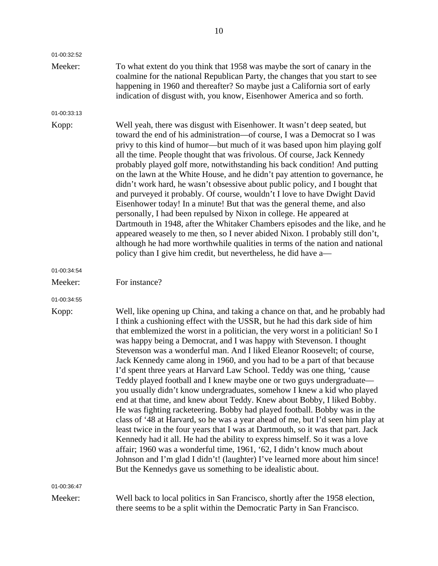| 01-00:32:52 |                                                                                                                                                                                                                                                                                                                                                                                                                                                                                                                                                                                                                                                                                                                                                                                                                                                                                                                                                                                                                                                                                                                                                                                                                                                                                                                                                          |
|-------------|----------------------------------------------------------------------------------------------------------------------------------------------------------------------------------------------------------------------------------------------------------------------------------------------------------------------------------------------------------------------------------------------------------------------------------------------------------------------------------------------------------------------------------------------------------------------------------------------------------------------------------------------------------------------------------------------------------------------------------------------------------------------------------------------------------------------------------------------------------------------------------------------------------------------------------------------------------------------------------------------------------------------------------------------------------------------------------------------------------------------------------------------------------------------------------------------------------------------------------------------------------------------------------------------------------------------------------------------------------|
| Meeker:     | To what extent do you think that 1958 was maybe the sort of canary in the<br>coalmine for the national Republican Party, the changes that you start to see<br>happening in 1960 and thereafter? So maybe just a California sort of early<br>indication of disgust with, you know, Eisenhower America and so forth.                                                                                                                                                                                                                                                                                                                                                                                                                                                                                                                                                                                                                                                                                                                                                                                                                                                                                                                                                                                                                                       |
| 01-00:33:13 |                                                                                                                                                                                                                                                                                                                                                                                                                                                                                                                                                                                                                                                                                                                                                                                                                                                                                                                                                                                                                                                                                                                                                                                                                                                                                                                                                          |
| Kopp:       | Well yeah, there was disgust with Eisenhower. It wasn't deep seated, but<br>toward the end of his administration-of course, I was a Democrat so I was<br>privy to this kind of humor—but much of it was based upon him playing golf<br>all the time. People thought that was frivolous. Of course, Jack Kennedy<br>probably played golf more, notwithstanding his back condition! And putting<br>on the lawn at the White House, and he didn't pay attention to governance, he<br>didn't work hard, he wasn't obsessive about public policy, and I bought that<br>and purveyed it probably. Of course, wouldn't I love to have Dwight David<br>Eisenhower today! In a minute! But that was the general theme, and also<br>personally, I had been repulsed by Nixon in college. He appeared at<br>Dartmouth in 1948, after the Whitaker Chambers episodes and the like, and he<br>appeared weasely to me then, so I never abided Nixon. I probably still don't,<br>although he had more worthwhile qualities in terms of the nation and national<br>policy than I give him credit, but nevertheless, he did have a-                                                                                                                                                                                                                                       |
| 01-00:34:54 |                                                                                                                                                                                                                                                                                                                                                                                                                                                                                                                                                                                                                                                                                                                                                                                                                                                                                                                                                                                                                                                                                                                                                                                                                                                                                                                                                          |
| Meeker:     | For instance?                                                                                                                                                                                                                                                                                                                                                                                                                                                                                                                                                                                                                                                                                                                                                                                                                                                                                                                                                                                                                                                                                                                                                                                                                                                                                                                                            |
| 01-00:34:55 |                                                                                                                                                                                                                                                                                                                                                                                                                                                                                                                                                                                                                                                                                                                                                                                                                                                                                                                                                                                                                                                                                                                                                                                                                                                                                                                                                          |
| Kopp:       | Well, like opening up China, and taking a chance on that, and he probably had<br>I think a cushioning effect with the USSR, but he had this dark side of him<br>that emblemized the worst in a politician, the very worst in a politician! So I<br>was happy being a Democrat, and I was happy with Stevenson. I thought<br>Stevenson was a wonderful man. And I liked Eleanor Roosevelt; of course,<br>Jack Kennedy came along in 1960, and you had to be a part of that because<br>I'd spent three years at Harvard Law School. Teddy was one thing, 'cause<br>Teddy played football and I knew maybe one or two guys undergraduate—<br>you usually didn't know undergraduates, somehow I knew a kid who played<br>end at that time, and knew about Teddy. Knew about Bobby, I liked Bobby.<br>He was fighting racketeering. Bobby had played football. Bobby was in the<br>class of '48 at Harvard, so he was a year ahead of me, but I'd seen him play at<br>least twice in the four years that I was at Dartmouth, so it was that part. Jack<br>Kennedy had it all. He had the ability to express himself. So it was a love<br>affair; 1960 was a wonderful time, 1961, '62, I didn't know much about<br>Johnson and I'm glad I didn't! (laughter) I've learned more about him since!<br>But the Kennedys gave us something to be idealistic about. |
| 01-00:36:47 |                                                                                                                                                                                                                                                                                                                                                                                                                                                                                                                                                                                                                                                                                                                                                                                                                                                                                                                                                                                                                                                                                                                                                                                                                                                                                                                                                          |
| Meeker:     | Well back to local politics in San Francisco, shortly after the 1958 election,<br>there seems to be a split within the Democratic Party in San Francisco.                                                                                                                                                                                                                                                                                                                                                                                                                                                                                                                                                                                                                                                                                                                                                                                                                                                                                                                                                                                                                                                                                                                                                                                                |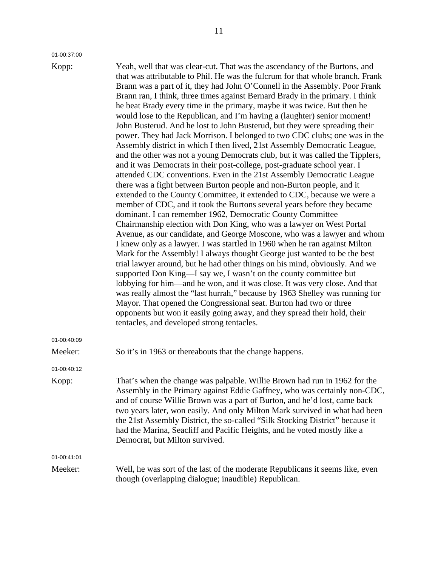01-00:37:00

Kopp: Yeah, well that was clear-cut. That was the ascendancy of the Burtons, and that was attributable to Phil. He was the fulcrum for that whole branch. Frank Brann was a part of it, they had John O'Connell in the Assembly. Poor Frank Brann ran, I think, three times against Bernard Brady in the primary. I think he beat Brady every time in the primary, maybe it was twice. But then he would lose to the Republican, and I'm having a (laughter) senior moment! John Busterud. And he lost to John Busterud, but they were spreading their power. They had Jack Morrison. I belonged to two CDC clubs; one was in the Assembly district in which I then lived, 21st Assembly Democratic League, and the other was not a young Democrats club, but it was called the Tipplers, and it was Democrats in their post-college, post-graduate school year. I attended CDC conventions. Even in the 21st Assembly Democratic League there was a fight between Burton people and non-Burton people, and it extended to the County Committee, it extended to CDC, because we were a member of CDC, and it took the Burtons several years before they became dominant. I can remember 1962, Democratic County Committee Chairmanship election with Don King, who was a lawyer on West Portal Avenue, as our candidate, and George Moscone, who was a lawyer and whom I knew only as a lawyer. I was startled in 1960 when he ran against Milton Mark for the Assembly! I always thought George just wanted to be the best trial lawyer around, but he had other things on his mind, obviously. And we supported Don King—I say we, I wasn't on the county committee but lobbying for him—and he won, and it was close. It was very close. And that was really almost the "last hurrah," because by 1963 Shelley was running for Mayor. That opened the Congressional seat. Burton had two or three opponents but won it easily going away, and they spread their hold, their tentacles, and developed strong tentacles. Meeker: So it's in 1963 or thereabouts that the change happens. Assembly in the Primary against Eddie Gaffney, who was certainly non-CDC,

01-00:40:12 Kopp: That's when the change was palpable. Willie Brown had run in 1962 for the and of course Willie Brown was a part of Burton, and he'd lost, came back two years later, won easily. And only Milton Mark survived in what had been the 21st Assembly District, the so-called "Silk Stocking District" because it had the Marina, Seacliff and Pacific Heights, and he voted mostly like a Democrat, but Milton survived.

01-00:41:01

01-00:40:09

Meeker: Well, he was sort of the last of the moderate Republicans it seems like, even though (overlapping dialogue; inaudible) Republican.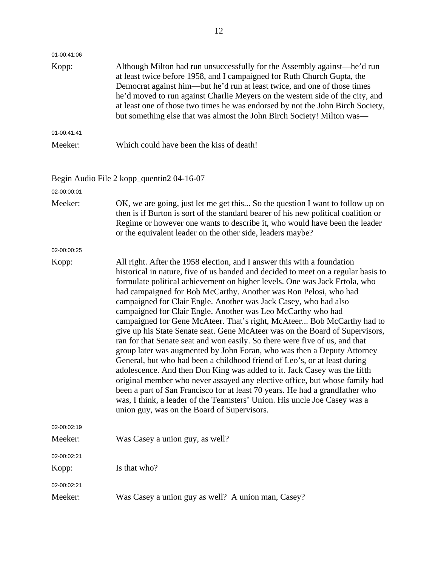| 01-00:41:06<br>Kopp: | Although Milton had run unsuccessfully for the Assembly against—he'd run<br>at least twice before 1958, and I campaigned for Ruth Church Gupta, the<br>Democrat against him—but he'd run at least twice, and one of those times<br>he'd moved to run against Charlie Meyers on the western side of the city, and<br>at least one of those two times he was endorsed by not the John Birch Society,<br>but something else that was almost the John Birch Society! Milton was—                                                                                                                                                                                                                                                                                                                                                                                                                                                                                                                                                                                                                                                                                                                                               |
|----------------------|----------------------------------------------------------------------------------------------------------------------------------------------------------------------------------------------------------------------------------------------------------------------------------------------------------------------------------------------------------------------------------------------------------------------------------------------------------------------------------------------------------------------------------------------------------------------------------------------------------------------------------------------------------------------------------------------------------------------------------------------------------------------------------------------------------------------------------------------------------------------------------------------------------------------------------------------------------------------------------------------------------------------------------------------------------------------------------------------------------------------------------------------------------------------------------------------------------------------------|
| 01-00:41:41          |                                                                                                                                                                                                                                                                                                                                                                                                                                                                                                                                                                                                                                                                                                                                                                                                                                                                                                                                                                                                                                                                                                                                                                                                                            |
| Meeker:              | Which could have been the kiss of death!                                                                                                                                                                                                                                                                                                                                                                                                                                                                                                                                                                                                                                                                                                                                                                                                                                                                                                                                                                                                                                                                                                                                                                                   |
| 02-00:00:01          | Begin Audio File 2 kopp_quentin2 04-16-07                                                                                                                                                                                                                                                                                                                                                                                                                                                                                                                                                                                                                                                                                                                                                                                                                                                                                                                                                                                                                                                                                                                                                                                  |
| Meeker:              | OK, we are going, just let me get this So the question I want to follow up on<br>then is if Burton is sort of the standard bearer of his new political coalition or<br>Regime or however one wants to describe it, who would have been the leader<br>or the equivalent leader on the other side, leaders maybe?                                                                                                                                                                                                                                                                                                                                                                                                                                                                                                                                                                                                                                                                                                                                                                                                                                                                                                            |
| 02-00:00:25          |                                                                                                                                                                                                                                                                                                                                                                                                                                                                                                                                                                                                                                                                                                                                                                                                                                                                                                                                                                                                                                                                                                                                                                                                                            |
| Kopp:                | All right. After the 1958 election, and I answer this with a foundation<br>historical in nature, five of us banded and decided to meet on a regular basis to<br>formulate political achievement on higher levels. One was Jack Ertola, who<br>had campaigned for Bob McCarthy. Another was Ron Pelosi, who had<br>campaigned for Clair Engle. Another was Jack Casey, who had also<br>campaigned for Clair Engle. Another was Leo McCarthy who had<br>campaigned for Gene McAteer. That's right, McAteer Bob McCarthy had to<br>give up his State Senate seat. Gene McAteer was on the Board of Supervisors,<br>ran for that Senate seat and won easily. So there were five of us, and that<br>group later was augmented by John Foran, who was then a Deputy Attorney<br>General, but who had been a childhood friend of Leo's, or at least during<br>adolescence. And then Don King was added to it. Jack Casey was the fifth<br>original member who never assayed any elective office, but whose family had<br>been a part of San Francisco for at least 70 years. He had a grandfather who<br>was, I think, a leader of the Teamsters' Union. His uncle Joe Casey was a<br>union guy, was on the Board of Supervisors. |
| 02-00:02:19          |                                                                                                                                                                                                                                                                                                                                                                                                                                                                                                                                                                                                                                                                                                                                                                                                                                                                                                                                                                                                                                                                                                                                                                                                                            |
| Meeker:              | Was Casey a union guy, as well?                                                                                                                                                                                                                                                                                                                                                                                                                                                                                                                                                                                                                                                                                                                                                                                                                                                                                                                                                                                                                                                                                                                                                                                            |
| 02-00:02:21          |                                                                                                                                                                                                                                                                                                                                                                                                                                                                                                                                                                                                                                                                                                                                                                                                                                                                                                                                                                                                                                                                                                                                                                                                                            |
| Kopp:                | Is that who?                                                                                                                                                                                                                                                                                                                                                                                                                                                                                                                                                                                                                                                                                                                                                                                                                                                                                                                                                                                                                                                                                                                                                                                                               |
| 02-00:02:21          |                                                                                                                                                                                                                                                                                                                                                                                                                                                                                                                                                                                                                                                                                                                                                                                                                                                                                                                                                                                                                                                                                                                                                                                                                            |
| Meeker:              | Was Casey a union guy as well? A union man, Casey?                                                                                                                                                                                                                                                                                                                                                                                                                                                                                                                                                                                                                                                                                                                                                                                                                                                                                                                                                                                                                                                                                                                                                                         |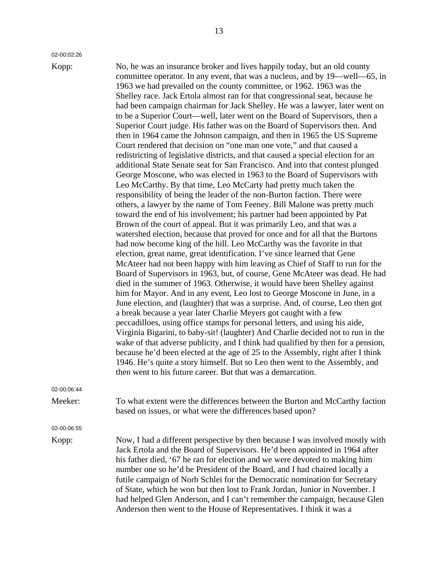02-00:02:26

Kopp: No, he was an insurance broker and lives happily today, but an old county committee operator. In any event, that was a nucleus, and by 19—well—65, in 1963 we had prevailed on the county committee, or 1962. 1963 was the Shelley race. Jack Ertola almost ran for that congressional seat, because he had been campaign chairman for Jack Shelley. He was a lawyer, later went on to be a Superior Court—well, later went on the Board of Supervisors, then a Superior Court judge. His father was on the Board of Supervisors then. And then in 1964 came the Johnson campaign, and then in 1965 the US Supreme Court rendered that decision on "one man one vote," and that caused a redistricting of legislative districts, and that caused a special election for an additional State Senate seat for San Francisco. And into that contest plunged George Moscone, who was elected in 1963 to the Board of Supervisors with Leo McCarthy. By that time, Leo McCarty had pretty much taken the responsibility of being the leader of the non-Burton faction. There were others, a lawyer by the name of Tom Feeney. Bill Malone was pretty much toward the end of his involvement; his partner had been appointed by Pat Brown of the court of appeal. But it was primarily Leo, and that was a watershed election, because that proved for once and for all that the Burtons had now become king of the hill. Leo McCarthy was the favorite in that election, great name, great identification. I've since learned that Gene McAteer had not been happy with him leaving as Chief of Staff to run for the Board of Supervisors in 1963, but, of course, Gene McAteer was dead. He had died in the summer of 1963. Otherwise, it would have been Shelley against him for Mayor. And in any event, Leo lost to George Moscone in June, in a June election, and (laughter) that was a surprise. And, of course, Leo then got a break because a year later Charlie Meyers got caught with a few peccadilloes, using office stamps for personal letters, and using his aide, Virginia Bigarini, to baby-sit! (laughter) And Charlie decided not to run in the wake of that adverse publicity, and I think had qualified by then for a pension, because he'd been elected at the age of 25 to the Assembly, right after I think 1946. He's quite a story himself. But so Leo then went to the Assembly, and then went to his future career. But that was a demarcation.

02-00:06:44

Meeker: To what extent were the differences between the Burton and McCarthy faction based on issues, or what were the differences based upon?

02-00:06:55

Kopp: Now, I had a different perspective by then because I was involved mostly with Jack Ertola and the Board of Supervisors. He'd been appointed in 1964 after his father died, '67 he ran for election and we were devoted to making him number one so he'd be President of the Board, and I had chaired locally a futile campaign of Norb Schlei for the Democratic nomination for Secretary of State, which he won but then lost to Frank Jordan, Junior in November. I had helped Glen Anderson, and I can't remember the campaign, because Glen Anderson then went to the House of Representatives. I think it was a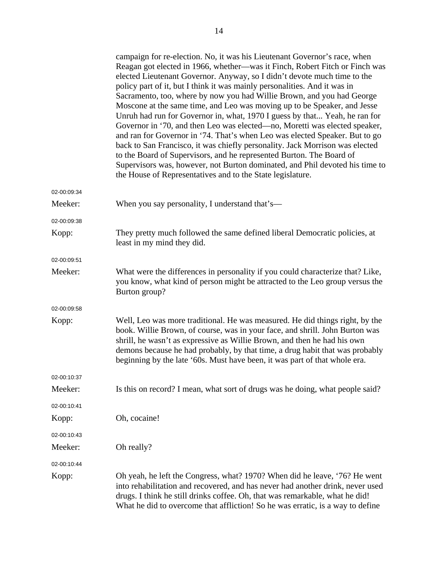|             | campaign for re-election. No, it was his Lieutenant Governor's race, when<br>Reagan got elected in 1966, whether—was it Finch, Robert Fitch or Finch was<br>elected Lieutenant Governor. Anyway, so I didn't devote much time to the<br>policy part of it, but I think it was mainly personalities. And it was in<br>Sacramento, too, where by now you had Willie Brown, and you had George<br>Moscone at the same time, and Leo was moving up to be Speaker, and Jesse<br>Unruh had run for Governor in, what, 1970 I guess by that Yeah, he ran for<br>Governor in '70, and then Leo was elected—no, Moretti was elected speaker,<br>and ran for Governor in '74. That's when Leo was elected Speaker. But to go<br>back to San Francisco, it was chiefly personality. Jack Morrison was elected<br>to the Board of Supervisors, and he represented Burton. The Board of<br>Supervisors was, however, not Burton dominated, and Phil devoted his time to<br>the House of Representatives and to the State legislature. |
|-------------|--------------------------------------------------------------------------------------------------------------------------------------------------------------------------------------------------------------------------------------------------------------------------------------------------------------------------------------------------------------------------------------------------------------------------------------------------------------------------------------------------------------------------------------------------------------------------------------------------------------------------------------------------------------------------------------------------------------------------------------------------------------------------------------------------------------------------------------------------------------------------------------------------------------------------------------------------------------------------------------------------------------------------|
| 02-00:09:34 |                                                                                                                                                                                                                                                                                                                                                                                                                                                                                                                                                                                                                                                                                                                                                                                                                                                                                                                                                                                                                          |
| Meeker:     | When you say personality, I understand that's—                                                                                                                                                                                                                                                                                                                                                                                                                                                                                                                                                                                                                                                                                                                                                                                                                                                                                                                                                                           |
| 02-00:09:38 |                                                                                                                                                                                                                                                                                                                                                                                                                                                                                                                                                                                                                                                                                                                                                                                                                                                                                                                                                                                                                          |
| Kopp:       | They pretty much followed the same defined liberal Democratic policies, at<br>least in my mind they did.                                                                                                                                                                                                                                                                                                                                                                                                                                                                                                                                                                                                                                                                                                                                                                                                                                                                                                                 |
| 02-00:09:51 |                                                                                                                                                                                                                                                                                                                                                                                                                                                                                                                                                                                                                                                                                                                                                                                                                                                                                                                                                                                                                          |
| Meeker:     | What were the differences in personality if you could characterize that? Like,<br>you know, what kind of person might be attracted to the Leo group versus the<br>Burton group?                                                                                                                                                                                                                                                                                                                                                                                                                                                                                                                                                                                                                                                                                                                                                                                                                                          |
| 02-00:09:58 |                                                                                                                                                                                                                                                                                                                                                                                                                                                                                                                                                                                                                                                                                                                                                                                                                                                                                                                                                                                                                          |
| Kopp:       | Well, Leo was more traditional. He was measured. He did things right, by the<br>book. Willie Brown, of course, was in your face, and shrill. John Burton was<br>shrill, he wasn't as expressive as Willie Brown, and then he had his own<br>demons because he had probably, by that time, a drug habit that was probably<br>beginning by the late '60s. Must have been, it was part of that whole era.                                                                                                                                                                                                                                                                                                                                                                                                                                                                                                                                                                                                                   |
| 02-00:10:37 |                                                                                                                                                                                                                                                                                                                                                                                                                                                                                                                                                                                                                                                                                                                                                                                                                                                                                                                                                                                                                          |
| Meeker:     | Is this on record? I mean, what sort of drugs was he doing, what people said?                                                                                                                                                                                                                                                                                                                                                                                                                                                                                                                                                                                                                                                                                                                                                                                                                                                                                                                                            |
| 02-00:10:41 |                                                                                                                                                                                                                                                                                                                                                                                                                                                                                                                                                                                                                                                                                                                                                                                                                                                                                                                                                                                                                          |
| Kopp:       | Oh, cocaine!                                                                                                                                                                                                                                                                                                                                                                                                                                                                                                                                                                                                                                                                                                                                                                                                                                                                                                                                                                                                             |
| 02-00:10:43 |                                                                                                                                                                                                                                                                                                                                                                                                                                                                                                                                                                                                                                                                                                                                                                                                                                                                                                                                                                                                                          |
| Meeker:     | Oh really?                                                                                                                                                                                                                                                                                                                                                                                                                                                                                                                                                                                                                                                                                                                                                                                                                                                                                                                                                                                                               |
| 02-00:10:44 |                                                                                                                                                                                                                                                                                                                                                                                                                                                                                                                                                                                                                                                                                                                                                                                                                                                                                                                                                                                                                          |
| Kopp:       | Oh yeah, he left the Congress, what? 1970? When did he leave, '76? He went<br>into rehabilitation and recovered, and has never had another drink, never used<br>drugs. I think he still drinks coffee. Oh, that was remarkable, what he did!<br>What he did to overcome that affliction! So he was erratic, is a way to define                                                                                                                                                                                                                                                                                                                                                                                                                                                                                                                                                                                                                                                                                           |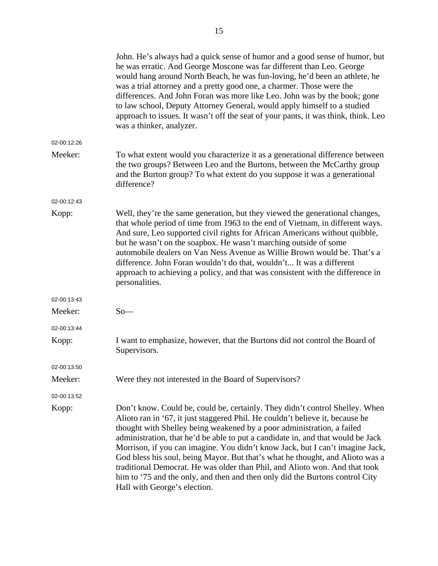|             | John. He's always had a quick sense of humor and a good sense of humor, but<br>he was erratic. And George Moscone was far different than Leo. George<br>would hang around North Beach, he was fun-loving, he'd been an athlete, he<br>was a trial attorney and a pretty good one, a charmer. Those were the<br>differences. And John Foran was more like Leo. John was by the book; gone<br>to law school, Deputy Attorney General, would apply himself to a studied<br>approach to issues. It wasn't off the seat of your pants, it was think, think. Leo<br>was a thinker, analyzer.                                                                                                      |
|-------------|---------------------------------------------------------------------------------------------------------------------------------------------------------------------------------------------------------------------------------------------------------------------------------------------------------------------------------------------------------------------------------------------------------------------------------------------------------------------------------------------------------------------------------------------------------------------------------------------------------------------------------------------------------------------------------------------|
| 02-00:12:26 |                                                                                                                                                                                                                                                                                                                                                                                                                                                                                                                                                                                                                                                                                             |
| Meeker:     | To what extent would you characterize it as a generational difference between<br>the two groups? Between Leo and the Burtons, between the McCarthy group<br>and the Burton group? To what extent do you suppose it was a generational<br>difference?                                                                                                                                                                                                                                                                                                                                                                                                                                        |
| 02-00:12:43 |                                                                                                                                                                                                                                                                                                                                                                                                                                                                                                                                                                                                                                                                                             |
| Kopp:       | Well, they're the same generation, but they viewed the generational changes,<br>that whole period of time from 1963 to the end of Vietnam, in different ways.<br>And sure, Leo supported civil rights for African Americans without quibble,<br>but he wasn't on the soapbox. He wasn't marching outside of some<br>automobile dealers on Van Ness Avenue as Willie Brown would be. That's a<br>difference. John Foran wouldn't do that, wouldn't It was a different<br>approach to achieving a policy, and that was consistent with the difference in<br>personalities.                                                                                                                    |
| 02-00:13:43 |                                                                                                                                                                                                                                                                                                                                                                                                                                                                                                                                                                                                                                                                                             |
| Meeker:     | $So-$                                                                                                                                                                                                                                                                                                                                                                                                                                                                                                                                                                                                                                                                                       |
| 02-00:13:44 |                                                                                                                                                                                                                                                                                                                                                                                                                                                                                                                                                                                                                                                                                             |
| Kopp:       | I want to emphasize, however, that the Burtons did not control the Board of<br>Supervisors.                                                                                                                                                                                                                                                                                                                                                                                                                                                                                                                                                                                                 |
| 02-00:13:50 |                                                                                                                                                                                                                                                                                                                                                                                                                                                                                                                                                                                                                                                                                             |
| Meeker:     | Were they not interested in the Board of Supervisors?                                                                                                                                                                                                                                                                                                                                                                                                                                                                                                                                                                                                                                       |
| 02-00:13:52 |                                                                                                                                                                                                                                                                                                                                                                                                                                                                                                                                                                                                                                                                                             |
| Kopp:       | Don't know. Could be, could be, certainly. They didn't control Shelley. When<br>Alioto ran in '67, it just staggered Phil. He couldn't believe it, because he<br>thought with Shelley being weakened by a poor administration, a failed<br>administration, that he'd be able to put a candidate in, and that would be Jack<br>Morrison, if you can imagine. You didn't know Jack, but I can't imagine Jack,<br>God bless his soul, being Mayor. But that's what he thought, and Alioto was a<br>traditional Democrat. He was older than Phil, and Alioto won. And that took<br>him to '75 and the only, and then and then only did the Burtons control City<br>Hall with George's election. |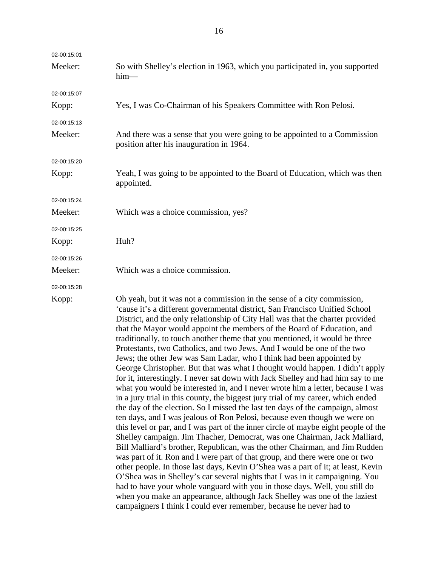| 02-00:15:01 |                                                                                                                                                                                                                                                                                                                                                                                                                                                                                                                                                                                                                                                                                                                                                                                                                                                                                                                                                                                                                                                                                                                                                                                                                                  |
|-------------|----------------------------------------------------------------------------------------------------------------------------------------------------------------------------------------------------------------------------------------------------------------------------------------------------------------------------------------------------------------------------------------------------------------------------------------------------------------------------------------------------------------------------------------------------------------------------------------------------------------------------------------------------------------------------------------------------------------------------------------------------------------------------------------------------------------------------------------------------------------------------------------------------------------------------------------------------------------------------------------------------------------------------------------------------------------------------------------------------------------------------------------------------------------------------------------------------------------------------------|
| Meeker:     | So with Shelley's election in 1963, which you participated in, you supported<br>$him-$                                                                                                                                                                                                                                                                                                                                                                                                                                                                                                                                                                                                                                                                                                                                                                                                                                                                                                                                                                                                                                                                                                                                           |
| 02-00:15:07 |                                                                                                                                                                                                                                                                                                                                                                                                                                                                                                                                                                                                                                                                                                                                                                                                                                                                                                                                                                                                                                                                                                                                                                                                                                  |
| Kopp:       | Yes, I was Co-Chairman of his Speakers Committee with Ron Pelosi.                                                                                                                                                                                                                                                                                                                                                                                                                                                                                                                                                                                                                                                                                                                                                                                                                                                                                                                                                                                                                                                                                                                                                                |
| 02-00:15:13 |                                                                                                                                                                                                                                                                                                                                                                                                                                                                                                                                                                                                                                                                                                                                                                                                                                                                                                                                                                                                                                                                                                                                                                                                                                  |
| Meeker:     | And there was a sense that you were going to be appointed to a Commission<br>position after his inauguration in 1964.                                                                                                                                                                                                                                                                                                                                                                                                                                                                                                                                                                                                                                                                                                                                                                                                                                                                                                                                                                                                                                                                                                            |
| 02-00:15:20 |                                                                                                                                                                                                                                                                                                                                                                                                                                                                                                                                                                                                                                                                                                                                                                                                                                                                                                                                                                                                                                                                                                                                                                                                                                  |
| Kopp:       | Yeah, I was going to be appointed to the Board of Education, which was then<br>appointed.                                                                                                                                                                                                                                                                                                                                                                                                                                                                                                                                                                                                                                                                                                                                                                                                                                                                                                                                                                                                                                                                                                                                        |
| 02-00:15:24 |                                                                                                                                                                                                                                                                                                                                                                                                                                                                                                                                                                                                                                                                                                                                                                                                                                                                                                                                                                                                                                                                                                                                                                                                                                  |
| Meeker:     | Which was a choice commission, yes?                                                                                                                                                                                                                                                                                                                                                                                                                                                                                                                                                                                                                                                                                                                                                                                                                                                                                                                                                                                                                                                                                                                                                                                              |
| 02-00:15:25 |                                                                                                                                                                                                                                                                                                                                                                                                                                                                                                                                                                                                                                                                                                                                                                                                                                                                                                                                                                                                                                                                                                                                                                                                                                  |
| Kopp:       | Huh?                                                                                                                                                                                                                                                                                                                                                                                                                                                                                                                                                                                                                                                                                                                                                                                                                                                                                                                                                                                                                                                                                                                                                                                                                             |
| 02-00:15:26 |                                                                                                                                                                                                                                                                                                                                                                                                                                                                                                                                                                                                                                                                                                                                                                                                                                                                                                                                                                                                                                                                                                                                                                                                                                  |
| Meeker:     | Which was a choice commission.                                                                                                                                                                                                                                                                                                                                                                                                                                                                                                                                                                                                                                                                                                                                                                                                                                                                                                                                                                                                                                                                                                                                                                                                   |
| 02-00:15:28 |                                                                                                                                                                                                                                                                                                                                                                                                                                                                                                                                                                                                                                                                                                                                                                                                                                                                                                                                                                                                                                                                                                                                                                                                                                  |
| Kopp:       | Oh yeah, but it was not a commission in the sense of a city commission,<br>'cause it's a different governmental district, San Francisco Unified School<br>District, and the only relationship of City Hall was that the charter provided<br>that the Mayor would appoint the members of the Board of Education, and<br>traditionally, to touch another theme that you mentioned, it would be three<br>Protestants, two Catholics, and two Jews. And I would be one of the two<br>Jews; the other Jew was Sam Ladar, who I think had been appointed by<br>George Christopher. But that was what I thought would happen. I didn't apply<br>for it, interestingly. I never sat down with Jack Shelley and had him say to me<br>what you would be interested in, and I never wrote him a letter, because I was<br>in a jury trial in this county, the biggest jury trial of my career, which ended<br>the day of the election. So I missed the last ten days of the campaign, almost<br>ten days, and I was jealous of Ron Pelosi, because even though we were on<br>this level or par, and I was part of the inner circle of maybe eight people of the<br>Shelley campaign. Jim Thacher, Democrat, was one Chairman, Jack Malliard, |

Bill Malliard's brother, Republican, was the other Chairman, and Jim Rudden was part of it. Ron and I were part of that group, and there were one or two other people. In those last days, Kevin O'Shea was a part of it; at least, Kevin O'Shea was in Shelley's car several nights that I was in it campaigning. You had to have your whole vanguard with you in those days. Well, you still do when you make an appearance, although Jack Shelley was one of the laziest

campaigners I think I could ever remember, because he never had to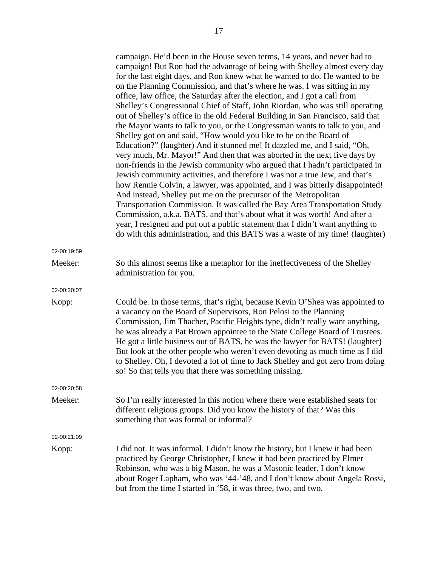|             | campaign. He'd been in the House seven terms, 14 years, and never had to<br>campaign! But Ron had the advantage of being with Shelley almost every day<br>for the last eight days, and Ron knew what he wanted to do. He wanted to be<br>on the Planning Commission, and that's where he was. I was sitting in my<br>office, law office, the Saturday after the election, and I got a call from<br>Shelley's Congressional Chief of Staff, John Riordan, who was still operating<br>out of Shelley's office in the old Federal Building in San Francisco, said that<br>the Mayor wants to talk to you, or the Congressman wants to talk to you, and<br>Shelley got on and said, "How would you like to be on the Board of<br>Education?" (laughter) And it stunned me! It dazzled me, and I said, "Oh,<br>very much, Mr. Mayor!" And then that was aborted in the next five days by<br>non-friends in the Jewish community who argued that I hadn't participated in<br>Jewish community activities, and therefore I was not a true Jew, and that's<br>how Rennie Colvin, a lawyer, was appointed, and I was bitterly disappointed!<br>And instead, Shelley put me on the precursor of the Metropolitan<br>Transportation Commission. It was called the Bay Area Transportation Study<br>Commission, a.k.a. BATS, and that's about what it was worth! And after a<br>year, I resigned and put out a public statement that I didn't want anything to<br>do with this administration, and this BATS was a waste of my time! (laughter) |
|-------------|-------------------------------------------------------------------------------------------------------------------------------------------------------------------------------------------------------------------------------------------------------------------------------------------------------------------------------------------------------------------------------------------------------------------------------------------------------------------------------------------------------------------------------------------------------------------------------------------------------------------------------------------------------------------------------------------------------------------------------------------------------------------------------------------------------------------------------------------------------------------------------------------------------------------------------------------------------------------------------------------------------------------------------------------------------------------------------------------------------------------------------------------------------------------------------------------------------------------------------------------------------------------------------------------------------------------------------------------------------------------------------------------------------------------------------------------------------------------------------------------------------------------------------------|
| 02-00:19:59 |                                                                                                                                                                                                                                                                                                                                                                                                                                                                                                                                                                                                                                                                                                                                                                                                                                                                                                                                                                                                                                                                                                                                                                                                                                                                                                                                                                                                                                                                                                                                     |
| Meeker:     | So this almost seems like a metaphor for the ineffectiveness of the Shelley<br>administration for you.                                                                                                                                                                                                                                                                                                                                                                                                                                                                                                                                                                                                                                                                                                                                                                                                                                                                                                                                                                                                                                                                                                                                                                                                                                                                                                                                                                                                                              |
| 02-00:20:07 |                                                                                                                                                                                                                                                                                                                                                                                                                                                                                                                                                                                                                                                                                                                                                                                                                                                                                                                                                                                                                                                                                                                                                                                                                                                                                                                                                                                                                                                                                                                                     |
| Kopp:       | Could be. In those terms, that's right, because Kevin O'Shea was appointed to<br>a vacancy on the Board of Supervisors, Ron Pelosi to the Planning<br>Commission, Jim Thacher, Pacific Heights type, didn't really want anything,<br>he was already a Pat Brown appointee to the State College Board of Trustees.<br>He got a little business out of BATS, he was the lawyer for BATS! (laughter)<br>But look at the other people who weren't even devoting as much time as I did<br>to Shelley. Oh, I devoted a lot of time to Jack Shelley and got zero from doing<br>so! So that tells you that there was something missing.                                                                                                                                                                                                                                                                                                                                                                                                                                                                                                                                                                                                                                                                                                                                                                                                                                                                                                     |
| 02-00:20:58 |                                                                                                                                                                                                                                                                                                                                                                                                                                                                                                                                                                                                                                                                                                                                                                                                                                                                                                                                                                                                                                                                                                                                                                                                                                                                                                                                                                                                                                                                                                                                     |
| Meeker:     | So I'm really interested in this notion where there were established seats for<br>different religious groups. Did you know the history of that? Was this<br>something that was formal or informal?                                                                                                                                                                                                                                                                                                                                                                                                                                                                                                                                                                                                                                                                                                                                                                                                                                                                                                                                                                                                                                                                                                                                                                                                                                                                                                                                  |
| 02-00:21:09 |                                                                                                                                                                                                                                                                                                                                                                                                                                                                                                                                                                                                                                                                                                                                                                                                                                                                                                                                                                                                                                                                                                                                                                                                                                                                                                                                                                                                                                                                                                                                     |
| Kopp:       | I did not. It was informal. I didn't know the history, but I knew it had been<br>practiced by George Christopher, I knew it had been practiced by Elmer<br>Robinson, who was a big Mason, he was a Masonic leader. I don't know<br>about Roger Lapham, who was '44-'48, and I don't know about Angela Rossi,<br>but from the time I started in '58, it was three, two, and two.                                                                                                                                                                                                                                                                                                                                                                                                                                                                                                                                                                                                                                                                                                                                                                                                                                                                                                                                                                                                                                                                                                                                                     |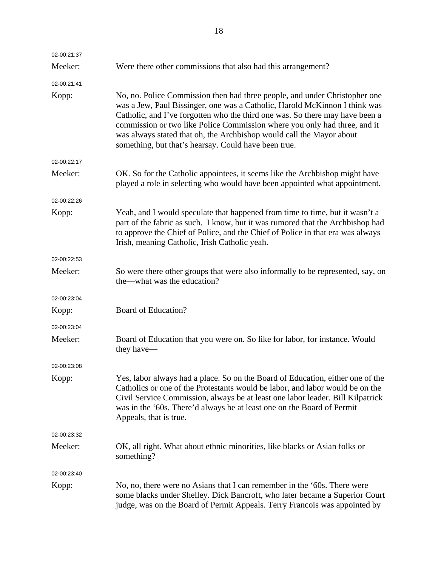| 02-00:21:37 |                                                                                                                                                                                                                                                                                                                                                                                                                                                       |
|-------------|-------------------------------------------------------------------------------------------------------------------------------------------------------------------------------------------------------------------------------------------------------------------------------------------------------------------------------------------------------------------------------------------------------------------------------------------------------|
| Meeker:     | Were there other commissions that also had this arrangement?                                                                                                                                                                                                                                                                                                                                                                                          |
| 02-00:21:41 |                                                                                                                                                                                                                                                                                                                                                                                                                                                       |
| Kopp:       | No, no. Police Commission then had three people, and under Christopher one<br>was a Jew, Paul Bissinger, one was a Catholic, Harold McKinnon I think was<br>Catholic, and I've forgotten who the third one was. So there may have been a<br>commission or two like Police Commission where you only had three, and it<br>was always stated that oh, the Archbishop would call the Mayor about<br>something, but that's hearsay. Could have been true. |
| 02-00:22:17 |                                                                                                                                                                                                                                                                                                                                                                                                                                                       |
| Meeker:     | OK. So for the Catholic appointees, it seems like the Archbishop might have<br>played a role in selecting who would have been appointed what appointment.                                                                                                                                                                                                                                                                                             |
| 02-00:22:26 |                                                                                                                                                                                                                                                                                                                                                                                                                                                       |
| Kopp:       | Yeah, and I would speculate that happened from time to time, but it wasn't a<br>part of the fabric as such. I know, but it was rumored that the Archbishop had<br>to approve the Chief of Police, and the Chief of Police in that era was always<br>Irish, meaning Catholic, Irish Catholic yeah.                                                                                                                                                     |
| 02-00:22:53 |                                                                                                                                                                                                                                                                                                                                                                                                                                                       |
| Meeker:     | So were there other groups that were also informally to be represented, say, on<br>the—what was the education?                                                                                                                                                                                                                                                                                                                                        |
| 02-00:23:04 |                                                                                                                                                                                                                                                                                                                                                                                                                                                       |
| Kopp:       | Board of Education?                                                                                                                                                                                                                                                                                                                                                                                                                                   |
| 02-00:23:04 |                                                                                                                                                                                                                                                                                                                                                                                                                                                       |
| Meeker:     | Board of Education that you were on. So like for labor, for instance. Would<br>they have—                                                                                                                                                                                                                                                                                                                                                             |
| 02-00:23:08 |                                                                                                                                                                                                                                                                                                                                                                                                                                                       |
| Kopp:       | Yes, labor always had a place. So on the Board of Education, either one of the<br>Catholics or one of the Protestants would be labor, and labor would be on the<br>Civil Service Commission, always be at least one labor leader. Bill Kilpatrick<br>was in the '60s. There'd always be at least one on the Board of Permit<br>Appeals, that is true.                                                                                                 |
| 02-00:23:32 |                                                                                                                                                                                                                                                                                                                                                                                                                                                       |
| Meeker:     | OK, all right. What about ethnic minorities, like blacks or Asian folks or<br>something?                                                                                                                                                                                                                                                                                                                                                              |
| 02-00:23:40 |                                                                                                                                                                                                                                                                                                                                                                                                                                                       |
| Kopp:       | No, no, there were no Asians that I can remember in the '60s. There were<br>some blacks under Shelley. Dick Bancroft, who later became a Superior Court<br>judge, was on the Board of Permit Appeals. Terry Francois was appointed by                                                                                                                                                                                                                 |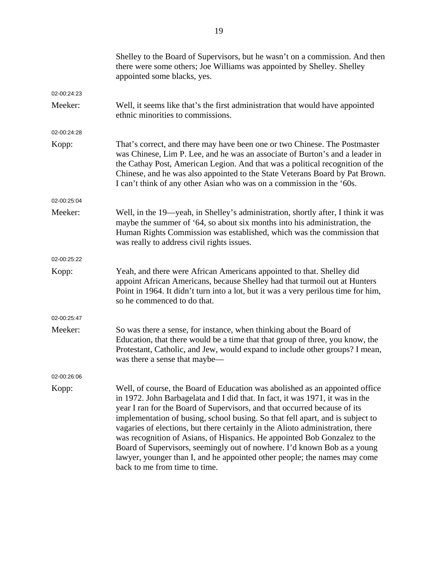|             | Shelley to the Board of Supervisors, but he wasn't on a commission. And then<br>there were some others; Joe Williams was appointed by Shelley. Shelley<br>appointed some blacks, yes.                                                                                                                                                                                                                                                                                                                                                                                                                                                                                                 |
|-------------|---------------------------------------------------------------------------------------------------------------------------------------------------------------------------------------------------------------------------------------------------------------------------------------------------------------------------------------------------------------------------------------------------------------------------------------------------------------------------------------------------------------------------------------------------------------------------------------------------------------------------------------------------------------------------------------|
| 02-00:24:23 |                                                                                                                                                                                                                                                                                                                                                                                                                                                                                                                                                                                                                                                                                       |
| Meeker:     | Well, it seems like that's the first administration that would have appointed<br>ethnic minorities to commissions.                                                                                                                                                                                                                                                                                                                                                                                                                                                                                                                                                                    |
| 02-00:24:28 |                                                                                                                                                                                                                                                                                                                                                                                                                                                                                                                                                                                                                                                                                       |
| Kopp:       | That's correct, and there may have been one or two Chinese. The Postmaster<br>was Chinese, Lim P. Lee, and he was an associate of Burton's and a leader in<br>the Cathay Post, American Legion. And that was a political recognition of the<br>Chinese, and he was also appointed to the State Veterans Board by Pat Brown.<br>I can't think of any other Asian who was on a commission in the '60s.                                                                                                                                                                                                                                                                                  |
| 02-00:25:04 |                                                                                                                                                                                                                                                                                                                                                                                                                                                                                                                                                                                                                                                                                       |
| Meeker:     | Well, in the 19—yeah, in Shelley's administration, shortly after, I think it was<br>maybe the summer of '64, so about six months into his administration, the<br>Human Rights Commission was established, which was the commission that<br>was really to address civil rights issues.                                                                                                                                                                                                                                                                                                                                                                                                 |
| 02-00:25:22 |                                                                                                                                                                                                                                                                                                                                                                                                                                                                                                                                                                                                                                                                                       |
| Kopp:       | Yeah, and there were African Americans appointed to that. Shelley did<br>appoint African Americans, because Shelley had that turmoil out at Hunters<br>Point in 1964. It didn't turn into a lot, but it was a very perilous time for him,<br>so he commenced to do that.                                                                                                                                                                                                                                                                                                                                                                                                              |
| 02-00:25:47 |                                                                                                                                                                                                                                                                                                                                                                                                                                                                                                                                                                                                                                                                                       |
| Meeker:     | So was there a sense, for instance, when thinking about the Board of<br>Education, that there would be a time that that group of three, you know, the<br>Protestant, Catholic, and Jew, would expand to include other groups? I mean,<br>was there a sense that maybe—                                                                                                                                                                                                                                                                                                                                                                                                                |
| 02-00:26:06 |                                                                                                                                                                                                                                                                                                                                                                                                                                                                                                                                                                                                                                                                                       |
| Kopp:       | Well, of course, the Board of Education was abolished as an appointed office<br>in 1972. John Barbagelata and I did that. In fact, it was 1971, it was in the<br>year I ran for the Board of Supervisors, and that occurred because of its<br>implementation of busing, school busing. So that fell apart, and is subject to<br>vagaries of elections, but there certainly in the Alioto administration, there<br>was recognition of Asians, of Hispanics. He appointed Bob Gonzalez to the<br>Board of Supervisors, seemingly out of nowhere. I'd known Bob as a young<br>lawyer, younger than I, and he appointed other people; the names may come<br>back to me from time to time. |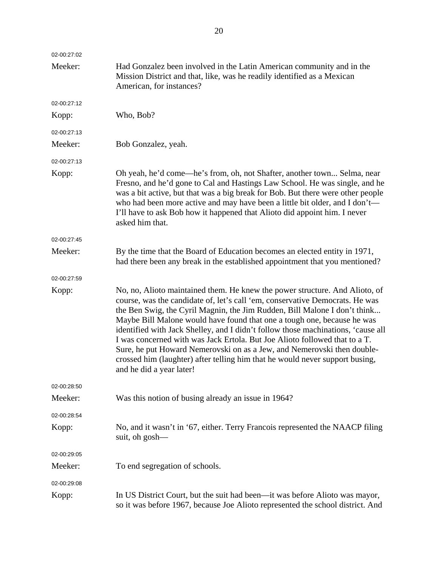| 02-00:27:02 |                                                                                                                                                                                                                                                                                                                                                                                                                                                                                                                                                                                                                                                                              |
|-------------|------------------------------------------------------------------------------------------------------------------------------------------------------------------------------------------------------------------------------------------------------------------------------------------------------------------------------------------------------------------------------------------------------------------------------------------------------------------------------------------------------------------------------------------------------------------------------------------------------------------------------------------------------------------------------|
| Meeker:     | Had Gonzalez been involved in the Latin American community and in the<br>Mission District and that, like, was he readily identified as a Mexican<br>American, for instances?                                                                                                                                                                                                                                                                                                                                                                                                                                                                                                 |
| 02-00:27:12 |                                                                                                                                                                                                                                                                                                                                                                                                                                                                                                                                                                                                                                                                              |
| Kopp:       | Who, Bob?                                                                                                                                                                                                                                                                                                                                                                                                                                                                                                                                                                                                                                                                    |
| 02-00:27:13 |                                                                                                                                                                                                                                                                                                                                                                                                                                                                                                                                                                                                                                                                              |
| Meeker:     | Bob Gonzalez, yeah.                                                                                                                                                                                                                                                                                                                                                                                                                                                                                                                                                                                                                                                          |
| 02-00:27:13 |                                                                                                                                                                                                                                                                                                                                                                                                                                                                                                                                                                                                                                                                              |
| Kopp:       | Oh yeah, he'd come—he's from, oh, not Shafter, another town Selma, near<br>Fresno, and he'd gone to Cal and Hastings Law School. He was single, and he<br>was a bit active, but that was a big break for Bob. But there were other people<br>who had been more active and may have been a little bit older, and I don't—<br>I'll have to ask Bob how it happened that Alioto did appoint him. I never<br>asked him that.                                                                                                                                                                                                                                                     |
| 02-00:27:45 |                                                                                                                                                                                                                                                                                                                                                                                                                                                                                                                                                                                                                                                                              |
| Meeker:     | By the time that the Board of Education becomes an elected entity in 1971,<br>had there been any break in the established appointment that you mentioned?                                                                                                                                                                                                                                                                                                                                                                                                                                                                                                                    |
| 02-00:27:59 |                                                                                                                                                                                                                                                                                                                                                                                                                                                                                                                                                                                                                                                                              |
| Kopp:       | No, no, Alioto maintained them. He knew the power structure. And Alioto, of<br>course, was the candidate of, let's call 'em, conservative Democrats. He was<br>the Ben Swig, the Cyril Magnin, the Jim Rudden, Bill Malone I don't think<br>Maybe Bill Malone would have found that one a tough one, because he was<br>identified with Jack Shelley, and I didn't follow those machinations, 'cause all<br>I was concerned with was Jack Ertola. But Joe Alioto followed that to a T.<br>Sure, he put Howard Nemerovski on as a Jew, and Nemerovski then double-<br>crossed him (laughter) after telling him that he would never support busing,<br>and he did a year later! |
| 02-00:28:50 |                                                                                                                                                                                                                                                                                                                                                                                                                                                                                                                                                                                                                                                                              |
| Meeker:     | Was this notion of busing already an issue in 1964?                                                                                                                                                                                                                                                                                                                                                                                                                                                                                                                                                                                                                          |
| 02-00:28:54 |                                                                                                                                                                                                                                                                                                                                                                                                                                                                                                                                                                                                                                                                              |
| Kopp:       | No, and it wasn't in '67, either. Terry Francois represented the NAACP filing<br>suit, oh gosh—                                                                                                                                                                                                                                                                                                                                                                                                                                                                                                                                                                              |
| 02-00:29:05 |                                                                                                                                                                                                                                                                                                                                                                                                                                                                                                                                                                                                                                                                              |
| Meeker:     | To end segregation of schools.                                                                                                                                                                                                                                                                                                                                                                                                                                                                                                                                                                                                                                               |
| 02-00:29:08 |                                                                                                                                                                                                                                                                                                                                                                                                                                                                                                                                                                                                                                                                              |
| Kopp:       | In US District Court, but the suit had been—it was before Alioto was mayor,<br>so it was before 1967, because Joe Alioto represented the school district. And                                                                                                                                                                                                                                                                                                                                                                                                                                                                                                                |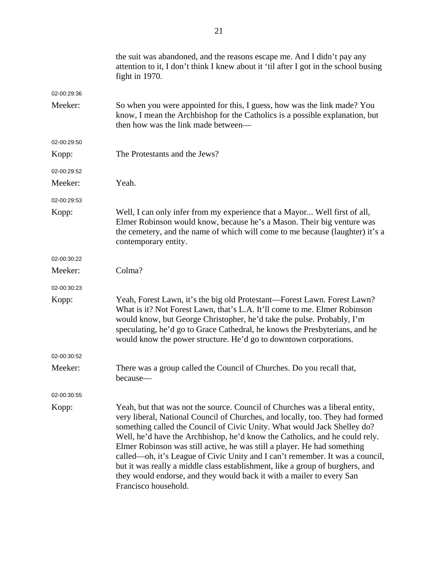|             | the suit was abandoned, and the reasons escape me. And I didn't pay any<br>attention to it, I don't think I knew about it 'til after I got in the school busing<br>fight in 1970.                                                                                                                                                                                                                                                                                                                                                                                                                                                                                       |
|-------------|-------------------------------------------------------------------------------------------------------------------------------------------------------------------------------------------------------------------------------------------------------------------------------------------------------------------------------------------------------------------------------------------------------------------------------------------------------------------------------------------------------------------------------------------------------------------------------------------------------------------------------------------------------------------------|
| 02-00:29:36 |                                                                                                                                                                                                                                                                                                                                                                                                                                                                                                                                                                                                                                                                         |
| Meeker:     | So when you were appointed for this, I guess, how was the link made? You<br>know, I mean the Archbishop for the Catholics is a possible explanation, but<br>then how was the link made between-                                                                                                                                                                                                                                                                                                                                                                                                                                                                         |
| 02-00:29:50 |                                                                                                                                                                                                                                                                                                                                                                                                                                                                                                                                                                                                                                                                         |
| Kopp:       | The Protestants and the Jews?                                                                                                                                                                                                                                                                                                                                                                                                                                                                                                                                                                                                                                           |
| 02-00:29:52 |                                                                                                                                                                                                                                                                                                                                                                                                                                                                                                                                                                                                                                                                         |
| Meeker:     | Yeah.                                                                                                                                                                                                                                                                                                                                                                                                                                                                                                                                                                                                                                                                   |
| 02-00:29:53 |                                                                                                                                                                                                                                                                                                                                                                                                                                                                                                                                                                                                                                                                         |
| Kopp:       | Well, I can only infer from my experience that a Mayor Well first of all,<br>Elmer Robinson would know, because he's a Mason. Their big venture was<br>the cemetery, and the name of which will come to me because (laughter) it's a<br>contemporary entity.                                                                                                                                                                                                                                                                                                                                                                                                            |
| 02-00:30:22 |                                                                                                                                                                                                                                                                                                                                                                                                                                                                                                                                                                                                                                                                         |
| Meeker:     | Colma?                                                                                                                                                                                                                                                                                                                                                                                                                                                                                                                                                                                                                                                                  |
| 02-00:30:23 |                                                                                                                                                                                                                                                                                                                                                                                                                                                                                                                                                                                                                                                                         |
| Kopp:       | Yeah, Forest Lawn, it's the big old Protestant—Forest Lawn. Forest Lawn?<br>What is it? Not Forest Lawn, that's L.A. It'll come to me. Elmer Robinson<br>would know, but George Christopher, he'd take the pulse. Probably, I'm<br>speculating, he'd go to Grace Cathedral, he knows the Presbyterians, and he<br>would know the power structure. He'd go to downtown corporations.                                                                                                                                                                                                                                                                                     |
| 02-00:30:52 |                                                                                                                                                                                                                                                                                                                                                                                                                                                                                                                                                                                                                                                                         |
| Meeker:     | There was a group called the Council of Churches. Do you recall that,<br>because-                                                                                                                                                                                                                                                                                                                                                                                                                                                                                                                                                                                       |
| 02-00:30:55 |                                                                                                                                                                                                                                                                                                                                                                                                                                                                                                                                                                                                                                                                         |
| Kopp:       | Yeah, but that was not the source. Council of Churches was a liberal entity,<br>very liberal, National Council of Churches, and locally, too. They had formed<br>something called the Council of Civic Unity. What would Jack Shelley do?<br>Well, he'd have the Archbishop, he'd know the Catholics, and he could rely.<br>Elmer Robinson was still active, he was still a player. He had something<br>called—oh, it's League of Civic Unity and I can't remember. It was a council,<br>but it was really a middle class establishment, like a group of burghers, and<br>they would endorse, and they would back it with a mailer to every San<br>Francisco household. |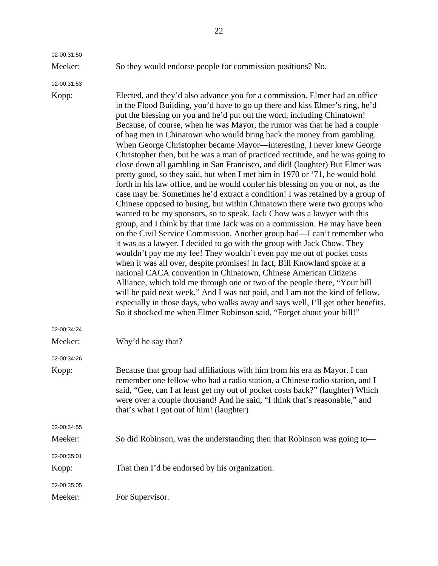02-00:31:50

Meeker: So they would endorse people for commission positions? No.

02-00:31:53

Kopp: Elected, and they'd also advance you for a commission. Elmer had an office in the Flood Building, you'd have to go up there and kiss Elmer's ring, he'd put the blessing on you and he'd put out the word, including Chinatown! Because, of course, when he was Mayor, the rumor was that he had a couple of bag men in Chinatown who would bring back the money from gambling. When George Christopher became Mayor—interesting, I never knew George Christopher then, but he was a man of practiced rectitude, and he was going to close down all gambling in San Francisco, and did! (laughter) But Elmer was pretty good, so they said, but when I met him in 1970 or '71, he would hold forth in his law office, and he would confer his blessing on you or not, as the case may be. Sometimes he'd extract a condition! I was retained by a group of Chinese opposed to busing, but within Chinatown there were two groups who wanted to be my sponsors, so to speak. Jack Chow was a lawyer with this group, and I think by that time Jack was on a commission. He may have been on the Civil Service Commission. Another group had—I can't remember who it was as a lawyer. I decided to go with the group with Jack Chow. They wouldn't pay me my fee! They wouldn't even pay me out of pocket costs when it was all over, despite promises! In fact, Bill Knowland spoke at a national CACA convention in Chinatown, Chinese American Citizens Alliance, which told me through one or two of the people there, "Your bill will be paid next week." And I was not paid, and I am not the kind of fellow, especially in those days, who walks away and says well, I'll get other benefits. So it shocked me when Elmer Robinson said, "Forget about your bill!" 02-00:34:24 Meeker: Why'd he say that? 02-00:34:26 Kopp: Because that group had affiliations with him from his era as Mayor. I can remember one fellow who had a radio station, a Chinese radio station, and I said, "Gee, can I at least get my out of pocket costs back?" (laughter) Which were over a couple thousand! And he said, "I think that's reasonable," and that's what I got out of him! (laughter) 02-00:34:55 Meeker: So did Robinson, was the understanding then that Robinson was going to— 02-00:35:01 Kopp: That then I'd be endorsed by his organization. 02-00:35:05

Meeker: For Supervisor.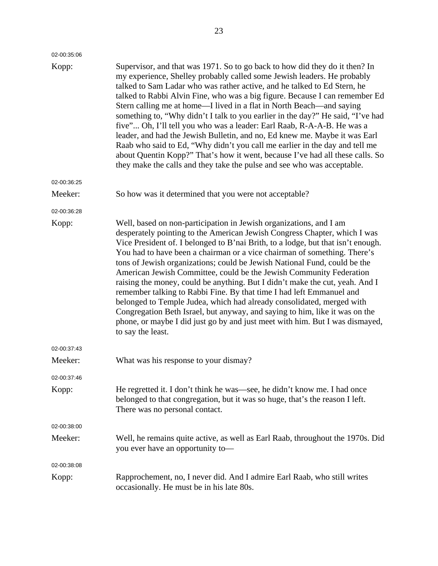| 02-00:35:06 |                                                                                                                                                                                                                                                                                                                                                                                                                                                                                                                                                                                                                                                                                                                                                                                                                                                                                          |
|-------------|------------------------------------------------------------------------------------------------------------------------------------------------------------------------------------------------------------------------------------------------------------------------------------------------------------------------------------------------------------------------------------------------------------------------------------------------------------------------------------------------------------------------------------------------------------------------------------------------------------------------------------------------------------------------------------------------------------------------------------------------------------------------------------------------------------------------------------------------------------------------------------------|
| Kopp:       | Supervisor, and that was 1971. So to go back to how did they do it then? In<br>my experience, Shelley probably called some Jewish leaders. He probably<br>talked to Sam Ladar who was rather active, and he talked to Ed Stern, he<br>talked to Rabbi Alvin Fine, who was a big figure. Because I can remember Ed<br>Stern calling me at home—I lived in a flat in North Beach—and saying<br>something to, "Why didn't I talk to you earlier in the day?" He said, "I've had<br>five" Oh, I'll tell you who was a leader: Earl Raab, R-A-A-B. He was a<br>leader, and had the Jewish Bulletin, and no, Ed knew me. Maybe it was Earl<br>Raab who said to Ed, "Why didn't you call me earlier in the day and tell me<br>about Quentin Kopp?" That's how it went, because I've had all these calls. So<br>they make the calls and they take the pulse and see who was acceptable.          |
| 02-00:36:25 |                                                                                                                                                                                                                                                                                                                                                                                                                                                                                                                                                                                                                                                                                                                                                                                                                                                                                          |
| Meeker:     | So how was it determined that you were not acceptable?                                                                                                                                                                                                                                                                                                                                                                                                                                                                                                                                                                                                                                                                                                                                                                                                                                   |
| 02-00:36:28 |                                                                                                                                                                                                                                                                                                                                                                                                                                                                                                                                                                                                                                                                                                                                                                                                                                                                                          |
| Kopp:       | Well, based on non-participation in Jewish organizations, and I am<br>desperately pointing to the American Jewish Congress Chapter, which I was<br>Vice President of. I belonged to B'nai Brith, to a lodge, but that isn't enough.<br>You had to have been a chairman or a vice chairman of something. There's<br>tons of Jewish organizations; could be Jewish National Fund, could be the<br>American Jewish Committee, could be the Jewish Community Federation<br>raising the money, could be anything. But I didn't make the cut, yeah. And I<br>remember talking to Rabbi Fine. By that time I had left Emmanuel and<br>belonged to Temple Judea, which had already consolidated, merged with<br>Congregation Beth Israel, but anyway, and saying to him, like it was on the<br>phone, or maybe I did just go by and just meet with him. But I was dismayed,<br>to say the least. |
| 02-00:37:43 |                                                                                                                                                                                                                                                                                                                                                                                                                                                                                                                                                                                                                                                                                                                                                                                                                                                                                          |
| Meeker:     | What was his response to your dismay?                                                                                                                                                                                                                                                                                                                                                                                                                                                                                                                                                                                                                                                                                                                                                                                                                                                    |
| 02-00:37:46 |                                                                                                                                                                                                                                                                                                                                                                                                                                                                                                                                                                                                                                                                                                                                                                                                                                                                                          |
| Kopp:       | He regretted it. I don't think he was—see, he didn't know me. I had once<br>belonged to that congregation, but it was so huge, that's the reason I left.<br>There was no personal contact.                                                                                                                                                                                                                                                                                                                                                                                                                                                                                                                                                                                                                                                                                               |
| 02-00:38:00 |                                                                                                                                                                                                                                                                                                                                                                                                                                                                                                                                                                                                                                                                                                                                                                                                                                                                                          |
| Meeker:     | Well, he remains quite active, as well as Earl Raab, throughout the 1970s. Did<br>you ever have an opportunity to-                                                                                                                                                                                                                                                                                                                                                                                                                                                                                                                                                                                                                                                                                                                                                                       |
| 02-00:38:08 |                                                                                                                                                                                                                                                                                                                                                                                                                                                                                                                                                                                                                                                                                                                                                                                                                                                                                          |
| Kopp:       | Rapprochement, no, I never did. And I admire Earl Raab, who still writes<br>occasionally. He must be in his late 80s.                                                                                                                                                                                                                                                                                                                                                                                                                                                                                                                                                                                                                                                                                                                                                                    |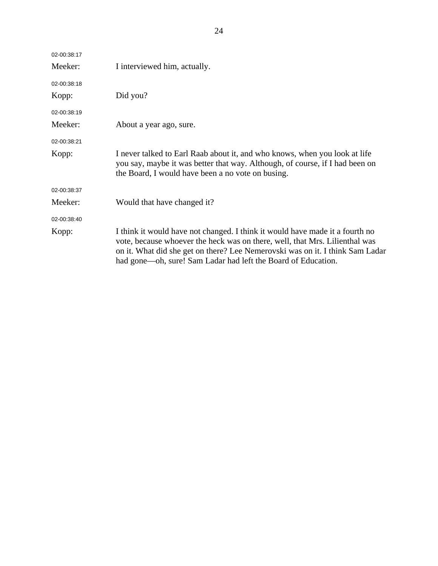| 02-00:38:17 |                                                                                                                                                                                                                                                                                                               |
|-------------|---------------------------------------------------------------------------------------------------------------------------------------------------------------------------------------------------------------------------------------------------------------------------------------------------------------|
| Meeker:     | I interviewed him, actually.                                                                                                                                                                                                                                                                                  |
| 02-00:38:18 |                                                                                                                                                                                                                                                                                                               |
| Kopp:       | Did you?                                                                                                                                                                                                                                                                                                      |
| 02-00:38:19 |                                                                                                                                                                                                                                                                                                               |
| Meeker:     | About a year ago, sure.                                                                                                                                                                                                                                                                                       |
| 02-00:38:21 |                                                                                                                                                                                                                                                                                                               |
| Kopp:       | I never talked to Earl Raab about it, and who knows, when you look at life<br>you say, maybe it was better that way. Although, of course, if I had been on<br>the Board, I would have been a no vote on busing.                                                                                               |
| 02-00:38:37 |                                                                                                                                                                                                                                                                                                               |
| Meeker:     | Would that have changed it?                                                                                                                                                                                                                                                                                   |
| 02-00:38:40 |                                                                                                                                                                                                                                                                                                               |
| Kopp:       | I think it would have not changed. I think it would have made it a fourth no<br>vote, because whoever the heck was on there, well, that Mrs. Lilienthal was<br>on it. What did she get on there? Lee Nemerovski was on it. I think Sam Ladar<br>had gone-oh, sure! Sam Ladar had left the Board of Education. |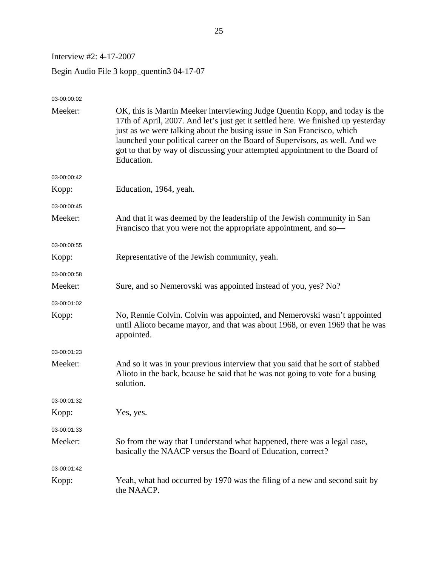Interview #2: 4-17-2007

Begin Audio File 3 kopp\_quentin3 04-17-07

| 03-00:00:02 |                                                                                                                                                                                                                                                                                                                                                                                                                        |
|-------------|------------------------------------------------------------------------------------------------------------------------------------------------------------------------------------------------------------------------------------------------------------------------------------------------------------------------------------------------------------------------------------------------------------------------|
| Meeker:     | OK, this is Martin Meeker interviewing Judge Quentin Kopp, and today is the<br>17th of April, 2007. And let's just get it settled here. We finished up yesterday<br>just as we were talking about the busing issue in San Francisco, which<br>launched your political career on the Board of Supervisors, as well. And we<br>got to that by way of discussing your attempted appointment to the Board of<br>Education. |
| 03-00:00:42 |                                                                                                                                                                                                                                                                                                                                                                                                                        |
| Kopp:       | Education, 1964, yeah.                                                                                                                                                                                                                                                                                                                                                                                                 |
| 03-00:00:45 |                                                                                                                                                                                                                                                                                                                                                                                                                        |
| Meeker:     | And that it was deemed by the leadership of the Jewish community in San<br>Francisco that you were not the appropriate appointment, and so-                                                                                                                                                                                                                                                                            |
| 03-00:00:55 |                                                                                                                                                                                                                                                                                                                                                                                                                        |
| Kopp:       | Representative of the Jewish community, yeah.                                                                                                                                                                                                                                                                                                                                                                          |
| 03-00:00:58 |                                                                                                                                                                                                                                                                                                                                                                                                                        |
| Meeker:     | Sure, and so Nemerovski was appointed instead of you, yes? No?                                                                                                                                                                                                                                                                                                                                                         |
| 03-00:01:02 |                                                                                                                                                                                                                                                                                                                                                                                                                        |
| Kopp:       | No, Rennie Colvin. Colvin was appointed, and Nemerovski wasn't appointed<br>until Alioto became mayor, and that was about 1968, or even 1969 that he was<br>appointed.                                                                                                                                                                                                                                                 |
| 03-00:01:23 |                                                                                                                                                                                                                                                                                                                                                                                                                        |
| Meeker:     | And so it was in your previous interview that you said that he sort of stabbed<br>Alioto in the back, bcause he said that he was not going to vote for a busing<br>solution.                                                                                                                                                                                                                                           |
| 03-00:01:32 |                                                                                                                                                                                                                                                                                                                                                                                                                        |
| Kopp:       | Yes, yes.                                                                                                                                                                                                                                                                                                                                                                                                              |
| 03-00:01:33 |                                                                                                                                                                                                                                                                                                                                                                                                                        |
| Meeker:     | So from the way that I understand what happened, there was a legal case,<br>basically the NAACP versus the Board of Education, correct?                                                                                                                                                                                                                                                                                |
| 03-00:01:42 |                                                                                                                                                                                                                                                                                                                                                                                                                        |
| Kopp:       | Yeah, what had occurred by 1970 was the filing of a new and second suit by<br>the NAACP.                                                                                                                                                                                                                                                                                                                               |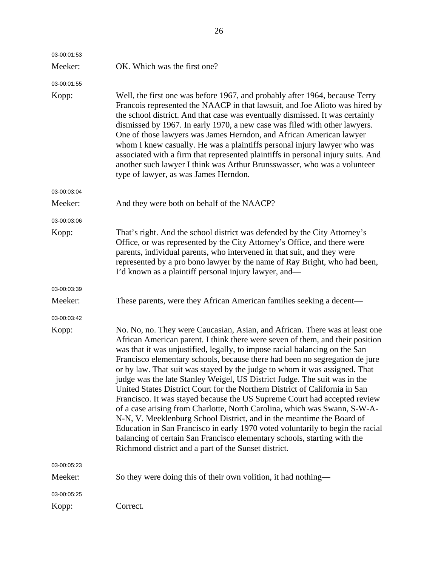| 03-00:01:53 |                                                                                                                                                                                                                                                                                                                                                                                                                                                                                                                                                                                                                                                                                                                                                                                                                                                                                                                                                                                                                               |
|-------------|-------------------------------------------------------------------------------------------------------------------------------------------------------------------------------------------------------------------------------------------------------------------------------------------------------------------------------------------------------------------------------------------------------------------------------------------------------------------------------------------------------------------------------------------------------------------------------------------------------------------------------------------------------------------------------------------------------------------------------------------------------------------------------------------------------------------------------------------------------------------------------------------------------------------------------------------------------------------------------------------------------------------------------|
| Meeker:     | OK. Which was the first one?                                                                                                                                                                                                                                                                                                                                                                                                                                                                                                                                                                                                                                                                                                                                                                                                                                                                                                                                                                                                  |
| 03-00:01:55 |                                                                                                                                                                                                                                                                                                                                                                                                                                                                                                                                                                                                                                                                                                                                                                                                                                                                                                                                                                                                                               |
| Kopp:       | Well, the first one was before 1967, and probably after 1964, because Terry<br>Francois represented the NAACP in that lawsuit, and Joe Alioto was hired by<br>the school district. And that case was eventually dismissed. It was certainly<br>dismissed by 1967. In early 1970, a new case was filed with other lawyers.<br>One of those lawyers was James Herndon, and African American lawyer<br>whom I knew casually. He was a plaintiffs personal injury lawyer who was<br>associated with a firm that represented plaintiffs in personal injury suits. And<br>another such lawyer I think was Arthur Brunsswasser, who was a volunteer<br>type of lawyer, as was James Herndon.                                                                                                                                                                                                                                                                                                                                         |
| 03-00:03:04 |                                                                                                                                                                                                                                                                                                                                                                                                                                                                                                                                                                                                                                                                                                                                                                                                                                                                                                                                                                                                                               |
| Meeker:     | And they were both on behalf of the NAACP?                                                                                                                                                                                                                                                                                                                                                                                                                                                                                                                                                                                                                                                                                                                                                                                                                                                                                                                                                                                    |
| 03-00:03:06 |                                                                                                                                                                                                                                                                                                                                                                                                                                                                                                                                                                                                                                                                                                                                                                                                                                                                                                                                                                                                                               |
| Kopp:       | That's right. And the school district was defended by the City Attorney's<br>Office, or was represented by the City Attorney's Office, and there were<br>parents, individual parents, who intervened in that suit, and they were<br>represented by a pro bono lawyer by the name of Ray Bright, who had been,<br>I'd known as a plaintiff personal injury lawyer, and—                                                                                                                                                                                                                                                                                                                                                                                                                                                                                                                                                                                                                                                        |
| 03-00:03:39 |                                                                                                                                                                                                                                                                                                                                                                                                                                                                                                                                                                                                                                                                                                                                                                                                                                                                                                                                                                                                                               |
| Meeker:     | These parents, were they African American families seeking a decent—                                                                                                                                                                                                                                                                                                                                                                                                                                                                                                                                                                                                                                                                                                                                                                                                                                                                                                                                                          |
| 03-00:03:42 |                                                                                                                                                                                                                                                                                                                                                                                                                                                                                                                                                                                                                                                                                                                                                                                                                                                                                                                                                                                                                               |
| Kopp:       | No. No, no. They were Caucasian, Asian, and African. There was at least one<br>African American parent. I think there were seven of them, and their position<br>was that it was unjustified, legally, to impose racial balancing on the San<br>Francisco elementary schools, because there had been no segregation de jure<br>or by law. That suit was stayed by the judge to whom it was assigned. That<br>judge was the late Stanley Weigel, US District Judge. The suit was in the<br>United States District Court for the Northern District of California in San<br>Francisco. It was stayed because the US Supreme Court had accepted review<br>of a case arising from Charlotte, North Carolina, which was Swann, S-W-A-<br>N-N, V. Meeklenburg School District, and in the meantime the Board of<br>Education in San Francisco in early 1970 voted voluntarily to begin the racial<br>balancing of certain San Francisco elementary schools, starting with the<br>Richmond district and a part of the Sunset district. |
| 03-00:05:23 |                                                                                                                                                                                                                                                                                                                                                                                                                                                                                                                                                                                                                                                                                                                                                                                                                                                                                                                                                                                                                               |
| Meeker:     | So they were doing this of their own volition, it had nothing—                                                                                                                                                                                                                                                                                                                                                                                                                                                                                                                                                                                                                                                                                                                                                                                                                                                                                                                                                                |
| 03-00:05:25 |                                                                                                                                                                                                                                                                                                                                                                                                                                                                                                                                                                                                                                                                                                                                                                                                                                                                                                                                                                                                                               |
| Kopp:       | Correct.                                                                                                                                                                                                                                                                                                                                                                                                                                                                                                                                                                                                                                                                                                                                                                                                                                                                                                                                                                                                                      |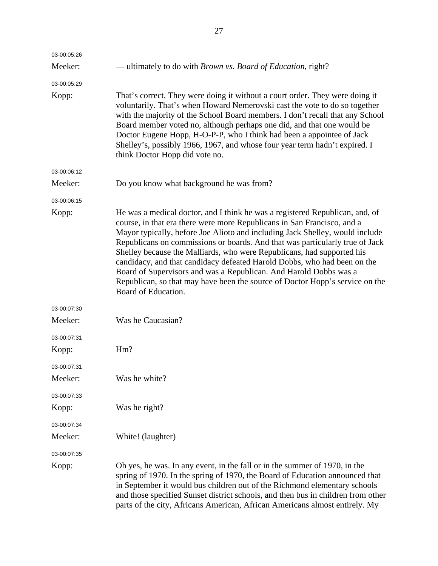| 03-00:05:26 |                                                                                                                                                                                                                                                                                                                                                                                                                                                                                                                                                                                                                                                           |
|-------------|-----------------------------------------------------------------------------------------------------------------------------------------------------------------------------------------------------------------------------------------------------------------------------------------------------------------------------------------------------------------------------------------------------------------------------------------------------------------------------------------------------------------------------------------------------------------------------------------------------------------------------------------------------------|
| Meeker:     | — ultimately to do with <i>Brown vs. Board of Education</i> , right?                                                                                                                                                                                                                                                                                                                                                                                                                                                                                                                                                                                      |
| 03-00:05:29 |                                                                                                                                                                                                                                                                                                                                                                                                                                                                                                                                                                                                                                                           |
| Kopp:       | That's correct. They were doing it without a court order. They were doing it<br>voluntarily. That's when Howard Nemerovski cast the vote to do so together<br>with the majority of the School Board members. I don't recall that any School<br>Board member voted no, although perhaps one did, and that one would be<br>Doctor Eugene Hopp, H-O-P-P, who I think had been a appointee of Jack<br>Shelley's, possibly 1966, 1967, and whose four year term hadn't expired. I<br>think Doctor Hopp did vote no.                                                                                                                                            |
| 03-00:06:12 |                                                                                                                                                                                                                                                                                                                                                                                                                                                                                                                                                                                                                                                           |
| Meeker:     | Do you know what background he was from?                                                                                                                                                                                                                                                                                                                                                                                                                                                                                                                                                                                                                  |
| 03-00:06:15 |                                                                                                                                                                                                                                                                                                                                                                                                                                                                                                                                                                                                                                                           |
| Kopp:       | He was a medical doctor, and I think he was a registered Republican, and, of<br>course, in that era there were more Republicans in San Francisco, and a<br>Mayor typically, before Joe Alioto and including Jack Shelley, would include<br>Republicans on commissions or boards. And that was particularly true of Jack<br>Shelley because the Malliards, who were Republicans, had supported his<br>candidacy, and that candidacy defeated Harold Dobbs, who had been on the<br>Board of Supervisors and was a Republican. And Harold Dobbs was a<br>Republican, so that may have been the source of Doctor Hopp's service on the<br>Board of Education. |
| 03-00:07:30 |                                                                                                                                                                                                                                                                                                                                                                                                                                                                                                                                                                                                                                                           |
| Meeker:     | Was he Caucasian?                                                                                                                                                                                                                                                                                                                                                                                                                                                                                                                                                                                                                                         |
| 03-00:07:31 |                                                                                                                                                                                                                                                                                                                                                                                                                                                                                                                                                                                                                                                           |
| Kopp:       | Hm?                                                                                                                                                                                                                                                                                                                                                                                                                                                                                                                                                                                                                                                       |
| 03-00:07:31 |                                                                                                                                                                                                                                                                                                                                                                                                                                                                                                                                                                                                                                                           |
| Meeker:     | Was he white?                                                                                                                                                                                                                                                                                                                                                                                                                                                                                                                                                                                                                                             |
| 03-00:07:33 |                                                                                                                                                                                                                                                                                                                                                                                                                                                                                                                                                                                                                                                           |
| Kopp:       | Was he right?                                                                                                                                                                                                                                                                                                                                                                                                                                                                                                                                                                                                                                             |
| 03-00:07:34 |                                                                                                                                                                                                                                                                                                                                                                                                                                                                                                                                                                                                                                                           |
| Meeker:     | White! (laughter)                                                                                                                                                                                                                                                                                                                                                                                                                                                                                                                                                                                                                                         |
| 03-00:07:35 |                                                                                                                                                                                                                                                                                                                                                                                                                                                                                                                                                                                                                                                           |
| Kopp:       | Oh yes, he was. In any event, in the fall or in the summer of 1970, in the<br>spring of 1970. In the spring of 1970, the Board of Education announced that<br>in September it would bus children out of the Richmond elementary schools<br>and those specified Sunset district schools, and then bus in children from other<br>parts of the city, Africans American, African Americans almost entirely. My                                                                                                                                                                                                                                                |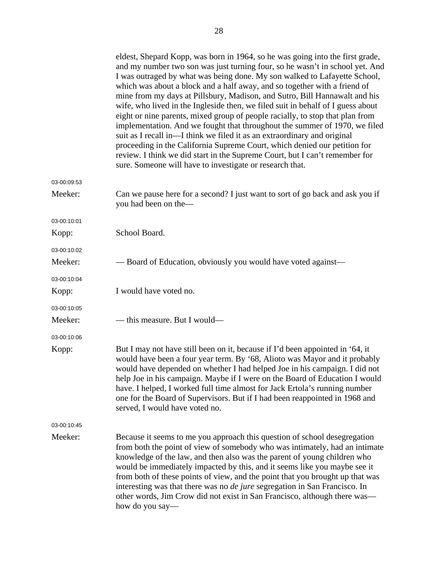|             | eldest, Shepard Kopp, was born in 1964, so he was going into the first grade,<br>and my number two son was just turning four, so he wasn't in school yet. And<br>I was outraged by what was being done. My son walked to Lafayette School,<br>which was about a block and a half away, and so together with a friend of<br>mine from my days at Pillsbury, Madison, and Sutro, Bill Hannawalt and his<br>wife, who lived in the Ingleside then, we filed suit in behalf of I guess about<br>eight or nine parents, mixed group of people racially, to stop that plan from<br>implementation. And we fought that throughout the summer of 1970, we filed<br>suit as I recall in—I think we filed it as an extraordinary and original<br>proceeding in the California Supreme Court, which denied our petition for<br>review. I think we did start in the Supreme Court, but I can't remember for<br>sure. Someone will have to investigate or research that. |
|-------------|-------------------------------------------------------------------------------------------------------------------------------------------------------------------------------------------------------------------------------------------------------------------------------------------------------------------------------------------------------------------------------------------------------------------------------------------------------------------------------------------------------------------------------------------------------------------------------------------------------------------------------------------------------------------------------------------------------------------------------------------------------------------------------------------------------------------------------------------------------------------------------------------------------------------------------------------------------------|
| 03-00:09:53 |                                                                                                                                                                                                                                                                                                                                                                                                                                                                                                                                                                                                                                                                                                                                                                                                                                                                                                                                                             |
| Meeker:     | Can we pause here for a second? I just want to sort of go back and ask you if<br>you had been on the-                                                                                                                                                                                                                                                                                                                                                                                                                                                                                                                                                                                                                                                                                                                                                                                                                                                       |
| 03-00:10:01 |                                                                                                                                                                                                                                                                                                                                                                                                                                                                                                                                                                                                                                                                                                                                                                                                                                                                                                                                                             |
| Kopp:       | School Board.                                                                                                                                                                                                                                                                                                                                                                                                                                                                                                                                                                                                                                                                                                                                                                                                                                                                                                                                               |
| 03-00:10:02 |                                                                                                                                                                                                                                                                                                                                                                                                                                                                                                                                                                                                                                                                                                                                                                                                                                                                                                                                                             |
| Meeker:     | — Board of Education, obviously you would have voted against—                                                                                                                                                                                                                                                                                                                                                                                                                                                                                                                                                                                                                                                                                                                                                                                                                                                                                               |
| 03-00:10:04 |                                                                                                                                                                                                                                                                                                                                                                                                                                                                                                                                                                                                                                                                                                                                                                                                                                                                                                                                                             |
| Kopp:       | I would have voted no.                                                                                                                                                                                                                                                                                                                                                                                                                                                                                                                                                                                                                                                                                                                                                                                                                                                                                                                                      |
| 03-00:10:05 |                                                                                                                                                                                                                                                                                                                                                                                                                                                                                                                                                                                                                                                                                                                                                                                                                                                                                                                                                             |
| Meeker:     | — this measure. But I would—                                                                                                                                                                                                                                                                                                                                                                                                                                                                                                                                                                                                                                                                                                                                                                                                                                                                                                                                |
| 03-00:10:06 |                                                                                                                                                                                                                                                                                                                                                                                                                                                                                                                                                                                                                                                                                                                                                                                                                                                                                                                                                             |
| Kopp:       | But I may not have still been on it, because if I'd been appointed in '64, it<br>would have been a four year term. By '68, Alioto was Mayor and it probably<br>would have depended on whether I had helped Joe in his campaign. I did not<br>help Joe in his campaign. Maybe if I were on the Board of Education I would<br>have. I helped, I worked full time almost for Jack Ertola's running number<br>one for the Board of Supervisors. But if I had been reappointed in 1968 and<br>served, I would have voted no.                                                                                                                                                                                                                                                                                                                                                                                                                                     |
| 03-00:10:45 |                                                                                                                                                                                                                                                                                                                                                                                                                                                                                                                                                                                                                                                                                                                                                                                                                                                                                                                                                             |
| Meeker:     | Because it seems to me you approach this question of school desegregation<br>from both the point of view of somebody who was intimately, had an intimate<br>knowledge of the law, and then also was the parent of young children who<br>would be immediately impacted by this, and it seems like you maybe see it<br>from both of these points of view, and the point that you brought up that was<br>interesting was that there was no <i>de jure</i> segregation in San Francisco. In<br>other words, Jim Crow did not exist in San Francisco, although there was—<br>how do you say—                                                                                                                                                                                                                                                                                                                                                                     |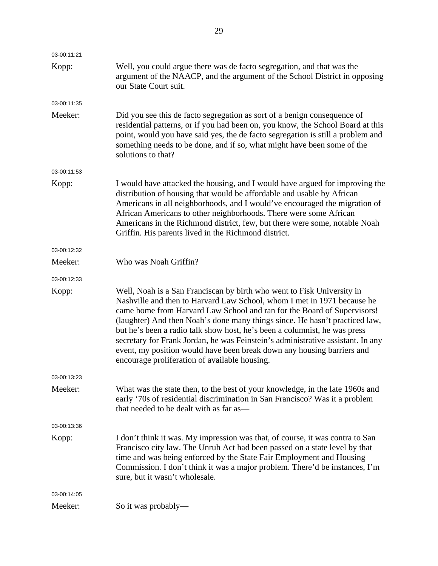| 03-00:11:21 |                                                                                                                                                                                                                                                                                                                                                                                                                                                                                                                                                                                                        |
|-------------|--------------------------------------------------------------------------------------------------------------------------------------------------------------------------------------------------------------------------------------------------------------------------------------------------------------------------------------------------------------------------------------------------------------------------------------------------------------------------------------------------------------------------------------------------------------------------------------------------------|
| Kopp:       | Well, you could argue there was de facto segregation, and that was the<br>argument of the NAACP, and the argument of the School District in opposing<br>our State Court suit.                                                                                                                                                                                                                                                                                                                                                                                                                          |
| 03-00:11:35 |                                                                                                                                                                                                                                                                                                                                                                                                                                                                                                                                                                                                        |
| Meeker:     | Did you see this de facto segregation as sort of a benign consequence of<br>residential patterns, or if you had been on, you know, the School Board at this<br>point, would you have said yes, the de facto segregation is still a problem and<br>something needs to be done, and if so, what might have been some of the<br>solutions to that?                                                                                                                                                                                                                                                        |
| 03-00:11:53 |                                                                                                                                                                                                                                                                                                                                                                                                                                                                                                                                                                                                        |
| Kopp:       | I would have attacked the housing, and I would have argued for improving the<br>distribution of housing that would be affordable and usable by African<br>Americans in all neighborhoods, and I would've encouraged the migration of<br>African Americans to other neighborhoods. There were some African<br>Americans in the Richmond district, few, but there were some, notable Noah<br>Griffin. His parents lived in the Richmond district.                                                                                                                                                        |
| 03-00:12:32 |                                                                                                                                                                                                                                                                                                                                                                                                                                                                                                                                                                                                        |
| Meeker:     | Who was Noah Griffin?                                                                                                                                                                                                                                                                                                                                                                                                                                                                                                                                                                                  |
| 03-00:12:33 |                                                                                                                                                                                                                                                                                                                                                                                                                                                                                                                                                                                                        |
| Kopp:       | Well, Noah is a San Franciscan by birth who went to Fisk University in<br>Nashville and then to Harvard Law School, whom I met in 1971 because he<br>came home from Harvard Law School and ran for the Board of Supervisors!<br>(laughter) And then Noah's done many things since. He hasn't practiced law,<br>but he's been a radio talk show host, he's been a columnist, he was press<br>secretary for Frank Jordan, he was Feinstein's administrative assistant. In any<br>event, my position would have been break down any housing barriers and<br>encourage proliferation of available housing. |
| 03-00:13:23 |                                                                                                                                                                                                                                                                                                                                                                                                                                                                                                                                                                                                        |
| Meeker:     | What was the state then, to the best of your knowledge, in the late 1960s and<br>early '70s of residential discrimination in San Francisco? Was it a problem<br>that needed to be dealt with as far as—                                                                                                                                                                                                                                                                                                                                                                                                |
| 03-00:13:36 |                                                                                                                                                                                                                                                                                                                                                                                                                                                                                                                                                                                                        |
| Kopp:       | I don't think it was. My impression was that, of course, it was contra to San<br>Francisco city law. The Unruh Act had been passed on a state level by that<br>time and was being enforced by the State Fair Employment and Housing<br>Commission. I don't think it was a major problem. There'd be instances, I'm<br>sure, but it wasn't wholesale.                                                                                                                                                                                                                                                   |
| 03-00:14:05 |                                                                                                                                                                                                                                                                                                                                                                                                                                                                                                                                                                                                        |
| Meeker:     | So it was probably—                                                                                                                                                                                                                                                                                                                                                                                                                                                                                                                                                                                    |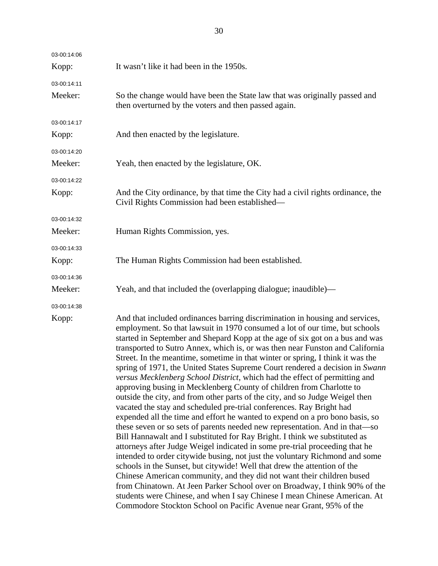| 03-00:14:06 |                                                                                                                                                                                                                                                                                                                                                                                                                                                                                                                                                                                                                                                                                                                                                                                                                                                                                                                                                                                                                                                                                                                                                                                                                                                                                                                                                                                                                                                                                                                                                                                                                |
|-------------|----------------------------------------------------------------------------------------------------------------------------------------------------------------------------------------------------------------------------------------------------------------------------------------------------------------------------------------------------------------------------------------------------------------------------------------------------------------------------------------------------------------------------------------------------------------------------------------------------------------------------------------------------------------------------------------------------------------------------------------------------------------------------------------------------------------------------------------------------------------------------------------------------------------------------------------------------------------------------------------------------------------------------------------------------------------------------------------------------------------------------------------------------------------------------------------------------------------------------------------------------------------------------------------------------------------------------------------------------------------------------------------------------------------------------------------------------------------------------------------------------------------------------------------------------------------------------------------------------------------|
| Kopp:       | It wasn't like it had been in the 1950s.                                                                                                                                                                                                                                                                                                                                                                                                                                                                                                                                                                                                                                                                                                                                                                                                                                                                                                                                                                                                                                                                                                                                                                                                                                                                                                                                                                                                                                                                                                                                                                       |
| 03-00:14:11 |                                                                                                                                                                                                                                                                                                                                                                                                                                                                                                                                                                                                                                                                                                                                                                                                                                                                                                                                                                                                                                                                                                                                                                                                                                                                                                                                                                                                                                                                                                                                                                                                                |
| Meeker:     | So the change would have been the State law that was originally passed and<br>then overturned by the voters and then passed again.                                                                                                                                                                                                                                                                                                                                                                                                                                                                                                                                                                                                                                                                                                                                                                                                                                                                                                                                                                                                                                                                                                                                                                                                                                                                                                                                                                                                                                                                             |
| 03-00:14:17 |                                                                                                                                                                                                                                                                                                                                                                                                                                                                                                                                                                                                                                                                                                                                                                                                                                                                                                                                                                                                                                                                                                                                                                                                                                                                                                                                                                                                                                                                                                                                                                                                                |
| Kopp:       | And then enacted by the legislature.                                                                                                                                                                                                                                                                                                                                                                                                                                                                                                                                                                                                                                                                                                                                                                                                                                                                                                                                                                                                                                                                                                                                                                                                                                                                                                                                                                                                                                                                                                                                                                           |
| 03-00:14:20 |                                                                                                                                                                                                                                                                                                                                                                                                                                                                                                                                                                                                                                                                                                                                                                                                                                                                                                                                                                                                                                                                                                                                                                                                                                                                                                                                                                                                                                                                                                                                                                                                                |
| Meeker:     | Yeah, then enacted by the legislature, OK.                                                                                                                                                                                                                                                                                                                                                                                                                                                                                                                                                                                                                                                                                                                                                                                                                                                                                                                                                                                                                                                                                                                                                                                                                                                                                                                                                                                                                                                                                                                                                                     |
| 03-00:14:22 |                                                                                                                                                                                                                                                                                                                                                                                                                                                                                                                                                                                                                                                                                                                                                                                                                                                                                                                                                                                                                                                                                                                                                                                                                                                                                                                                                                                                                                                                                                                                                                                                                |
| Kopp:       | And the City ordinance, by that time the City had a civil rights ordinance, the<br>Civil Rights Commission had been established—                                                                                                                                                                                                                                                                                                                                                                                                                                                                                                                                                                                                                                                                                                                                                                                                                                                                                                                                                                                                                                                                                                                                                                                                                                                                                                                                                                                                                                                                               |
| 03-00:14:32 |                                                                                                                                                                                                                                                                                                                                                                                                                                                                                                                                                                                                                                                                                                                                                                                                                                                                                                                                                                                                                                                                                                                                                                                                                                                                                                                                                                                                                                                                                                                                                                                                                |
| Meeker:     | Human Rights Commission, yes.                                                                                                                                                                                                                                                                                                                                                                                                                                                                                                                                                                                                                                                                                                                                                                                                                                                                                                                                                                                                                                                                                                                                                                                                                                                                                                                                                                                                                                                                                                                                                                                  |
| 03-00:14:33 |                                                                                                                                                                                                                                                                                                                                                                                                                                                                                                                                                                                                                                                                                                                                                                                                                                                                                                                                                                                                                                                                                                                                                                                                                                                                                                                                                                                                                                                                                                                                                                                                                |
| Kopp:       | The Human Rights Commission had been established.                                                                                                                                                                                                                                                                                                                                                                                                                                                                                                                                                                                                                                                                                                                                                                                                                                                                                                                                                                                                                                                                                                                                                                                                                                                                                                                                                                                                                                                                                                                                                              |
| 03-00:14:36 |                                                                                                                                                                                                                                                                                                                                                                                                                                                                                                                                                                                                                                                                                                                                                                                                                                                                                                                                                                                                                                                                                                                                                                                                                                                                                                                                                                                                                                                                                                                                                                                                                |
| Meeker:     | Yeah, and that included the (overlapping dialogue; inaudible)—                                                                                                                                                                                                                                                                                                                                                                                                                                                                                                                                                                                                                                                                                                                                                                                                                                                                                                                                                                                                                                                                                                                                                                                                                                                                                                                                                                                                                                                                                                                                                 |
| 03-00:14:38 |                                                                                                                                                                                                                                                                                                                                                                                                                                                                                                                                                                                                                                                                                                                                                                                                                                                                                                                                                                                                                                                                                                                                                                                                                                                                                                                                                                                                                                                                                                                                                                                                                |
| Kopp:       | And that included ordinances barring discrimination in housing and services,<br>employment. So that lawsuit in 1970 consumed a lot of our time, but schools<br>started in September and Shepard Kopp at the age of six got on a bus and was<br>transported to Sutro Annex, which is, or was then near Funston and California<br>Street. In the meantime, sometime in that winter or spring, I think it was the<br>spring of 1971, the United States Supreme Court rendered a decision in Swann<br>versus Mecklenberg School District, which had the effect of permitting and<br>approving busing in Mecklenberg County of children from Charlotte to<br>outside the city, and from other parts of the city, and so Judge Weigel then<br>vacated the stay and scheduled pre-trial conferences. Ray Bright had<br>expended all the time and effort he wanted to expend on a pro bono basis, so<br>these seven or so sets of parents needed new representation. And in that—so<br>Bill Hannawalt and I substituted for Ray Bright. I think we substituted as<br>attorneys after Judge Weigel indicated in some pre-trial proceeding that he<br>intended to order citywide busing, not just the voluntary Richmond and some<br>schools in the Sunset, but citywide! Well that drew the attention of the<br>Chinese American community, and they did not want their children bused<br>from Chinatown. At Jeen Parker School over on Broadway, I think 90% of the<br>students were Chinese, and when I say Chinese I mean Chinese American. At<br>Commodore Stockton School on Pacific Avenue near Grant, 95% of the |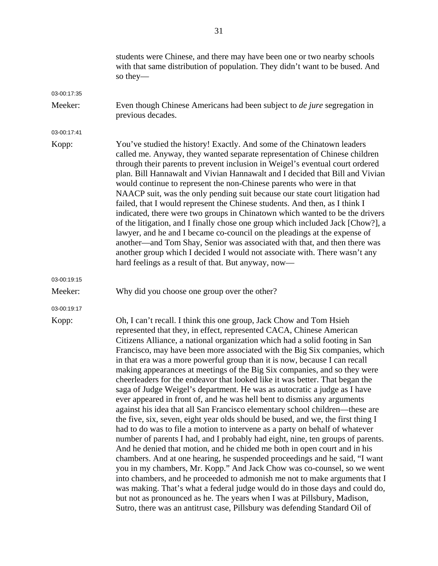|             | students were Chinese, and there may have been one or two nearby schools<br>with that same distribution of population. They didn't want to be bused. And<br>so they—                                                                                                                                                                                                                                                                                                                                                                                                                                                                                                                                                                                                                                                                                                                                                                                                                                                                                                                                                                                                                                                                                                                                                                                                                                                                                                                                                                                                                                                 |
|-------------|----------------------------------------------------------------------------------------------------------------------------------------------------------------------------------------------------------------------------------------------------------------------------------------------------------------------------------------------------------------------------------------------------------------------------------------------------------------------------------------------------------------------------------------------------------------------------------------------------------------------------------------------------------------------------------------------------------------------------------------------------------------------------------------------------------------------------------------------------------------------------------------------------------------------------------------------------------------------------------------------------------------------------------------------------------------------------------------------------------------------------------------------------------------------------------------------------------------------------------------------------------------------------------------------------------------------------------------------------------------------------------------------------------------------------------------------------------------------------------------------------------------------------------------------------------------------------------------------------------------------|
| 03-00:17:35 |                                                                                                                                                                                                                                                                                                                                                                                                                                                                                                                                                                                                                                                                                                                                                                                                                                                                                                                                                                                                                                                                                                                                                                                                                                                                                                                                                                                                                                                                                                                                                                                                                      |
| Meeker:     | Even though Chinese Americans had been subject to <i>de jure</i> segregation in<br>previous decades.                                                                                                                                                                                                                                                                                                                                                                                                                                                                                                                                                                                                                                                                                                                                                                                                                                                                                                                                                                                                                                                                                                                                                                                                                                                                                                                                                                                                                                                                                                                 |
| 03-00:17:41 |                                                                                                                                                                                                                                                                                                                                                                                                                                                                                                                                                                                                                                                                                                                                                                                                                                                                                                                                                                                                                                                                                                                                                                                                                                                                                                                                                                                                                                                                                                                                                                                                                      |
| Kopp:       | You've studied the history! Exactly. And some of the Chinatown leaders<br>called me. Anyway, they wanted separate representation of Chinese children<br>through their parents to prevent inclusion in Weigel's eventual court ordered<br>plan. Bill Hannawalt and Vivian Hannawalt and I decided that Bill and Vivian<br>would continue to represent the non-Chinese parents who were in that<br>NAACP suit, was the only pending suit because our state court litigation had<br>failed, that I would represent the Chinese students. And then, as I think I<br>indicated, there were two groups in Chinatown which wanted to be the drivers<br>of the litigation, and I finally chose one group which included Jack [Chow?], a<br>lawyer, and he and I became co-council on the pleadings at the expense of<br>another—and Tom Shay, Senior was associated with that, and then there was<br>another group which I decided I would not associate with. There wasn't any<br>hard feelings as a result of that. But anyway, now—                                                                                                                                                                                                                                                                                                                                                                                                                                                                                                                                                                                       |
| 03-00:19:15 |                                                                                                                                                                                                                                                                                                                                                                                                                                                                                                                                                                                                                                                                                                                                                                                                                                                                                                                                                                                                                                                                                                                                                                                                                                                                                                                                                                                                                                                                                                                                                                                                                      |
| Meeker:     | Why did you choose one group over the other?                                                                                                                                                                                                                                                                                                                                                                                                                                                                                                                                                                                                                                                                                                                                                                                                                                                                                                                                                                                                                                                                                                                                                                                                                                                                                                                                                                                                                                                                                                                                                                         |
| 03-00:19:17 |                                                                                                                                                                                                                                                                                                                                                                                                                                                                                                                                                                                                                                                                                                                                                                                                                                                                                                                                                                                                                                                                                                                                                                                                                                                                                                                                                                                                                                                                                                                                                                                                                      |
| Kopp:       | Oh, I can't recall. I think this one group, Jack Chow and Tom Hsieh<br>represented that they, in effect, represented CACA, Chinese American<br>Citizens Alliance, a national organization which had a solid footing in San<br>Francisco, may have been more associated with the Big Six companies, which<br>in that era was a more powerful group than it is now, because I can recall<br>making appearances at meetings of the Big Six companies, and so they were<br>cheerleaders for the endeavor that looked like it was better. That began the<br>saga of Judge Weigel's department. He was as autocratic a judge as I have<br>ever appeared in front of, and he was hell bent to dismiss any arguments<br>against his idea that all San Francisco elementary school children—these are<br>the five, six, seven, eight year olds should be bused, and we, the first thing I<br>had to do was to file a motion to intervene as a party on behalf of whatever<br>number of parents I had, and I probably had eight, nine, ten groups of parents.<br>And he denied that motion, and he chided me both in open court and in his<br>chambers. And at one hearing, he suspended proceedings and he said, "I want<br>you in my chambers, Mr. Kopp." And Jack Chow was co-counsel, so we went<br>into chambers, and he proceeded to admonish me not to make arguments that I<br>was making. That's what a federal judge would do in those days and could do,<br>but not as pronounced as he. The years when I was at Pillsbury, Madison,<br>Sutro, there was an antitrust case, Pillsbury was defending Standard Oil of |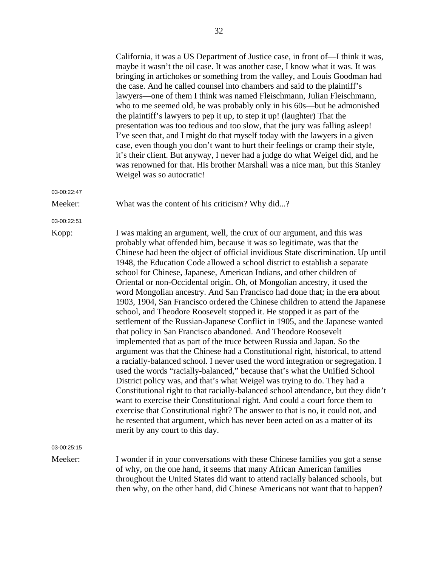|             | California, it was a US Department of Justice case, in front of—I think it was,<br>maybe it wasn't the oil case. It was another case, I know what it was. It was<br>bringing in artichokes or something from the valley, and Louis Goodman had<br>the case. And he called counsel into chambers and said to the plaintiff's<br>lawyers—one of them I think was named Fleischmann, Julian Fleischmann,<br>who to me seemed old, he was probably only in his 60s—but he admonished<br>the plaintiff's lawyers to pep it up, to step it up! (laughter) That the<br>presentation was too tedious and too slow, that the jury was falling asleep!<br>I've seen that, and I might do that myself today with the lawyers in a given<br>case, even though you don't want to hurt their feelings or cramp their style,<br>it's their client. But anyway, I never had a judge do what Weigel did, and he<br>was renowned for that. His brother Marshall was a nice man, but this Stanley<br>Weigel was so autocratic!                                                                                                                                                                                                                                                                                                                                                                                                                                                                                                                                                                                                                                              |
|-------------|----------------------------------------------------------------------------------------------------------------------------------------------------------------------------------------------------------------------------------------------------------------------------------------------------------------------------------------------------------------------------------------------------------------------------------------------------------------------------------------------------------------------------------------------------------------------------------------------------------------------------------------------------------------------------------------------------------------------------------------------------------------------------------------------------------------------------------------------------------------------------------------------------------------------------------------------------------------------------------------------------------------------------------------------------------------------------------------------------------------------------------------------------------------------------------------------------------------------------------------------------------------------------------------------------------------------------------------------------------------------------------------------------------------------------------------------------------------------------------------------------------------------------------------------------------------------------------------------------------------------------------------------------------|
| 03-00:22:47 |                                                                                                                                                                                                                                                                                                                                                                                                                                                                                                                                                                                                                                                                                                                                                                                                                                                                                                                                                                                                                                                                                                                                                                                                                                                                                                                                                                                                                                                                                                                                                                                                                                                          |
| Meeker:     | What was the content of his criticism? Why did?                                                                                                                                                                                                                                                                                                                                                                                                                                                                                                                                                                                                                                                                                                                                                                                                                                                                                                                                                                                                                                                                                                                                                                                                                                                                                                                                                                                                                                                                                                                                                                                                          |
| 03-00:22:51 |                                                                                                                                                                                                                                                                                                                                                                                                                                                                                                                                                                                                                                                                                                                                                                                                                                                                                                                                                                                                                                                                                                                                                                                                                                                                                                                                                                                                                                                                                                                                                                                                                                                          |
| Kopp:       | I was making an argument, well, the crux of our argument, and this was<br>probably what offended him, because it was so legitimate, was that the<br>Chinese had been the object of official invidious State discrimination. Up until<br>1948, the Education Code allowed a school district to establish a separate<br>school for Chinese, Japanese, American Indians, and other children of<br>Oriental or non-Occidental origin. Oh, of Mongolian ancestry, it used the<br>word Mongolian ancestry. And San Francisco had done that; in the era about<br>1903, 1904, San Francisco ordered the Chinese children to attend the Japanese<br>school, and Theodore Roosevelt stopped it. He stopped it as part of the<br>settlement of the Russian-Japanese Conflict in 1905, and the Japanese wanted<br>that policy in San Francisco abandoned. And Theodore Roosevelt<br>implemented that as part of the truce between Russia and Japan. So the<br>argument was that the Chinese had a Constitutional right, historical, to attend<br>a racially-balanced school. I never used the word integration or segregation. I<br>used the words "racially-balanced," because that's what the Unified School<br>District policy was, and that's what Weigel was trying to do. They had a<br>Constitutional right to that racially-balanced school attendance, but they didn't<br>want to exercise their Constitutional right. And could a court force them to<br>exercise that Constitutional right? The answer to that is no, it could not, and<br>he resented that argument, which has never been acted on as a matter of its<br>merit by any court to this day. |
| 03-00:25:15 |                                                                                                                                                                                                                                                                                                                                                                                                                                                                                                                                                                                                                                                                                                                                                                                                                                                                                                                                                                                                                                                                                                                                                                                                                                                                                                                                                                                                                                                                                                                                                                                                                                                          |
| Meeker:     | I wonder if in your conversations with these Chinese families you got a sense<br>of why, on the one hand, it seems that many African American families<br>throughout the United States did want to attend racially balanced schools, but                                                                                                                                                                                                                                                                                                                                                                                                                                                                                                                                                                                                                                                                                                                                                                                                                                                                                                                                                                                                                                                                                                                                                                                                                                                                                                                                                                                                                 |

then why, on the other hand, did Chinese Americans not want that to happen?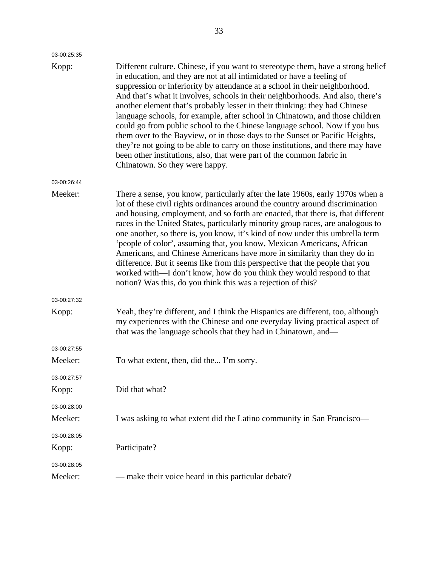| 03-00:25:35 |                                                                                                                                                                                                                                                                                                                                                                                                                                                                                                                                                                                                                                                                                                                                                                                                                                                       |
|-------------|-------------------------------------------------------------------------------------------------------------------------------------------------------------------------------------------------------------------------------------------------------------------------------------------------------------------------------------------------------------------------------------------------------------------------------------------------------------------------------------------------------------------------------------------------------------------------------------------------------------------------------------------------------------------------------------------------------------------------------------------------------------------------------------------------------------------------------------------------------|
| Kopp:       | Different culture. Chinese, if you want to stereotype them, have a strong belief<br>in education, and they are not at all intimidated or have a feeling of<br>suppression or inferiority by attendance at a school in their neighborhood.<br>And that's what it involves, schools in their neighborhoods. And also, there's<br>another element that's probably lesser in their thinking: they had Chinese<br>language schools, for example, after school in Chinatown, and those children<br>could go from public school to the Chinese language school. Now if you bus<br>them over to the Bayview, or in those days to the Sunset or Pacific Heights,<br>they're not going to be able to carry on those institutions, and there may have<br>been other institutions, also, that were part of the common fabric in<br>Chinatown. So they were happy. |
| 03-00:26:44 |                                                                                                                                                                                                                                                                                                                                                                                                                                                                                                                                                                                                                                                                                                                                                                                                                                                       |
| Meeker:     | There a sense, you know, particularly after the late 1960s, early 1970s when a<br>lot of these civil rights ordinances around the country around discrimination<br>and housing, employment, and so forth are enacted, that there is, that different<br>races in the United States, particularly minority group races, are analogous to<br>one another, so there is, you know, it's kind of now under this umbrella term<br>'people of color', assuming that, you know, Mexican Americans, African<br>Americans, and Chinese Americans have more in similarity than they do in<br>difference. But it seems like from this perspective that the people that you<br>worked with—I don't know, how do you think they would respond to that<br>notion? Was this, do you think this was a rejection of this?                                                |
| 03-00:27:32 |                                                                                                                                                                                                                                                                                                                                                                                                                                                                                                                                                                                                                                                                                                                                                                                                                                                       |
| Kopp:       | Yeah, they're different, and I think the Hispanics are different, too, although<br>my experiences with the Chinese and one everyday living practical aspect of<br>that was the language schools that they had in Chinatown, and-                                                                                                                                                                                                                                                                                                                                                                                                                                                                                                                                                                                                                      |
| 03-00:27:55 |                                                                                                                                                                                                                                                                                                                                                                                                                                                                                                                                                                                                                                                                                                                                                                                                                                                       |
| Meeker:     | To what extent, then, did the I'm sorry.                                                                                                                                                                                                                                                                                                                                                                                                                                                                                                                                                                                                                                                                                                                                                                                                              |
| 03-00:27:57 |                                                                                                                                                                                                                                                                                                                                                                                                                                                                                                                                                                                                                                                                                                                                                                                                                                                       |
| Kopp:       | Did that what?                                                                                                                                                                                                                                                                                                                                                                                                                                                                                                                                                                                                                                                                                                                                                                                                                                        |
| 03-00:28:00 |                                                                                                                                                                                                                                                                                                                                                                                                                                                                                                                                                                                                                                                                                                                                                                                                                                                       |
| Meeker:     | I was asking to what extent did the Latino community in San Francisco-                                                                                                                                                                                                                                                                                                                                                                                                                                                                                                                                                                                                                                                                                                                                                                                |
| 03-00:28:05 |                                                                                                                                                                                                                                                                                                                                                                                                                                                                                                                                                                                                                                                                                                                                                                                                                                                       |
| Kopp:       | Participate?                                                                                                                                                                                                                                                                                                                                                                                                                                                                                                                                                                                                                                                                                                                                                                                                                                          |
| 03-00:28:05 |                                                                                                                                                                                                                                                                                                                                                                                                                                                                                                                                                                                                                                                                                                                                                                                                                                                       |
| Meeker:     | - make their voice heard in this particular debate?                                                                                                                                                                                                                                                                                                                                                                                                                                                                                                                                                                                                                                                                                                                                                                                                   |
|             |                                                                                                                                                                                                                                                                                                                                                                                                                                                                                                                                                                                                                                                                                                                                                                                                                                                       |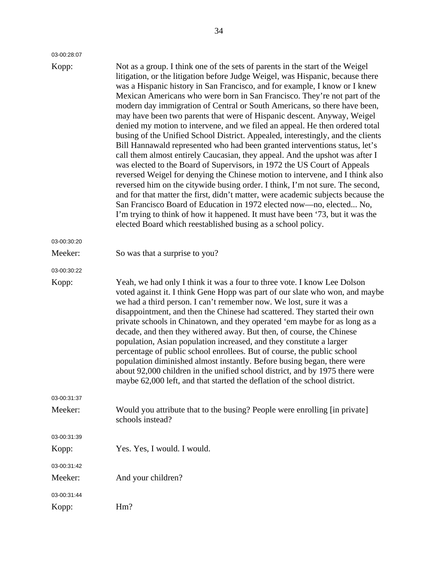| 03-00:28:07 |  |
|-------------|--|

| Kopp:       | Not as a group. I think one of the sets of parents in the start of the Weigel<br>litigation, or the litigation before Judge Weigel, was Hispanic, because there<br>was a Hispanic history in San Francisco, and for example, I know or I knew<br>Mexican Americans who were born in San Francisco. They're not part of the<br>modern day immigration of Central or South Americans, so there have been,<br>may have been two parents that were of Hispanic descent. Anyway, Weigel<br>denied my motion to intervene, and we filed an appeal. He then ordered total<br>busing of the Unified School District. Appealed, interestingly, and the clients<br>Bill Hannawald represented who had been granted interventions status, let's<br>call them almost entirely Caucasian, they appeal. And the upshot was after I<br>was elected to the Board of Supervisors, in 1972 the US Court of Appeals<br>reversed Weigel for denying the Chinese motion to intervene, and I think also<br>reversed him on the citywide busing order. I think, I'm not sure. The second,<br>and for that matter the first, didn't matter, were academic subjects because the<br>San Francisco Board of Education in 1972 elected now-no, elected No,<br>I'm trying to think of how it happened. It must have been '73, but it was the<br>elected Board which reestablished busing as a school policy. |
|-------------|---------------------------------------------------------------------------------------------------------------------------------------------------------------------------------------------------------------------------------------------------------------------------------------------------------------------------------------------------------------------------------------------------------------------------------------------------------------------------------------------------------------------------------------------------------------------------------------------------------------------------------------------------------------------------------------------------------------------------------------------------------------------------------------------------------------------------------------------------------------------------------------------------------------------------------------------------------------------------------------------------------------------------------------------------------------------------------------------------------------------------------------------------------------------------------------------------------------------------------------------------------------------------------------------------------------------------------------------------------------------------------|
| 03-00:30:20 |                                                                                                                                                                                                                                                                                                                                                                                                                                                                                                                                                                                                                                                                                                                                                                                                                                                                                                                                                                                                                                                                                                                                                                                                                                                                                                                                                                                 |
| Meeker:     | So was that a surprise to you?                                                                                                                                                                                                                                                                                                                                                                                                                                                                                                                                                                                                                                                                                                                                                                                                                                                                                                                                                                                                                                                                                                                                                                                                                                                                                                                                                  |
| 03-00:30:22 |                                                                                                                                                                                                                                                                                                                                                                                                                                                                                                                                                                                                                                                                                                                                                                                                                                                                                                                                                                                                                                                                                                                                                                                                                                                                                                                                                                                 |
| Kopp:       | Yeah, we had only I think it was a four to three vote. I know Lee Dolson<br>voted against it. I think Gene Hopp was part of our slate who won, and maybe<br>we had a third person. I can't remember now. We lost, sure it was a<br>disappointment, and then the Chinese had scattered. They started their own<br>private schools in Chinatown, and they operated 'em maybe for as long as a<br>decade, and then they withered away. But then, of course, the Chinese<br>population, Asian population increased, and they constitute a larger<br>percentage of public school enrollees. But of course, the public school<br>population diminished almost instantly. Before busing began, there were<br>about 92,000 children in the unified school district, and by 1975 there were<br>maybe 62,000 left, and that started the deflation of the school district.                                                                                                                                                                                                                                                                                                                                                                                                                                                                                                                 |
| 03-00:31:37 |                                                                                                                                                                                                                                                                                                                                                                                                                                                                                                                                                                                                                                                                                                                                                                                                                                                                                                                                                                                                                                                                                                                                                                                                                                                                                                                                                                                 |
| Meeker:     | Would you attribute that to the busing? People were enrolling [in private]<br>schools instead?                                                                                                                                                                                                                                                                                                                                                                                                                                                                                                                                                                                                                                                                                                                                                                                                                                                                                                                                                                                                                                                                                                                                                                                                                                                                                  |
| 03-00:31:39 |                                                                                                                                                                                                                                                                                                                                                                                                                                                                                                                                                                                                                                                                                                                                                                                                                                                                                                                                                                                                                                                                                                                                                                                                                                                                                                                                                                                 |
| Kopp:       | Yes. Yes, I would. I would.                                                                                                                                                                                                                                                                                                                                                                                                                                                                                                                                                                                                                                                                                                                                                                                                                                                                                                                                                                                                                                                                                                                                                                                                                                                                                                                                                     |
| 03-00:31:42 |                                                                                                                                                                                                                                                                                                                                                                                                                                                                                                                                                                                                                                                                                                                                                                                                                                                                                                                                                                                                                                                                                                                                                                                                                                                                                                                                                                                 |
| Meeker:     | And your children?                                                                                                                                                                                                                                                                                                                                                                                                                                                                                                                                                                                                                                                                                                                                                                                                                                                                                                                                                                                                                                                                                                                                                                                                                                                                                                                                                              |
| 03-00:31:44 |                                                                                                                                                                                                                                                                                                                                                                                                                                                                                                                                                                                                                                                                                                                                                                                                                                                                                                                                                                                                                                                                                                                                                                                                                                                                                                                                                                                 |
| Kopp:       | Hm?                                                                                                                                                                                                                                                                                                                                                                                                                                                                                                                                                                                                                                                                                                                                                                                                                                                                                                                                                                                                                                                                                                                                                                                                                                                                                                                                                                             |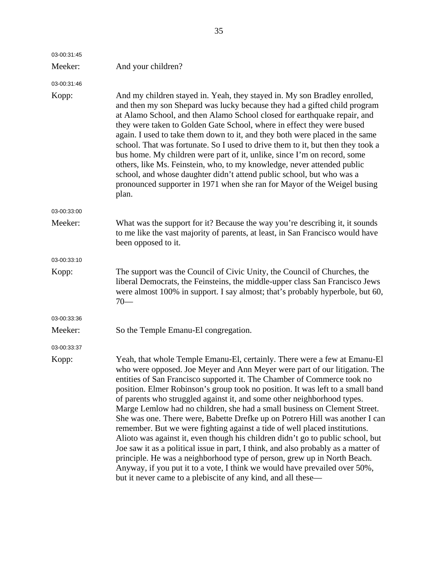| 03-00:31:45 |                                                                                                                                                                                                                                                                                                                                                                                                                                                                                                                                                                                                                                                                                                                                                                                                                                                                                                                                                                                                                                                |
|-------------|------------------------------------------------------------------------------------------------------------------------------------------------------------------------------------------------------------------------------------------------------------------------------------------------------------------------------------------------------------------------------------------------------------------------------------------------------------------------------------------------------------------------------------------------------------------------------------------------------------------------------------------------------------------------------------------------------------------------------------------------------------------------------------------------------------------------------------------------------------------------------------------------------------------------------------------------------------------------------------------------------------------------------------------------|
| Meeker:     | And your children?                                                                                                                                                                                                                                                                                                                                                                                                                                                                                                                                                                                                                                                                                                                                                                                                                                                                                                                                                                                                                             |
| 03-00:31:46 |                                                                                                                                                                                                                                                                                                                                                                                                                                                                                                                                                                                                                                                                                                                                                                                                                                                                                                                                                                                                                                                |
| Kopp:       | And my children stayed in. Yeah, they stayed in. My son Bradley enrolled,<br>and then my son Shepard was lucky because they had a gifted child program<br>at Alamo School, and then Alamo School closed for earthquake repair, and<br>they were taken to Golden Gate School, where in effect they were bused<br>again. I used to take them down to it, and they both were placed in the same<br>school. That was fortunate. So I used to drive them to it, but then they took a<br>bus home. My children were part of it, unlike, since I'm on record, some<br>others, like Ms. Feinstein, who, to my knowledge, never attended public<br>school, and whose daughter didn't attend public school, but who was a<br>pronounced supporter in 1971 when she ran for Mayor of the Weigel busing<br>plan.                                                                                                                                                                                                                                           |
| 03-00:33:00 |                                                                                                                                                                                                                                                                                                                                                                                                                                                                                                                                                                                                                                                                                                                                                                                                                                                                                                                                                                                                                                                |
| Meeker:     | What was the support for it? Because the way you're describing it, it sounds<br>to me like the vast majority of parents, at least, in San Francisco would have<br>been opposed to it.                                                                                                                                                                                                                                                                                                                                                                                                                                                                                                                                                                                                                                                                                                                                                                                                                                                          |
| 03-00:33:10 |                                                                                                                                                                                                                                                                                                                                                                                                                                                                                                                                                                                                                                                                                                                                                                                                                                                                                                                                                                                                                                                |
| Kopp:       | The support was the Council of Civic Unity, the Council of Churches, the<br>liberal Democrats, the Feinsteins, the middle-upper class San Francisco Jews<br>were almost 100% in support. I say almost; that's probably hyperbole, but 60,<br>$70-$                                                                                                                                                                                                                                                                                                                                                                                                                                                                                                                                                                                                                                                                                                                                                                                             |
| 03-00:33:36 |                                                                                                                                                                                                                                                                                                                                                                                                                                                                                                                                                                                                                                                                                                                                                                                                                                                                                                                                                                                                                                                |
| Meeker:     | So the Temple Emanu-El congregation.                                                                                                                                                                                                                                                                                                                                                                                                                                                                                                                                                                                                                                                                                                                                                                                                                                                                                                                                                                                                           |
| 03-00:33:37 |                                                                                                                                                                                                                                                                                                                                                                                                                                                                                                                                                                                                                                                                                                                                                                                                                                                                                                                                                                                                                                                |
| Kopp:       | Yeah, that whole Temple Emanu-El, certainly. There were a few at Emanu-El<br>who were opposed. Joe Meyer and Ann Meyer were part of our litigation. The<br>entities of San Francisco supported it. The Chamber of Commerce took no<br>position. Elmer Robinson's group took no position. It was left to a small band<br>of parents who struggled against it, and some other neighborhood types.<br>Marge Lemlow had no children, she had a small business on Clement Street.<br>She was one. There were, Babette Drefke up on Potrero Hill was another I can<br>remember. But we were fighting against a tide of well placed institutions.<br>Alioto was against it, even though his children didn't go to public school, but<br>Joe saw it as a political issue in part, I think, and also probably as a matter of<br>principle. He was a neighborhood type of person, grew up in North Beach.<br>Anyway, if you put it to a vote, I think we would have prevailed over 50%,<br>but it never came to a plebiscite of any kind, and all these— |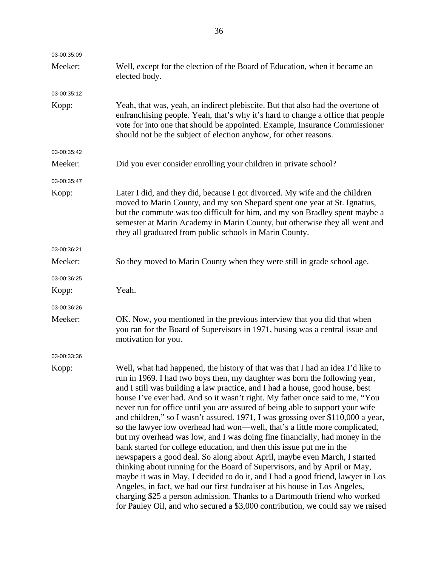| 03-00:35:09 |                                                                                                                                                                                                                                                                                                                                                                                                                                                                                                                                                                                                                                                                                                                                                                                                                                                                                                                                                                                                                                                                                                                                                                                                                                   |
|-------------|-----------------------------------------------------------------------------------------------------------------------------------------------------------------------------------------------------------------------------------------------------------------------------------------------------------------------------------------------------------------------------------------------------------------------------------------------------------------------------------------------------------------------------------------------------------------------------------------------------------------------------------------------------------------------------------------------------------------------------------------------------------------------------------------------------------------------------------------------------------------------------------------------------------------------------------------------------------------------------------------------------------------------------------------------------------------------------------------------------------------------------------------------------------------------------------------------------------------------------------|
| Meeker:     | Well, except for the election of the Board of Education, when it became an<br>elected body.                                                                                                                                                                                                                                                                                                                                                                                                                                                                                                                                                                                                                                                                                                                                                                                                                                                                                                                                                                                                                                                                                                                                       |
| 03-00:35:12 |                                                                                                                                                                                                                                                                                                                                                                                                                                                                                                                                                                                                                                                                                                                                                                                                                                                                                                                                                                                                                                                                                                                                                                                                                                   |
| Kopp:       | Yeah, that was, yeah, an indirect plebiscite. But that also had the overtone of<br>enfranchising people. Yeah, that's why it's hard to change a office that people<br>vote for into one that should be appointed. Example, Insurance Commissioner<br>should not be the subject of election anyhow, for other reasons.                                                                                                                                                                                                                                                                                                                                                                                                                                                                                                                                                                                                                                                                                                                                                                                                                                                                                                             |
| 03-00:35:42 |                                                                                                                                                                                                                                                                                                                                                                                                                                                                                                                                                                                                                                                                                                                                                                                                                                                                                                                                                                                                                                                                                                                                                                                                                                   |
| Meeker:     | Did you ever consider enrolling your children in private school?                                                                                                                                                                                                                                                                                                                                                                                                                                                                                                                                                                                                                                                                                                                                                                                                                                                                                                                                                                                                                                                                                                                                                                  |
| 03-00:35:47 |                                                                                                                                                                                                                                                                                                                                                                                                                                                                                                                                                                                                                                                                                                                                                                                                                                                                                                                                                                                                                                                                                                                                                                                                                                   |
| Kopp:       | Later I did, and they did, because I got divorced. My wife and the children<br>moved to Marin County, and my son Shepard spent one year at St. Ignatius,<br>but the commute was too difficult for him, and my son Bradley spent maybe a<br>semester at Marin Academy in Marin County, but otherwise they all went and<br>they all graduated from public schools in Marin County.                                                                                                                                                                                                                                                                                                                                                                                                                                                                                                                                                                                                                                                                                                                                                                                                                                                  |
| 03-00:36:21 |                                                                                                                                                                                                                                                                                                                                                                                                                                                                                                                                                                                                                                                                                                                                                                                                                                                                                                                                                                                                                                                                                                                                                                                                                                   |
| Meeker:     | So they moved to Marin County when they were still in grade school age.                                                                                                                                                                                                                                                                                                                                                                                                                                                                                                                                                                                                                                                                                                                                                                                                                                                                                                                                                                                                                                                                                                                                                           |
| 03-00:36:25 |                                                                                                                                                                                                                                                                                                                                                                                                                                                                                                                                                                                                                                                                                                                                                                                                                                                                                                                                                                                                                                                                                                                                                                                                                                   |
| Kopp:       | Yeah.                                                                                                                                                                                                                                                                                                                                                                                                                                                                                                                                                                                                                                                                                                                                                                                                                                                                                                                                                                                                                                                                                                                                                                                                                             |
| 03-00:36:26 |                                                                                                                                                                                                                                                                                                                                                                                                                                                                                                                                                                                                                                                                                                                                                                                                                                                                                                                                                                                                                                                                                                                                                                                                                                   |
| Meeker:     | OK. Now, you mentioned in the previous interview that you did that when<br>you ran for the Board of Supervisors in 1971, busing was a central issue and<br>motivation for you.                                                                                                                                                                                                                                                                                                                                                                                                                                                                                                                                                                                                                                                                                                                                                                                                                                                                                                                                                                                                                                                    |
| 03-00:33:36 |                                                                                                                                                                                                                                                                                                                                                                                                                                                                                                                                                                                                                                                                                                                                                                                                                                                                                                                                                                                                                                                                                                                                                                                                                                   |
| Kopp:       | Well, what had happened, the history of that was that I had an idea I'd like to<br>run in 1969. I had two boys then, my daughter was born the following year,<br>and I still was building a law practice, and I had a house, good house, best<br>house I've ever had. And so it wasn't right. My father once said to me, "You<br>never run for office until you are assured of being able to support your wife<br>and children," so I wasn't assured. 1971, I was grossing over \$110,000 a year,<br>so the lawyer low overhead had won—well, that's a little more complicated,<br>but my overhead was low, and I was doing fine financially, had money in the<br>bank started for college education, and then this issue put me in the<br>newspapers a good deal. So along about April, maybe even March, I started<br>thinking about running for the Board of Supervisors, and by April or May,<br>maybe it was in May, I decided to do it, and I had a good friend, lawyer in Los<br>Angeles, in fact, we had our first fundraiser at his house in Los Angeles,<br>charging \$25 a person admission. Thanks to a Dartmouth friend who worked<br>for Pauley Oil, and who secured a \$3,000 contribution, we could say we raised |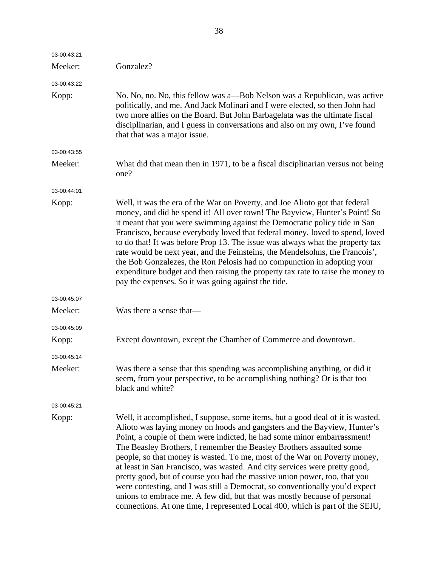| 03-00:43:21 |                                                                                                                                                                                                                                                                                                                                                                                                                                                                                                                                                                                                                                                                                                                                                                                                   |
|-------------|---------------------------------------------------------------------------------------------------------------------------------------------------------------------------------------------------------------------------------------------------------------------------------------------------------------------------------------------------------------------------------------------------------------------------------------------------------------------------------------------------------------------------------------------------------------------------------------------------------------------------------------------------------------------------------------------------------------------------------------------------------------------------------------------------|
| Meeker:     | Gonzalez?                                                                                                                                                                                                                                                                                                                                                                                                                                                                                                                                                                                                                                                                                                                                                                                         |
| 03-00:43:22 |                                                                                                                                                                                                                                                                                                                                                                                                                                                                                                                                                                                                                                                                                                                                                                                                   |
| Kopp:       | No. No, no. No, this fellow was a—Bob Nelson was a Republican, was active<br>politically, and me. And Jack Molinari and I were elected, so then John had<br>two more allies on the Board. But John Barbagelata was the ultimate fiscal<br>disciplinarian, and I guess in conversations and also on my own, I've found<br>that that was a major issue.                                                                                                                                                                                                                                                                                                                                                                                                                                             |
| 03-00:43:55 |                                                                                                                                                                                                                                                                                                                                                                                                                                                                                                                                                                                                                                                                                                                                                                                                   |
| Meeker:     | What did that mean then in 1971, to be a fiscal disciplinarian versus not being<br>one?                                                                                                                                                                                                                                                                                                                                                                                                                                                                                                                                                                                                                                                                                                           |
| 03-00:44:01 |                                                                                                                                                                                                                                                                                                                                                                                                                                                                                                                                                                                                                                                                                                                                                                                                   |
| Kopp:       | Well, it was the era of the War on Poverty, and Joe Alioto got that federal<br>money, and did he spend it! All over town! The Bayview, Hunter's Point! So<br>it meant that you were swimming against the Democratic policy tide in San<br>Francisco, because everybody loved that federal money, loved to spend, loved<br>to do that! It was before Prop 13. The issue was always what the property tax<br>rate would be next year, and the Feinsteins, the Mendelsohns, the Francois',<br>the Bob Gonzalezes, the Ron Pelosis had no compunction in adopting your<br>expenditure budget and then raising the property tax rate to raise the money to<br>pay the expenses. So it was going against the tide.                                                                                      |
| 03-00:45:07 |                                                                                                                                                                                                                                                                                                                                                                                                                                                                                                                                                                                                                                                                                                                                                                                                   |
| Meeker:     | Was there a sense that—                                                                                                                                                                                                                                                                                                                                                                                                                                                                                                                                                                                                                                                                                                                                                                           |
| 03-00:45:09 |                                                                                                                                                                                                                                                                                                                                                                                                                                                                                                                                                                                                                                                                                                                                                                                                   |
| Kopp:       | Except downtown, except the Chamber of Commerce and downtown.                                                                                                                                                                                                                                                                                                                                                                                                                                                                                                                                                                                                                                                                                                                                     |
| 03-00:45:14 |                                                                                                                                                                                                                                                                                                                                                                                                                                                                                                                                                                                                                                                                                                                                                                                                   |
| Meeker:     | Was there a sense that this spending was accomplishing anything, or did it<br>seem, from your perspective, to be accomplishing nothing? Or is that too<br>black and white?                                                                                                                                                                                                                                                                                                                                                                                                                                                                                                                                                                                                                        |
| 03-00:45:21 |                                                                                                                                                                                                                                                                                                                                                                                                                                                                                                                                                                                                                                                                                                                                                                                                   |
| Kopp:       | Well, it accomplished, I suppose, some items, but a good deal of it is wasted.<br>Alioto was laying money on hoods and gangsters and the Bayview, Hunter's<br>Point, a couple of them were indicted, he had some minor embarrassment!<br>The Beasley Brothers, I remember the Beasley Brothers assaulted some<br>people, so that money is wasted. To me, most of the War on Poverty money,<br>at least in San Francisco, was wasted. And city services were pretty good,<br>pretty good, but of course you had the massive union power, too, that you<br>were contesting, and I was still a Democrat, so conventionally you'd expect<br>unions to embrace me. A few did, but that was mostly because of personal<br>connections. At one time, I represented Local 400, which is part of the SEIU, |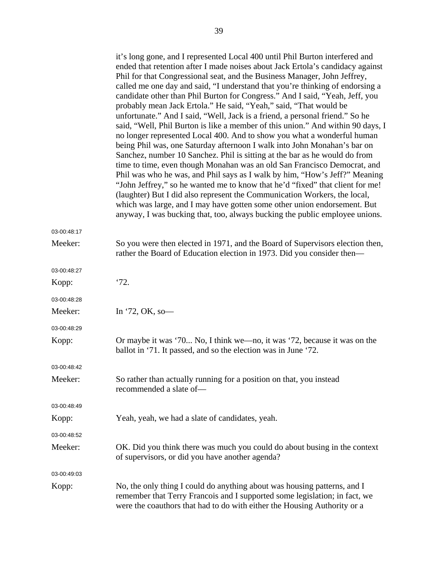|             | it's long gone, and I represented Local 400 until Phil Burton interfered and<br>ended that retention after I made noises about Jack Ertola's candidacy against<br>Phil for that Congressional seat, and the Business Manager, John Jeffrey,<br>called me one day and said, "I understand that you're thinking of endorsing a<br>candidate other than Phil Burton for Congress." And I said, "Yeah, Jeff, you<br>probably mean Jack Ertola." He said, "Yeah," said, "That would be<br>unfortunate." And I said, "Well, Jack is a friend, a personal friend." So he<br>said, "Well, Phil Burton is like a member of this union." And within 90 days, I<br>no longer represented Local 400. And to show you what a wonderful human<br>being Phil was, one Saturday afternoon I walk into John Monahan's bar on<br>Sanchez, number 10 Sanchez. Phil is sitting at the bar as he would do from<br>time to time, even though Monahan was an old San Francisco Democrat, and<br>Phil was who he was, and Phil says as I walk by him, "How's Jeff?" Meaning<br>"John Jeffrey," so he wanted me to know that he'd "fixed" that client for me!<br>(laughter) But I did also represent the Communication Workers, the local,<br>which was large, and I may have gotten some other union endorsement. But<br>anyway, I was bucking that, too, always bucking the public employee unions. |
|-------------|------------------------------------------------------------------------------------------------------------------------------------------------------------------------------------------------------------------------------------------------------------------------------------------------------------------------------------------------------------------------------------------------------------------------------------------------------------------------------------------------------------------------------------------------------------------------------------------------------------------------------------------------------------------------------------------------------------------------------------------------------------------------------------------------------------------------------------------------------------------------------------------------------------------------------------------------------------------------------------------------------------------------------------------------------------------------------------------------------------------------------------------------------------------------------------------------------------------------------------------------------------------------------------------------------------------------------------------------------------------------------|
| 03-00:48:17 |                                                                                                                                                                                                                                                                                                                                                                                                                                                                                                                                                                                                                                                                                                                                                                                                                                                                                                                                                                                                                                                                                                                                                                                                                                                                                                                                                                              |
| Meeker:     | So you were then elected in 1971, and the Board of Supervisors election then,<br>rather the Board of Education election in 1973. Did you consider then—                                                                                                                                                                                                                                                                                                                                                                                                                                                                                                                                                                                                                                                                                                                                                                                                                                                                                                                                                                                                                                                                                                                                                                                                                      |
| 03-00:48:27 |                                                                                                                                                                                                                                                                                                                                                                                                                                                                                                                                                                                                                                                                                                                                                                                                                                                                                                                                                                                                                                                                                                                                                                                                                                                                                                                                                                              |
| Kopp:       | '72.                                                                                                                                                                                                                                                                                                                                                                                                                                                                                                                                                                                                                                                                                                                                                                                                                                                                                                                                                                                                                                                                                                                                                                                                                                                                                                                                                                         |
| 03-00:48:28 |                                                                                                                                                                                                                                                                                                                                                                                                                                                                                                                                                                                                                                                                                                                                                                                                                                                                                                                                                                                                                                                                                                                                                                                                                                                                                                                                                                              |
| Meeker:     | In '72, OK, so-                                                                                                                                                                                                                                                                                                                                                                                                                                                                                                                                                                                                                                                                                                                                                                                                                                                                                                                                                                                                                                                                                                                                                                                                                                                                                                                                                              |
| 03-00:48:29 |                                                                                                                                                                                                                                                                                                                                                                                                                                                                                                                                                                                                                                                                                                                                                                                                                                                                                                                                                                                                                                                                                                                                                                                                                                                                                                                                                                              |
| Kopp:       | Or maybe it was '70 No, I think we—no, it was '72, because it was on the<br>ballot in '71. It passed, and so the election was in June '72.                                                                                                                                                                                                                                                                                                                                                                                                                                                                                                                                                                                                                                                                                                                                                                                                                                                                                                                                                                                                                                                                                                                                                                                                                                   |
| 03-00:48:42 |                                                                                                                                                                                                                                                                                                                                                                                                                                                                                                                                                                                                                                                                                                                                                                                                                                                                                                                                                                                                                                                                                                                                                                                                                                                                                                                                                                              |
| Meeker:     | So rather than actually running for a position on that, you instead<br>recommended a slate of-                                                                                                                                                                                                                                                                                                                                                                                                                                                                                                                                                                                                                                                                                                                                                                                                                                                                                                                                                                                                                                                                                                                                                                                                                                                                               |
| 03-00:48:49 |                                                                                                                                                                                                                                                                                                                                                                                                                                                                                                                                                                                                                                                                                                                                                                                                                                                                                                                                                                                                                                                                                                                                                                                                                                                                                                                                                                              |
| Kopp:       | Yeah, yeah, we had a slate of candidates, yeah.                                                                                                                                                                                                                                                                                                                                                                                                                                                                                                                                                                                                                                                                                                                                                                                                                                                                                                                                                                                                                                                                                                                                                                                                                                                                                                                              |
| 03-00:48:52 |                                                                                                                                                                                                                                                                                                                                                                                                                                                                                                                                                                                                                                                                                                                                                                                                                                                                                                                                                                                                                                                                                                                                                                                                                                                                                                                                                                              |
| Meeker:     | OK. Did you think there was much you could do about busing in the context<br>of supervisors, or did you have another agenda?                                                                                                                                                                                                                                                                                                                                                                                                                                                                                                                                                                                                                                                                                                                                                                                                                                                                                                                                                                                                                                                                                                                                                                                                                                                 |
| 03-00:49:03 |                                                                                                                                                                                                                                                                                                                                                                                                                                                                                                                                                                                                                                                                                                                                                                                                                                                                                                                                                                                                                                                                                                                                                                                                                                                                                                                                                                              |
| Kopp:       | No, the only thing I could do anything about was housing patterns, and I<br>remember that Terry Francois and I supported some legislation; in fact, we<br>were the coauthors that had to do with either the Housing Authority or a                                                                                                                                                                                                                                                                                                                                                                                                                                                                                                                                                                                                                                                                                                                                                                                                                                                                                                                                                                                                                                                                                                                                           |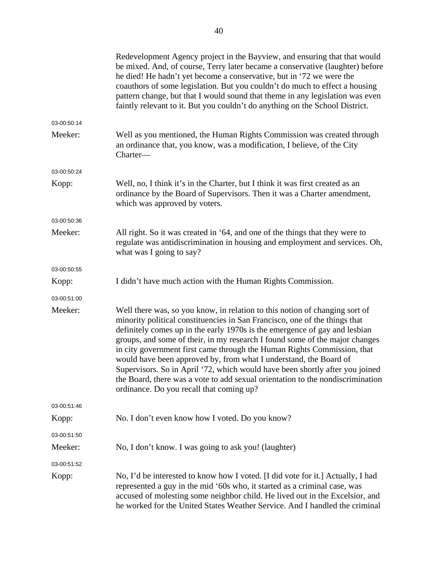|             | Redevelopment Agency project in the Bayview, and ensuring that that would<br>be mixed. And, of course, Terry later became a conservative (laughter) before<br>he died! He hadn't yet become a conservative, but in '72 we were the<br>coauthors of some legislation. But you couldn't do much to effect a housing<br>pattern change, but that I would sound that theme in any legislation was even<br>faintly relevant to it. But you couldn't do anything on the School District.                                                                                                                                                                                                   |
|-------------|--------------------------------------------------------------------------------------------------------------------------------------------------------------------------------------------------------------------------------------------------------------------------------------------------------------------------------------------------------------------------------------------------------------------------------------------------------------------------------------------------------------------------------------------------------------------------------------------------------------------------------------------------------------------------------------|
| 03-00:50:14 |                                                                                                                                                                                                                                                                                                                                                                                                                                                                                                                                                                                                                                                                                      |
| Meeker:     | Well as you mentioned, the Human Rights Commission was created through<br>an ordinance that, you know, was a modification, I believe, of the City<br>Charter-                                                                                                                                                                                                                                                                                                                                                                                                                                                                                                                        |
| 03-00:50:24 |                                                                                                                                                                                                                                                                                                                                                                                                                                                                                                                                                                                                                                                                                      |
| Kopp:       | Well, no, I think it's in the Charter, but I think it was first created as an<br>ordinance by the Board of Supervisors. Then it was a Charter amendment,<br>which was approved by voters.                                                                                                                                                                                                                                                                                                                                                                                                                                                                                            |
| 03-00:50:36 |                                                                                                                                                                                                                                                                                                                                                                                                                                                                                                                                                                                                                                                                                      |
| Meeker:     | All right. So it was created in '64, and one of the things that they were to<br>regulate was antidiscrimination in housing and employment and services. Oh,<br>what was I going to say?                                                                                                                                                                                                                                                                                                                                                                                                                                                                                              |
| 03-00:50:55 |                                                                                                                                                                                                                                                                                                                                                                                                                                                                                                                                                                                                                                                                                      |
| Kopp:       | I didn't have much action with the Human Rights Commission.                                                                                                                                                                                                                                                                                                                                                                                                                                                                                                                                                                                                                          |
| 03-00:51:00 |                                                                                                                                                                                                                                                                                                                                                                                                                                                                                                                                                                                                                                                                                      |
| Meeker:     | Well there was, so you know, in relation to this notion of changing sort of<br>minority political constituencies in San Francisco, one of the things that<br>definitely comes up in the early 1970s is the emergence of gay and lesbian<br>groups, and some of their, in my research I found some of the major changes<br>in city government first came through the Human Rights Commission, that<br>would have been approved by, from what I understand, the Board of<br>Supervisors. So in April '72, which would have been shortly after you joined<br>the Board, there was a vote to add sexual orientation to the nondiscrimination<br>ordinance. Do you recall that coming up? |
| 03-00:51:46 |                                                                                                                                                                                                                                                                                                                                                                                                                                                                                                                                                                                                                                                                                      |
| Kopp:       | No. I don't even know how I voted. Do you know?                                                                                                                                                                                                                                                                                                                                                                                                                                                                                                                                                                                                                                      |
| 03-00:51:50 |                                                                                                                                                                                                                                                                                                                                                                                                                                                                                                                                                                                                                                                                                      |
| Meeker:     | No, I don't know. I was going to ask you! (laughter)                                                                                                                                                                                                                                                                                                                                                                                                                                                                                                                                                                                                                                 |
| 03-00:51:52 |                                                                                                                                                                                                                                                                                                                                                                                                                                                                                                                                                                                                                                                                                      |
| Kopp:       | No, I'd be interested to know how I voted. [I did vote for it.] Actually, I had<br>represented a guy in the mid '60s who, it started as a criminal case, was<br>accused of molesting some neighbor child. He lived out in the Excelsior, and<br>he worked for the United States Weather Service. And I handled the criminal                                                                                                                                                                                                                                                                                                                                                          |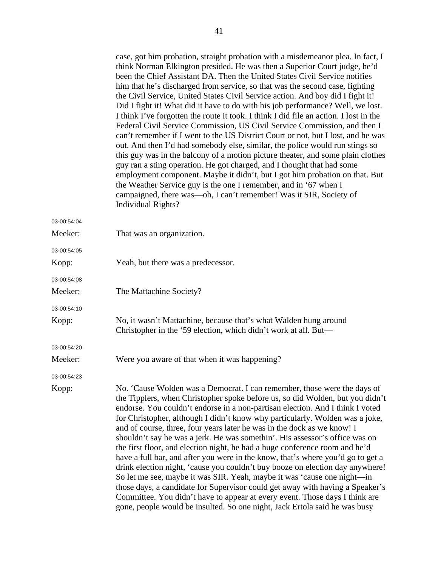|             | case, got him probation, straight probation with a misdemeanor plea. In fact, I<br>think Norman Elkington presided. He was then a Superior Court judge, he'd<br>been the Chief Assistant DA. Then the United States Civil Service notifies<br>him that he's discharged from service, so that was the second case, fighting<br>the Civil Service, United States Civil Service action. And boy did I fight it!<br>Did I fight it! What did it have to do with his job performance? Well, we lost.<br>I think I've forgotten the route it took. I think I did file an action. I lost in the<br>Federal Civil Service Commission, US Civil Service Commission, and then I<br>can't remember if I went to the US District Court or not, but I lost, and he was<br>out. And then I'd had somebody else, similar, the police would run stings so<br>this guy was in the balcony of a motion picture theater, and some plain clothes<br>guy ran a sting operation. He got charged, and I thought that had some<br>employment component. Maybe it didn't, but I got him probation on that. But<br>the Weather Service guy is the one I remember, and in '67 when I<br>campaigned, there was—oh, I can't remember! Was it SIR, Society of<br><b>Individual Rights?</b> |
|-------------|--------------------------------------------------------------------------------------------------------------------------------------------------------------------------------------------------------------------------------------------------------------------------------------------------------------------------------------------------------------------------------------------------------------------------------------------------------------------------------------------------------------------------------------------------------------------------------------------------------------------------------------------------------------------------------------------------------------------------------------------------------------------------------------------------------------------------------------------------------------------------------------------------------------------------------------------------------------------------------------------------------------------------------------------------------------------------------------------------------------------------------------------------------------------------------------------------------------------------------------------------------------|
| 03-00:54:04 |                                                                                                                                                                                                                                                                                                                                                                                                                                                                                                                                                                                                                                                                                                                                                                                                                                                                                                                                                                                                                                                                                                                                                                                                                                                              |
| Meeker:     | That was an organization.                                                                                                                                                                                                                                                                                                                                                                                                                                                                                                                                                                                                                                                                                                                                                                                                                                                                                                                                                                                                                                                                                                                                                                                                                                    |
| 03-00:54:05 |                                                                                                                                                                                                                                                                                                                                                                                                                                                                                                                                                                                                                                                                                                                                                                                                                                                                                                                                                                                                                                                                                                                                                                                                                                                              |
| Kopp:       | Yeah, but there was a predecessor.                                                                                                                                                                                                                                                                                                                                                                                                                                                                                                                                                                                                                                                                                                                                                                                                                                                                                                                                                                                                                                                                                                                                                                                                                           |
| 03-00:54:08 |                                                                                                                                                                                                                                                                                                                                                                                                                                                                                                                                                                                                                                                                                                                                                                                                                                                                                                                                                                                                                                                                                                                                                                                                                                                              |
| Meeker:     | The Mattachine Society?                                                                                                                                                                                                                                                                                                                                                                                                                                                                                                                                                                                                                                                                                                                                                                                                                                                                                                                                                                                                                                                                                                                                                                                                                                      |
| 03-00:54:10 |                                                                                                                                                                                                                                                                                                                                                                                                                                                                                                                                                                                                                                                                                                                                                                                                                                                                                                                                                                                                                                                                                                                                                                                                                                                              |
| Kopp:       | No, it wasn't Mattachine, because that's what Walden hung around<br>Christopher in the '59 election, which didn't work at all. But—                                                                                                                                                                                                                                                                                                                                                                                                                                                                                                                                                                                                                                                                                                                                                                                                                                                                                                                                                                                                                                                                                                                          |
| 03-00:54:20 |                                                                                                                                                                                                                                                                                                                                                                                                                                                                                                                                                                                                                                                                                                                                                                                                                                                                                                                                                                                                                                                                                                                                                                                                                                                              |
| Meeker:     | Were you aware of that when it was happening?                                                                                                                                                                                                                                                                                                                                                                                                                                                                                                                                                                                                                                                                                                                                                                                                                                                                                                                                                                                                                                                                                                                                                                                                                |
| 03-00:54:23 |                                                                                                                                                                                                                                                                                                                                                                                                                                                                                                                                                                                                                                                                                                                                                                                                                                                                                                                                                                                                                                                                                                                                                                                                                                                              |
| Kopp:       | No. 'Cause Wolden was a Democrat. I can remember, those were the days of<br>the Tipplers, when Christopher spoke before us, so did Wolden, but you didn't<br>endorse. You couldn't endorse in a non-partisan election. And I think I voted<br>for Christopher, although I didn't know why particularly. Wolden was a joke,<br>and of course, three, four years later he was in the dock as we know! I<br>shouldn't say he was a jerk. He was somethin'. His assessor's office was on<br>the first floor, and election night, he had a huge conference room and he'd<br>have a full bar, and after you were in the know, that's where you'd go to get a<br>drink election night, 'cause you couldn't buy booze on election day anywhere!<br>So let me see, maybe it was SIR. Yeah, maybe it was 'cause one night-in<br>those days, a candidate for Supervisor could get away with having a Speaker's<br>Committee. You didn't have to appear at every event. Those days I think are<br>gone, people would be insulted. So one night, Jack Ertola said he was busy                                                                                                                                                                                             |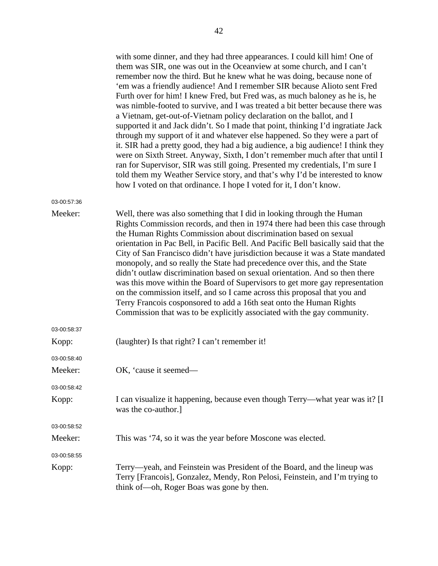|             | with some dinner, and they had three appearances. I could kill him! One of<br>them was SIR, one was out in the Oceanview at some church, and I can't<br>remember now the third. But he knew what he was doing, because none of<br>'em was a friendly audience! And I remember SIR because Alioto sent Fred<br>Furth over for him! I knew Fred, but Fred was, as much baloney as he is, he<br>was nimble-footed to survive, and I was treated a bit better because there was<br>a Vietnam, get-out-of-Vietnam policy declaration on the ballot, and I<br>supported it and Jack didn't. So I made that point, thinking I'd ingratiate Jack<br>through my support of it and whatever else happened. So they were a part of<br>it. SIR had a pretty good, they had a big audience, a big audience! I think they<br>were on Sixth Street. Anyway, Sixth, I don't remember much after that until I<br>ran for Supervisor, SIR was still going. Presented my credentials, I'm sure I<br>told them my Weather Service story, and that's why I'd be interested to know<br>how I voted on that ordinance. I hope I voted for it, I don't know. |
|-------------|--------------------------------------------------------------------------------------------------------------------------------------------------------------------------------------------------------------------------------------------------------------------------------------------------------------------------------------------------------------------------------------------------------------------------------------------------------------------------------------------------------------------------------------------------------------------------------------------------------------------------------------------------------------------------------------------------------------------------------------------------------------------------------------------------------------------------------------------------------------------------------------------------------------------------------------------------------------------------------------------------------------------------------------------------------------------------------------------------------------------------------------|
| 03-00:57:36 |                                                                                                                                                                                                                                                                                                                                                                                                                                                                                                                                                                                                                                                                                                                                                                                                                                                                                                                                                                                                                                                                                                                                      |
| Meeker:     | Well, there was also something that I did in looking through the Human<br>Rights Commission records, and then in 1974 there had been this case through<br>the Human Rights Commission about discrimination based on sexual<br>orientation in Pac Bell, in Pacific Bell. And Pacific Bell basically said that the<br>City of San Francisco didn't have jurisdiction because it was a State mandated<br>monopoly, and so really the State had precedence over this, and the State<br>didn't outlaw discrimination based on sexual orientation. And so then there<br>was this move within the Board of Supervisors to get more gay representation<br>on the commission itself, and so I came across this proposal that you and<br>Terry Francois cosponsored to add a 16th seat onto the Human Rights<br>Commission that was to be explicitly associated with the gay community.                                                                                                                                                                                                                                                        |
| 03-00:58:37 |                                                                                                                                                                                                                                                                                                                                                                                                                                                                                                                                                                                                                                                                                                                                                                                                                                                                                                                                                                                                                                                                                                                                      |
| Kopp:       | (laughter) Is that right? I can't remember it!                                                                                                                                                                                                                                                                                                                                                                                                                                                                                                                                                                                                                                                                                                                                                                                                                                                                                                                                                                                                                                                                                       |
| 03-00:58:40 |                                                                                                                                                                                                                                                                                                                                                                                                                                                                                                                                                                                                                                                                                                                                                                                                                                                                                                                                                                                                                                                                                                                                      |
| Meeker:     | OK, 'cause it seemed—                                                                                                                                                                                                                                                                                                                                                                                                                                                                                                                                                                                                                                                                                                                                                                                                                                                                                                                                                                                                                                                                                                                |
| 03-00:58:42 |                                                                                                                                                                                                                                                                                                                                                                                                                                                                                                                                                                                                                                                                                                                                                                                                                                                                                                                                                                                                                                                                                                                                      |
| Kopp:       | I can visualize it happening, because even though Terry—what year was it? [I]<br>was the co-author.]                                                                                                                                                                                                                                                                                                                                                                                                                                                                                                                                                                                                                                                                                                                                                                                                                                                                                                                                                                                                                                 |
| 03-00:58:52 |                                                                                                                                                                                                                                                                                                                                                                                                                                                                                                                                                                                                                                                                                                                                                                                                                                                                                                                                                                                                                                                                                                                                      |
| Meeker:     | This was '74, so it was the year before Moscone was elected.                                                                                                                                                                                                                                                                                                                                                                                                                                                                                                                                                                                                                                                                                                                                                                                                                                                                                                                                                                                                                                                                         |
| 03-00:58:55 |                                                                                                                                                                                                                                                                                                                                                                                                                                                                                                                                                                                                                                                                                                                                                                                                                                                                                                                                                                                                                                                                                                                                      |
| Kopp:       | Terry—yeah, and Feinstein was President of the Board, and the lineup was<br>Terry [Francois], Gonzalez, Mendy, Ron Pelosi, Feinstein, and I'm trying to<br>think of—oh, Roger Boas was gone by then.                                                                                                                                                                                                                                                                                                                                                                                                                                                                                                                                                                                                                                                                                                                                                                                                                                                                                                                                 |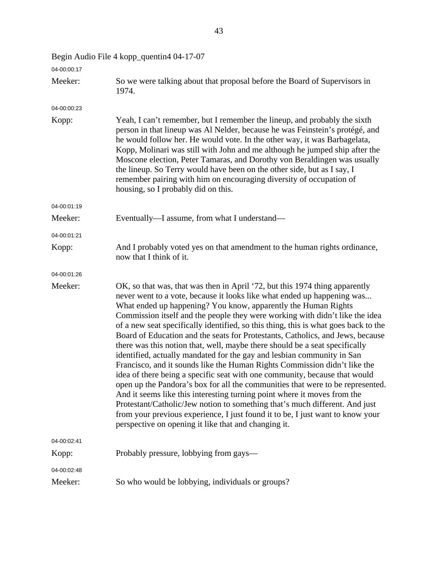| 04-00:00:17 |                                                                                                                                                                                                                                                                                                                                                                                                                                                                                                                                                                                                                                                                                                                                                                                                                                                                                                                                                                                                                                                                                                                                                                                              |
|-------------|----------------------------------------------------------------------------------------------------------------------------------------------------------------------------------------------------------------------------------------------------------------------------------------------------------------------------------------------------------------------------------------------------------------------------------------------------------------------------------------------------------------------------------------------------------------------------------------------------------------------------------------------------------------------------------------------------------------------------------------------------------------------------------------------------------------------------------------------------------------------------------------------------------------------------------------------------------------------------------------------------------------------------------------------------------------------------------------------------------------------------------------------------------------------------------------------|
| Meeker:     | So we were talking about that proposal before the Board of Supervisors in<br>1974.                                                                                                                                                                                                                                                                                                                                                                                                                                                                                                                                                                                                                                                                                                                                                                                                                                                                                                                                                                                                                                                                                                           |
| 04-00:00:23 |                                                                                                                                                                                                                                                                                                                                                                                                                                                                                                                                                                                                                                                                                                                                                                                                                                                                                                                                                                                                                                                                                                                                                                                              |
| Kopp:       | Yeah, I can't remember, but I remember the lineup, and probably the sixth<br>person in that lineup was Al Nelder, because he was Feinstein's protégé, and<br>he would follow her. He would vote. In the other way, it was Barbagelata,<br>Kopp, Molinari was still with John and me although he jumped ship after the<br>Moscone election, Peter Tamaras, and Dorothy von Beraldingen was usually<br>the lineup. So Terry would have been on the other side, but as I say, I<br>remember pairing with him on encouraging diversity of occupation of<br>housing, so I probably did on this.                                                                                                                                                                                                                                                                                                                                                                                                                                                                                                                                                                                                   |
| 04-00:01:19 |                                                                                                                                                                                                                                                                                                                                                                                                                                                                                                                                                                                                                                                                                                                                                                                                                                                                                                                                                                                                                                                                                                                                                                                              |
| Meeker:     | Eventually—I assume, from what I understand—                                                                                                                                                                                                                                                                                                                                                                                                                                                                                                                                                                                                                                                                                                                                                                                                                                                                                                                                                                                                                                                                                                                                                 |
| 04-00:01:21 |                                                                                                                                                                                                                                                                                                                                                                                                                                                                                                                                                                                                                                                                                                                                                                                                                                                                                                                                                                                                                                                                                                                                                                                              |
| Kopp:       | And I probably voted yes on that amendment to the human rights ordinance,<br>now that I think of it.                                                                                                                                                                                                                                                                                                                                                                                                                                                                                                                                                                                                                                                                                                                                                                                                                                                                                                                                                                                                                                                                                         |
| 04-00:01:26 |                                                                                                                                                                                                                                                                                                                                                                                                                                                                                                                                                                                                                                                                                                                                                                                                                                                                                                                                                                                                                                                                                                                                                                                              |
| Meeker:     | OK, so that was, that was then in April '72, but this 1974 thing apparently<br>never went to a vote, because it looks like what ended up happening was<br>What ended up happening? You know, apparently the Human Rights<br>Commission itself and the people they were working with didn't like the idea<br>of a new seat specifically identified, so this thing, this is what goes back to the<br>Board of Education and the seats for Protestants, Catholics, and Jews, because<br>there was this notion that, well, maybe there should be a seat specifically<br>identified, actually mandated for the gay and lesbian community in San<br>Francisco, and it sounds like the Human Rights Commission didn't like the<br>idea of there being a specific seat with one community, because that would<br>open up the Pandora's box for all the communities that were to be represented.<br>And it seems like this interesting turning point where it moves from the<br>Protestant/Catholic/Jew notion to something that's much different. And just<br>from your previous experience, I just found it to be, I just want to know your<br>perspective on opening it like that and changing it. |
| 04-00:02:41 |                                                                                                                                                                                                                                                                                                                                                                                                                                                                                                                                                                                                                                                                                                                                                                                                                                                                                                                                                                                                                                                                                                                                                                                              |
| Kopp:       | Probably pressure, lobbying from gays—                                                                                                                                                                                                                                                                                                                                                                                                                                                                                                                                                                                                                                                                                                                                                                                                                                                                                                                                                                                                                                                                                                                                                       |
| 04-00:02:48 |                                                                                                                                                                                                                                                                                                                                                                                                                                                                                                                                                                                                                                                                                                                                                                                                                                                                                                                                                                                                                                                                                                                                                                                              |
| Meeker:     | So who would be lobbying, individuals or groups?                                                                                                                                                                                                                                                                                                                                                                                                                                                                                                                                                                                                                                                                                                                                                                                                                                                                                                                                                                                                                                                                                                                                             |

Begin Audio File 4 kopp\_quentin4 04-17-07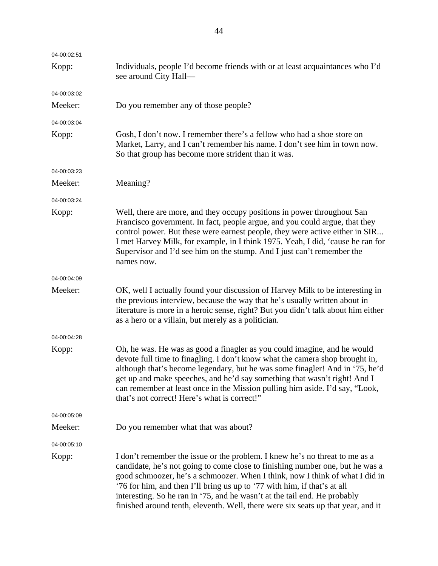| 04-00:02:51 |                                                                                                                                                                                                                                                                                                                                                                                                                                                                                           |
|-------------|-------------------------------------------------------------------------------------------------------------------------------------------------------------------------------------------------------------------------------------------------------------------------------------------------------------------------------------------------------------------------------------------------------------------------------------------------------------------------------------------|
| Kopp:       | Individuals, people I'd become friends with or at least acquaintances who I'd<br>see around City Hall-                                                                                                                                                                                                                                                                                                                                                                                    |
| 04-00:03:02 |                                                                                                                                                                                                                                                                                                                                                                                                                                                                                           |
| Meeker:     | Do you remember any of those people?                                                                                                                                                                                                                                                                                                                                                                                                                                                      |
| 04-00:03:04 |                                                                                                                                                                                                                                                                                                                                                                                                                                                                                           |
| Kopp:       | Gosh, I don't now. I remember there's a fellow who had a shoe store on<br>Market, Larry, and I can't remember his name. I don't see him in town now.<br>So that group has become more strident than it was.                                                                                                                                                                                                                                                                               |
| 04-00:03:23 |                                                                                                                                                                                                                                                                                                                                                                                                                                                                                           |
| Meeker:     | Meaning?                                                                                                                                                                                                                                                                                                                                                                                                                                                                                  |
| 04-00:03:24 |                                                                                                                                                                                                                                                                                                                                                                                                                                                                                           |
| Kopp:       | Well, there are more, and they occupy positions in power throughout San<br>Francisco government. In fact, people argue, and you could argue, that they<br>control power. But these were earnest people, they were active either in SIR<br>I met Harvey Milk, for example, in I think 1975. Yeah, I did, 'cause he ran for<br>Supervisor and I'd see him on the stump. And I just can't remember the<br>names now.                                                                         |
| 04-00:04:09 |                                                                                                                                                                                                                                                                                                                                                                                                                                                                                           |
| Meeker:     | OK, well I actually found your discussion of Harvey Milk to be interesting in<br>the previous interview, because the way that he's usually written about in<br>literature is more in a heroic sense, right? But you didn't talk about him either<br>as a hero or a villain, but merely as a politician.                                                                                                                                                                                   |
| 04-00:04:28 |                                                                                                                                                                                                                                                                                                                                                                                                                                                                                           |
| Kopp:       | Oh, he was. He was as good a finagler as you could imagine, and he would<br>devote full time to finagling. I don't know what the camera shop brought in,<br>although that's become legendary, but he was some finagler! And in '75, he'd<br>get up and make speeches, and he'd say something that wasn't right! And I<br>can remember at least once in the Mission pulling him aside. I'd say, "Look,<br>that's not correct! Here's what is correct!"                                     |
| 04-00:05:09 |                                                                                                                                                                                                                                                                                                                                                                                                                                                                                           |
| Meeker:     | Do you remember what that was about?                                                                                                                                                                                                                                                                                                                                                                                                                                                      |
| 04-00:05:10 |                                                                                                                                                                                                                                                                                                                                                                                                                                                                                           |
| Kopp:       | I don't remember the issue or the problem. I knew he's no threat to me as a<br>candidate, he's not going to come close to finishing number one, but he was a<br>good schmoozer, he's a schmoozer. When I think, now I think of what I did in<br>'76 for him, and then I'll bring us up to '77 with him, if that's at all<br>interesting. So he ran in '75, and he wasn't at the tail end. He probably<br>finished around tenth, eleventh. Well, there were six seats up that year, and it |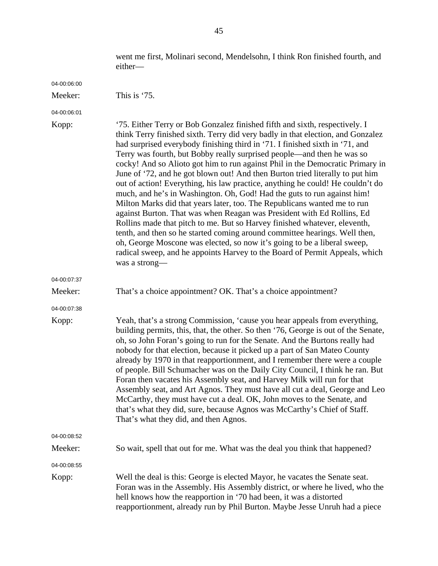went me first, Molinari second, Mendelsohn, I think Ron finished fourth, and either—

04-00:06:00

- 04-00:06:01
- 

| Kopp:       | '75. Either Terry or Bob Gonzalez finished fifth and sixth, respectively. I<br>think Terry finished sixth. Terry did very badly in that election, and Gonzalez<br>had surprised everybody finishing third in '71. I finished sixth in '71, and<br>Terry was fourth, but Bobby really surprised people—and then he was so<br>cocky! And so Alioto got him to run against Phil in the Democratic Primary in<br>June of '72, and he got blown out! And then Burton tried literally to put him<br>out of action! Everything, his law practice, anything he could! He couldn't do<br>much, and he's in Washington. Oh, God! Had the guts to run against him!<br>Milton Marks did that years later, too. The Republicans wanted me to run<br>against Burton. That was when Reagan was President with Ed Rollins, Ed<br>Rollins made that pitch to me. But so Harvey finished whatever, eleventh,<br>tenth, and then so he started coming around committee hearings. Well then,<br>oh, George Moscone was elected, so now it's going to be a liberal sweep,<br>radical sweep, and he appoints Harvey to the Board of Permit Appeals, which<br>was a strong- |
|-------------|------------------------------------------------------------------------------------------------------------------------------------------------------------------------------------------------------------------------------------------------------------------------------------------------------------------------------------------------------------------------------------------------------------------------------------------------------------------------------------------------------------------------------------------------------------------------------------------------------------------------------------------------------------------------------------------------------------------------------------------------------------------------------------------------------------------------------------------------------------------------------------------------------------------------------------------------------------------------------------------------------------------------------------------------------------------------------------------------------------------------------------------------------|
| 04-00:07:37 |                                                                                                                                                                                                                                                                                                                                                                                                                                                                                                                                                                                                                                                                                                                                                                                                                                                                                                                                                                                                                                                                                                                                                      |
| Meeker:     | That's a choice appointment? OK. That's a choice appointment?                                                                                                                                                                                                                                                                                                                                                                                                                                                                                                                                                                                                                                                                                                                                                                                                                                                                                                                                                                                                                                                                                        |
| 04-00:07:38 |                                                                                                                                                                                                                                                                                                                                                                                                                                                                                                                                                                                                                                                                                                                                                                                                                                                                                                                                                                                                                                                                                                                                                      |
| Kopp:       | Yeah, that's a strong Commission, 'cause you hear appeals from everything,<br>building permits, this, that, the other. So then '76, George is out of the Senate,<br>oh, so John Foran's going to run for the Senate. And the Burtons really had<br>nobody for that election, because it picked up a part of San Mateo County<br>already by 1970 in that reapportionment, and I remember there were a couple<br>of people. Bill Schumacher was on the Daily City Council, I think he ran. But<br>Foran then vacates his Assembly seat, and Harvey Milk will run for that<br>Assembly seat, and Art Agnos. They must have all cut a deal, George and Leo<br>McCarthy, they must have cut a deal. OK, John moves to the Senate, and<br>that's what they did, sure, because Agnos was McCarthy's Chief of Staff.<br>That's what they did, and then Agnos.                                                                                                                                                                                                                                                                                                |
| 04-00:08:52 |                                                                                                                                                                                                                                                                                                                                                                                                                                                                                                                                                                                                                                                                                                                                                                                                                                                                                                                                                                                                                                                                                                                                                      |
| Meeker:     | So wait, spell that out for me. What was the deal you think that happened?                                                                                                                                                                                                                                                                                                                                                                                                                                                                                                                                                                                                                                                                                                                                                                                                                                                                                                                                                                                                                                                                           |
| 04-00:08:55 |                                                                                                                                                                                                                                                                                                                                                                                                                                                                                                                                                                                                                                                                                                                                                                                                                                                                                                                                                                                                                                                                                                                                                      |
| Kopp:       | Well the deal is this: George is elected Mayor, he vacates the Senate seat.                                                                                                                                                                                                                                                                                                                                                                                                                                                                                                                                                                                                                                                                                                                                                                                                                                                                                                                                                                                                                                                                          |

Foran was in the Assembly. His Assembly district, or where he lived, who the

reapportionment, already run by Phil Burton. Maybe Jesse Unruh had a piece

hell knows how the reapportion in '70 had been, it was a distorted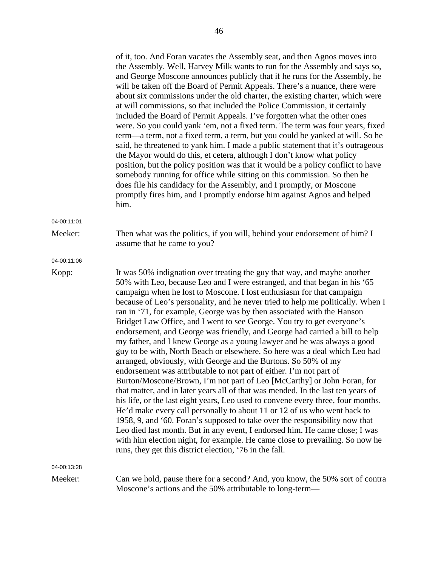|             | of it, too. And Foran vacates the Assembly seat, and then Agnos moves into<br>the Assembly. Well, Harvey Milk wants to run for the Assembly and says so,<br>and George Moscone announces publicly that if he runs for the Assembly, he<br>will be taken off the Board of Permit Appeals. There's a nuance, there were<br>about six commissions under the old charter, the existing charter, which were<br>at will commissions, so that included the Police Commission, it certainly<br>included the Board of Permit Appeals. I've forgotten what the other ones<br>were. So you could yank 'em, not a fixed term. The term was four years, fixed<br>term—a term, not a fixed term, a term, but you could be yanked at will. So he<br>said, he threatened to yank him. I made a public statement that it's outrageous<br>the Mayor would do this, et cetera, although I don't know what policy<br>position, but the policy position was that it would be a policy conflict to have<br>somebody running for office while sitting on this commission. So then he<br>does file his candidacy for the Assembly, and I promptly, or Moscone<br>promptly fires him, and I promptly endorse him against Agnos and helped<br>him.                                                                                                                                                                                                                                                                        |
|-------------|-------------------------------------------------------------------------------------------------------------------------------------------------------------------------------------------------------------------------------------------------------------------------------------------------------------------------------------------------------------------------------------------------------------------------------------------------------------------------------------------------------------------------------------------------------------------------------------------------------------------------------------------------------------------------------------------------------------------------------------------------------------------------------------------------------------------------------------------------------------------------------------------------------------------------------------------------------------------------------------------------------------------------------------------------------------------------------------------------------------------------------------------------------------------------------------------------------------------------------------------------------------------------------------------------------------------------------------------------------------------------------------------------------------------------------------------------------------------------------------------------|
| 04-00:11:01 |                                                                                                                                                                                                                                                                                                                                                                                                                                                                                                                                                                                                                                                                                                                                                                                                                                                                                                                                                                                                                                                                                                                                                                                                                                                                                                                                                                                                                                                                                                 |
| Meeker:     | Then what was the politics, if you will, behind your endorsement of him? I<br>assume that he came to you?                                                                                                                                                                                                                                                                                                                                                                                                                                                                                                                                                                                                                                                                                                                                                                                                                                                                                                                                                                                                                                                                                                                                                                                                                                                                                                                                                                                       |
| 04-00:11:06 |                                                                                                                                                                                                                                                                                                                                                                                                                                                                                                                                                                                                                                                                                                                                                                                                                                                                                                                                                                                                                                                                                                                                                                                                                                                                                                                                                                                                                                                                                                 |
| Kopp:       | It was 50% indignation over treating the guy that way, and maybe another<br>50% with Leo, because Leo and I were estranged, and that began in his '65<br>campaign when he lost to Moscone. I lost enthusiasm for that campaign<br>because of Leo's personality, and he never tried to help me politically. When I<br>ran in '71, for example, George was by then associated with the Hanson<br>Bridget Law Office, and I went to see George. You try to get everyone's<br>endorsement, and George was friendly, and George had carried a bill to help<br>my father, and I knew George as a young lawyer and he was always a good<br>guy to be with, North Beach or elsewhere. So here was a deal which Leo had<br>arranged, obviously, with George and the Burtons. So 50% of my<br>endorsement was attributable to not part of either. I'm not part of<br>Burton/Moscone/Brown, I'm not part of Leo [McCarthy] or John Foran, for<br>that matter, and in later years all of that was mended. In the last ten years of<br>his life, or the last eight years, Leo used to convene every three, four months.<br>He'd make every call personally to about 11 or 12 of us who went back to<br>1958, 9, and '60. Foran's supposed to take over the responsibility now that<br>Leo died last month. But in any event, I endorsed him. He came close; I was<br>with him election night, for example. He came close to prevailing. So now he<br>runs, they get this district election, '76 in the fall. |
| 04-00:13:28 |                                                                                                                                                                                                                                                                                                                                                                                                                                                                                                                                                                                                                                                                                                                                                                                                                                                                                                                                                                                                                                                                                                                                                                                                                                                                                                                                                                                                                                                                                                 |
| Meeker:     | Can we hold, pause there for a second? And, you know, the 50% sort of contra<br>Moscone's actions and the 50% attributable to long-term—                                                                                                                                                                                                                                                                                                                                                                                                                                                                                                                                                                                                                                                                                                                                                                                                                                                                                                                                                                                                                                                                                                                                                                                                                                                                                                                                                        |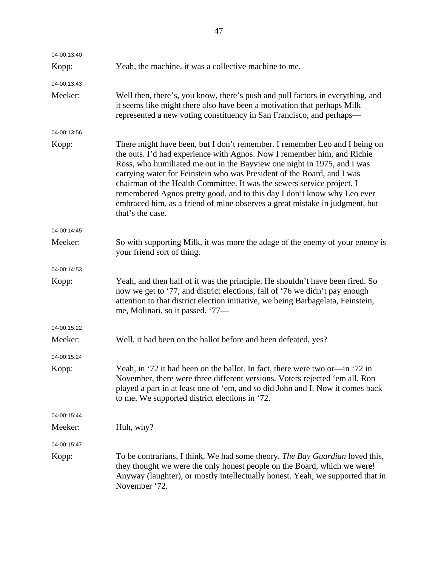| 04-00:13:40 |                                                                                                                                                                                                                                                                                                                                                                                                                                                                                                                                                                    |
|-------------|--------------------------------------------------------------------------------------------------------------------------------------------------------------------------------------------------------------------------------------------------------------------------------------------------------------------------------------------------------------------------------------------------------------------------------------------------------------------------------------------------------------------------------------------------------------------|
| Kopp:       | Yeah, the machine, it was a collective machine to me.                                                                                                                                                                                                                                                                                                                                                                                                                                                                                                              |
| 04-00:13:43 |                                                                                                                                                                                                                                                                                                                                                                                                                                                                                                                                                                    |
| Meeker:     | Well then, there's, you know, there's push and pull factors in everything, and<br>it seems like might there also have been a motivation that perhaps Milk<br>represented a new voting constituency in San Francisco, and perhaps—                                                                                                                                                                                                                                                                                                                                  |
| 04-00:13:56 |                                                                                                                                                                                                                                                                                                                                                                                                                                                                                                                                                                    |
| Kopp:       | There might have been, but I don't remember. I remember Leo and I being on<br>the outs. I'd had experience with Agnos. Now I remember him, and Richie<br>Ross, who humiliated me out in the Bayview one night in 1975, and I was<br>carrying water for Feinstein who was President of the Board, and I was<br>chairman of the Health Committee. It was the sewers service project. I<br>remembered Agnos pretty good, and to this day I don't know why Leo ever<br>embraced him, as a friend of mine observes a great mistake in judgment, but<br>that's the case. |
| 04-00:14:45 |                                                                                                                                                                                                                                                                                                                                                                                                                                                                                                                                                                    |
| Meeker:     | So with supporting Milk, it was more the adage of the enemy of your enemy is<br>your friend sort of thing.                                                                                                                                                                                                                                                                                                                                                                                                                                                         |
| 04-00:14:53 |                                                                                                                                                                                                                                                                                                                                                                                                                                                                                                                                                                    |
| Kopp:       | Yeah, and then half of it was the principle. He shouldn't have been fired. So<br>now we get to '77, and district elections, fall of '76 we didn't pay enough<br>attention to that district election initiative, we being Barbagelata, Feinstein,<br>me, Molinari, so it passed. '77—                                                                                                                                                                                                                                                                               |
| 04-00:15:22 |                                                                                                                                                                                                                                                                                                                                                                                                                                                                                                                                                                    |
| Meeker:     | Well, it had been on the ballot before and been defeated, yes?                                                                                                                                                                                                                                                                                                                                                                                                                                                                                                     |
| 04-00:15:24 |                                                                                                                                                                                                                                                                                                                                                                                                                                                                                                                                                                    |
| Kopp:       | Yeah, in '72 it had been on the ballot. In fact, there were two or-in '72 in<br>November, there were three different versions. Voters rejected 'em all. Ron<br>played a part in at least one of 'em, and so did John and I. Now it comes back<br>to me. We supported district elections in '72.                                                                                                                                                                                                                                                                    |
| 04-00:15:44 |                                                                                                                                                                                                                                                                                                                                                                                                                                                                                                                                                                    |
| Meeker:     | Huh, why?                                                                                                                                                                                                                                                                                                                                                                                                                                                                                                                                                          |
| 04-00:15:47 |                                                                                                                                                                                                                                                                                                                                                                                                                                                                                                                                                                    |
| Kopp:       | To be contrarians, I think. We had some theory. The Bay Guardian loved this,<br>they thought we were the only honest people on the Board, which we were!<br>Anyway (laughter), or mostly intellectually honest. Yeah, we supported that in<br>November '72.                                                                                                                                                                                                                                                                                                        |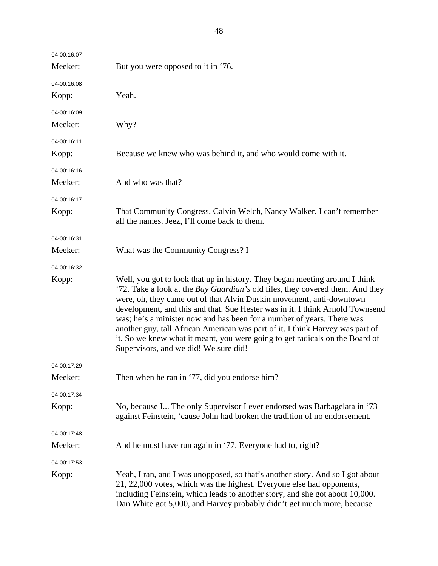| 04-00:16:07 |                                                                                                                                                                                                                                                                                                                                                                                                                                                                                                                                                                                                           |
|-------------|-----------------------------------------------------------------------------------------------------------------------------------------------------------------------------------------------------------------------------------------------------------------------------------------------------------------------------------------------------------------------------------------------------------------------------------------------------------------------------------------------------------------------------------------------------------------------------------------------------------|
| Meeker:     | But you were opposed to it in '76.                                                                                                                                                                                                                                                                                                                                                                                                                                                                                                                                                                        |
| 04-00:16:08 |                                                                                                                                                                                                                                                                                                                                                                                                                                                                                                                                                                                                           |
| Kopp:       | Yeah.                                                                                                                                                                                                                                                                                                                                                                                                                                                                                                                                                                                                     |
| 04-00:16:09 |                                                                                                                                                                                                                                                                                                                                                                                                                                                                                                                                                                                                           |
| Meeker:     | Why?                                                                                                                                                                                                                                                                                                                                                                                                                                                                                                                                                                                                      |
| 04-00:16:11 |                                                                                                                                                                                                                                                                                                                                                                                                                                                                                                                                                                                                           |
| Kopp:       | Because we knew who was behind it, and who would come with it.                                                                                                                                                                                                                                                                                                                                                                                                                                                                                                                                            |
| 04-00:16:16 |                                                                                                                                                                                                                                                                                                                                                                                                                                                                                                                                                                                                           |
| Meeker:     | And who was that?                                                                                                                                                                                                                                                                                                                                                                                                                                                                                                                                                                                         |
| 04-00:16:17 |                                                                                                                                                                                                                                                                                                                                                                                                                                                                                                                                                                                                           |
| Kopp:       | That Community Congress, Calvin Welch, Nancy Walker. I can't remember<br>all the names. Jeez, I'll come back to them.                                                                                                                                                                                                                                                                                                                                                                                                                                                                                     |
| 04-00:16:31 |                                                                                                                                                                                                                                                                                                                                                                                                                                                                                                                                                                                                           |
| Meeker:     | What was the Community Congress? I—                                                                                                                                                                                                                                                                                                                                                                                                                                                                                                                                                                       |
| 04-00:16:32 |                                                                                                                                                                                                                                                                                                                                                                                                                                                                                                                                                                                                           |
| Kopp:       | Well, you got to look that up in history. They began meeting around I think<br>'72. Take a look at the Bay Guardian's old files, they covered them. And they<br>were, oh, they came out of that Alvin Duskin movement, anti-downtown<br>development, and this and that. Sue Hester was in it. I think Arnold Townsend<br>was; he's a minister now and has been for a number of years. There was<br>another guy, tall African American was part of it. I think Harvey was part of<br>it. So we knew what it meant, you were going to get radicals on the Board of<br>Supervisors, and we did! We sure did! |
| 04-00:17:29 |                                                                                                                                                                                                                                                                                                                                                                                                                                                                                                                                                                                                           |
| Meeker:     | Then when he ran in '77, did you endorse him?                                                                                                                                                                                                                                                                                                                                                                                                                                                                                                                                                             |
| 04-00:17:34 |                                                                                                                                                                                                                                                                                                                                                                                                                                                                                                                                                                                                           |
| Kopp:       | No, because I The only Supervisor I ever endorsed was Barbagelata in '73<br>against Feinstein, 'cause John had broken the tradition of no endorsement.                                                                                                                                                                                                                                                                                                                                                                                                                                                    |
| 04-00:17:48 |                                                                                                                                                                                                                                                                                                                                                                                                                                                                                                                                                                                                           |
| Meeker:     | And he must have run again in '77. Everyone had to, right?                                                                                                                                                                                                                                                                                                                                                                                                                                                                                                                                                |
| 04-00:17:53 |                                                                                                                                                                                                                                                                                                                                                                                                                                                                                                                                                                                                           |
| Kopp:       | Yeah, I ran, and I was unopposed, so that's another story. And so I got about<br>21, 22,000 votes, which was the highest. Everyone else had opponents,<br>including Feinstein, which leads to another story, and she got about 10,000.<br>Dan White got 5,000, and Harvey probably didn't get much more, because                                                                                                                                                                                                                                                                                          |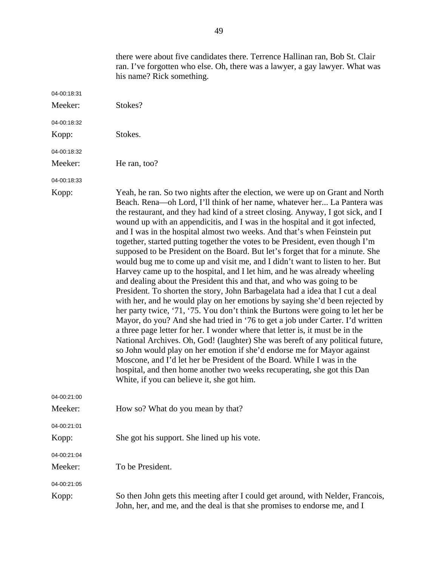|             | there were about five candidates there. Terrence Hallinan ran, Bob St. Clair<br>ran. I've forgotten who else. Oh, there was a lawyer, a gay lawyer. What was<br>his name? Rick something.                                                                                                                                                                                                                                                                                                                                                                                                                                                                                                                                                                                                                                                                                                                                                                                                                                                                                                                                                                                                                                                                                                                                                                                                                                                                                                                                                                                                                        |
|-------------|------------------------------------------------------------------------------------------------------------------------------------------------------------------------------------------------------------------------------------------------------------------------------------------------------------------------------------------------------------------------------------------------------------------------------------------------------------------------------------------------------------------------------------------------------------------------------------------------------------------------------------------------------------------------------------------------------------------------------------------------------------------------------------------------------------------------------------------------------------------------------------------------------------------------------------------------------------------------------------------------------------------------------------------------------------------------------------------------------------------------------------------------------------------------------------------------------------------------------------------------------------------------------------------------------------------------------------------------------------------------------------------------------------------------------------------------------------------------------------------------------------------------------------------------------------------------------------------------------------------|
| 04-00:18:31 |                                                                                                                                                                                                                                                                                                                                                                                                                                                                                                                                                                                                                                                                                                                                                                                                                                                                                                                                                                                                                                                                                                                                                                                                                                                                                                                                                                                                                                                                                                                                                                                                                  |
| Meeker:     | Stokes?                                                                                                                                                                                                                                                                                                                                                                                                                                                                                                                                                                                                                                                                                                                                                                                                                                                                                                                                                                                                                                                                                                                                                                                                                                                                                                                                                                                                                                                                                                                                                                                                          |
| 04-00:18:32 |                                                                                                                                                                                                                                                                                                                                                                                                                                                                                                                                                                                                                                                                                                                                                                                                                                                                                                                                                                                                                                                                                                                                                                                                                                                                                                                                                                                                                                                                                                                                                                                                                  |
| Kopp:       | Stokes.                                                                                                                                                                                                                                                                                                                                                                                                                                                                                                                                                                                                                                                                                                                                                                                                                                                                                                                                                                                                                                                                                                                                                                                                                                                                                                                                                                                                                                                                                                                                                                                                          |
| 04-00:18:32 |                                                                                                                                                                                                                                                                                                                                                                                                                                                                                                                                                                                                                                                                                                                                                                                                                                                                                                                                                                                                                                                                                                                                                                                                                                                                                                                                                                                                                                                                                                                                                                                                                  |
| Meeker:     | He ran, too?                                                                                                                                                                                                                                                                                                                                                                                                                                                                                                                                                                                                                                                                                                                                                                                                                                                                                                                                                                                                                                                                                                                                                                                                                                                                                                                                                                                                                                                                                                                                                                                                     |
| 04-00:18:33 |                                                                                                                                                                                                                                                                                                                                                                                                                                                                                                                                                                                                                                                                                                                                                                                                                                                                                                                                                                                                                                                                                                                                                                                                                                                                                                                                                                                                                                                                                                                                                                                                                  |
| Kopp:       | Yeah, he ran. So two nights after the election, we were up on Grant and North<br>Beach. Rena—oh Lord, I'll think of her name, whatever her La Pantera was<br>the restaurant, and they had kind of a street closing. Anyway, I got sick, and I<br>wound up with an appendicitis, and I was in the hospital and it got infected,<br>and I was in the hospital almost two weeks. And that's when Feinstein put<br>together, started putting together the votes to be President, even though I'm<br>supposed to be President on the Board. But let's forget that for a minute. She<br>would bug me to come up and visit me, and I didn't want to listen to her. But<br>Harvey came up to the hospital, and I let him, and he was already wheeling<br>and dealing about the President this and that, and who was going to be<br>President. To shorten the story, John Barbagelata had a idea that I cut a deal<br>with her, and he would play on her emotions by saying she'd been rejected by<br>her party twice, '71, '75. You don't think the Burtons were going to let her be<br>Mayor, do you? And she had tried in '76 to get a job under Carter. I'd written<br>a three page letter for her. I wonder where that letter is, it must be in the<br>National Archives. Oh, God! (laughter) She was bereft of any political future,<br>so John would play on her emotion if she'd endorse me for Mayor against<br>Moscone, and I'd let her be President of the Board. While I was in the<br>hospital, and then home another two weeks recuperating, she got this Dan<br>White, if you can believe it, she got him. |
| 04-00:21:00 |                                                                                                                                                                                                                                                                                                                                                                                                                                                                                                                                                                                                                                                                                                                                                                                                                                                                                                                                                                                                                                                                                                                                                                                                                                                                                                                                                                                                                                                                                                                                                                                                                  |
| Meeker:     | How so? What do you mean by that?                                                                                                                                                                                                                                                                                                                                                                                                                                                                                                                                                                                                                                                                                                                                                                                                                                                                                                                                                                                                                                                                                                                                                                                                                                                                                                                                                                                                                                                                                                                                                                                |
| 04-00:21:01 |                                                                                                                                                                                                                                                                                                                                                                                                                                                                                                                                                                                                                                                                                                                                                                                                                                                                                                                                                                                                                                                                                                                                                                                                                                                                                                                                                                                                                                                                                                                                                                                                                  |
| Kopp:       | She got his support. She lined up his vote.                                                                                                                                                                                                                                                                                                                                                                                                                                                                                                                                                                                                                                                                                                                                                                                                                                                                                                                                                                                                                                                                                                                                                                                                                                                                                                                                                                                                                                                                                                                                                                      |
| 04-00:21:04 |                                                                                                                                                                                                                                                                                                                                                                                                                                                                                                                                                                                                                                                                                                                                                                                                                                                                                                                                                                                                                                                                                                                                                                                                                                                                                                                                                                                                                                                                                                                                                                                                                  |
| Meeker:     | To be President.                                                                                                                                                                                                                                                                                                                                                                                                                                                                                                                                                                                                                                                                                                                                                                                                                                                                                                                                                                                                                                                                                                                                                                                                                                                                                                                                                                                                                                                                                                                                                                                                 |
| 04-00:21:05 |                                                                                                                                                                                                                                                                                                                                                                                                                                                                                                                                                                                                                                                                                                                                                                                                                                                                                                                                                                                                                                                                                                                                                                                                                                                                                                                                                                                                                                                                                                                                                                                                                  |
| Kopp:       | So then John gets this meeting after I could get around, with Nelder, Francois,<br>John, her, and me, and the deal is that she promises to endorse me, and I                                                                                                                                                                                                                                                                                                                                                                                                                                                                                                                                                                                                                                                                                                                                                                                                                                                                                                                                                                                                                                                                                                                                                                                                                                                                                                                                                                                                                                                     |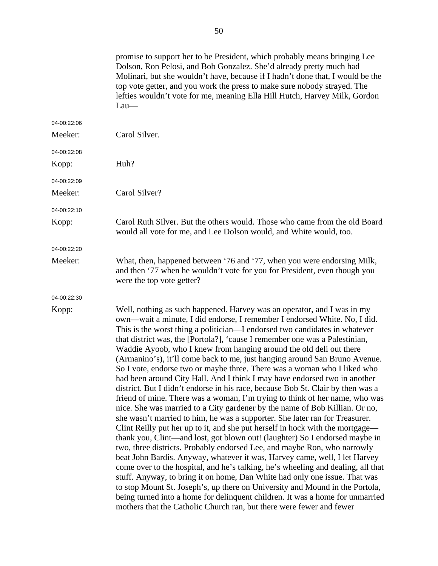|             | promise to support her to be President, which probably means bringing Lee<br>Dolson, Ron Pelosi, and Bob Gonzalez. She'd already pretty much had<br>Molinari, but she wouldn't have, because if I hadn't done that, I would be the<br>top vote getter, and you work the press to make sure nobody strayed. The<br>lefties wouldn't vote for me, meaning Ella Hill Hutch, Harvey Milk, Gordon<br>$Lau$ —                                                                                                                                                                                                                                                                                                                                                                                                                                                                                                                                                                                                                                                                                                                                                                                                                                                                                                                                                                                                                                                                                                                                                                                                                                                                                              |
|-------------|------------------------------------------------------------------------------------------------------------------------------------------------------------------------------------------------------------------------------------------------------------------------------------------------------------------------------------------------------------------------------------------------------------------------------------------------------------------------------------------------------------------------------------------------------------------------------------------------------------------------------------------------------------------------------------------------------------------------------------------------------------------------------------------------------------------------------------------------------------------------------------------------------------------------------------------------------------------------------------------------------------------------------------------------------------------------------------------------------------------------------------------------------------------------------------------------------------------------------------------------------------------------------------------------------------------------------------------------------------------------------------------------------------------------------------------------------------------------------------------------------------------------------------------------------------------------------------------------------------------------------------------------------------------------------------------------------|
| 04-00:22:06 |                                                                                                                                                                                                                                                                                                                                                                                                                                                                                                                                                                                                                                                                                                                                                                                                                                                                                                                                                                                                                                                                                                                                                                                                                                                                                                                                                                                                                                                                                                                                                                                                                                                                                                      |
| Meeker:     | Carol Silver.                                                                                                                                                                                                                                                                                                                                                                                                                                                                                                                                                                                                                                                                                                                                                                                                                                                                                                                                                                                                                                                                                                                                                                                                                                                                                                                                                                                                                                                                                                                                                                                                                                                                                        |
| 04-00:22:08 |                                                                                                                                                                                                                                                                                                                                                                                                                                                                                                                                                                                                                                                                                                                                                                                                                                                                                                                                                                                                                                                                                                                                                                                                                                                                                                                                                                                                                                                                                                                                                                                                                                                                                                      |
| Kopp:       | Huh?                                                                                                                                                                                                                                                                                                                                                                                                                                                                                                                                                                                                                                                                                                                                                                                                                                                                                                                                                                                                                                                                                                                                                                                                                                                                                                                                                                                                                                                                                                                                                                                                                                                                                                 |
| 04-00:22:09 |                                                                                                                                                                                                                                                                                                                                                                                                                                                                                                                                                                                                                                                                                                                                                                                                                                                                                                                                                                                                                                                                                                                                                                                                                                                                                                                                                                                                                                                                                                                                                                                                                                                                                                      |
| Meeker:     | Carol Silver?                                                                                                                                                                                                                                                                                                                                                                                                                                                                                                                                                                                                                                                                                                                                                                                                                                                                                                                                                                                                                                                                                                                                                                                                                                                                                                                                                                                                                                                                                                                                                                                                                                                                                        |
| 04-00:22:10 |                                                                                                                                                                                                                                                                                                                                                                                                                                                                                                                                                                                                                                                                                                                                                                                                                                                                                                                                                                                                                                                                                                                                                                                                                                                                                                                                                                                                                                                                                                                                                                                                                                                                                                      |
| Kopp:       | Carol Ruth Silver. But the others would. Those who came from the old Board<br>would all vote for me, and Lee Dolson would, and White would, too.                                                                                                                                                                                                                                                                                                                                                                                                                                                                                                                                                                                                                                                                                                                                                                                                                                                                                                                                                                                                                                                                                                                                                                                                                                                                                                                                                                                                                                                                                                                                                     |
| 04-00:22:20 |                                                                                                                                                                                                                                                                                                                                                                                                                                                                                                                                                                                                                                                                                                                                                                                                                                                                                                                                                                                                                                                                                                                                                                                                                                                                                                                                                                                                                                                                                                                                                                                                                                                                                                      |
| Meeker:     | What, then, happened between '76 and '77, when you were endorsing Milk,<br>and then '77 when he wouldn't vote for you for President, even though you<br>were the top vote getter?                                                                                                                                                                                                                                                                                                                                                                                                                                                                                                                                                                                                                                                                                                                                                                                                                                                                                                                                                                                                                                                                                                                                                                                                                                                                                                                                                                                                                                                                                                                    |
| 04-00:22:30 |                                                                                                                                                                                                                                                                                                                                                                                                                                                                                                                                                                                                                                                                                                                                                                                                                                                                                                                                                                                                                                                                                                                                                                                                                                                                                                                                                                                                                                                                                                                                                                                                                                                                                                      |
| Kopp:       | Well, nothing as such happened. Harvey was an operator, and I was in my<br>own—wait a minute, I did endorse, I remember I endorsed White. No, I did.<br>This is the worst thing a politician—I endorsed two candidates in whatever<br>that district was, the [Portola?], 'cause I remember one was a Palestinian,<br>Waddie Ayoob, who I knew from hanging around the old deli out there<br>(Armanino's), it'll come back to me, just hanging around San Bruno Avenue.<br>So I vote, endorse two or maybe three. There was a woman who I liked who<br>had been around City Hall. And I think I may have endorsed two in another<br>district. But I didn't endorse in his race, because Bob St. Clair by then was a<br>friend of mine. There was a woman, I'm trying to think of her name, who was<br>nice. She was married to a City gardener by the name of Bob Killian. Or no,<br>she wasn't married to him, he was a supporter. She later ran for Treasurer.<br>Clint Reilly put her up to it, and she put herself in hock with the mortgage—<br>thank you, Clint-and lost, got blown out! (laughter) So I endorsed maybe in<br>two, three districts. Probably endorsed Lee, and maybe Ron, who narrowly<br>beat John Bardis. Anyway, whatever it was, Harvey came, well, I let Harvey<br>come over to the hospital, and he's talking, he's wheeling and dealing, all that<br>stuff. Anyway, to bring it on home, Dan White had only one issue. That was<br>to stop Mount St. Joseph's, up there on University and Mound in the Portola,<br>being turned into a home for delinquent children. It was a home for unmarried<br>mothers that the Catholic Church ran, but there were fewer and fewer |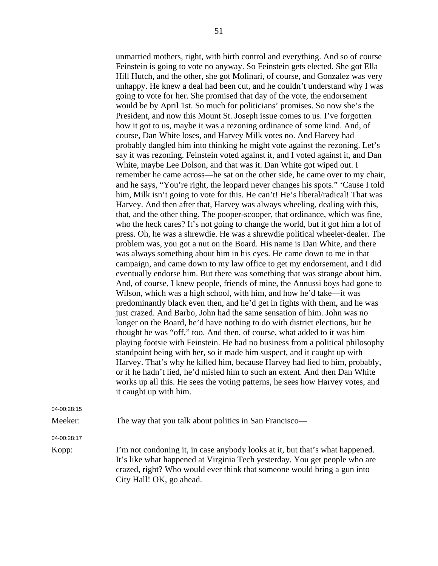unmarried mothers, right, with birth control and everything. And so of course Feinstein is going to vote no anyway. So Feinstein gets elected. She got Ella Hill Hutch, and the other, she got Molinari, of course, and Gonzalez was very unhappy. He knew a deal had been cut, and he couldn't understand why I was going to vote for her. She promised that day of the vote, the endorsement would be by April 1st. So much for politicians' promises. So now she's the President, and now this Mount St. Joseph issue comes to us. I've forgotten how it got to us, maybe it was a rezoning ordinance of some kind. And, of course, Dan White loses, and Harvey Milk votes no. And Harvey had probably dangled him into thinking he might vote against the rezoning. Let's say it was rezoning. Feinstein voted against it, and I voted against it, and Dan White, maybe Lee Dolson, and that was it. Dan White got wiped out. I remember he came across—he sat on the other side, he came over to my chair, and he says, "You're right, the leopard never changes his spots." 'Cause I told him, Milk isn't going to vote for this. He can't! He's liberal/radical! That was Harvey. And then after that, Harvey was always wheeling, dealing with this, that, and the other thing. The pooper-scooper, that ordinance, which was fine, who the heck cares? It's not going to change the world, but it got him a lot of press. Oh, he was a shrewdie. He was a shrewdie political wheeler-dealer. The problem was, you got a nut on the Board. His name is Dan White, and there was always something about him in his eyes. He came down to me in that campaign, and came down to my law office to get my endorsement, and I did eventually endorse him. But there was something that was strange about him. And, of course, I knew people, friends of mine, the Annussi boys had gone to Wilson, which was a high school, with him, and how he'd take—it was predominantly black even then, and he'd get in fights with them, and he was just crazed. And Barbo, John had the same sensation of him. John was no longer on the Board, he'd have nothing to do with district elections, but he thought he was "off," too. And then, of course, what added to it was him playing footsie with Feinstein. He had no business from a political philosophy standpoint being with her, so it made him suspect, and it caught up with Harvey. That's why he killed him, because Harvey had lied to him, probably, or if he hadn't lied, he'd misled him to such an extent. And then Dan White works up all this. He sees the voting patterns, he sees how Harvey votes, and it caught up with him.

04-00:28:15

Meeker: The way that you talk about politics in San Francisco—

04-00:28:17

Kopp: I'm not condoning it, in case anybody looks at it, but that's what happened. It's like what happened at Virginia Tech yesterday. You get people who are crazed, right? Who would ever think that someone would bring a gun into City Hall! OK, go ahead.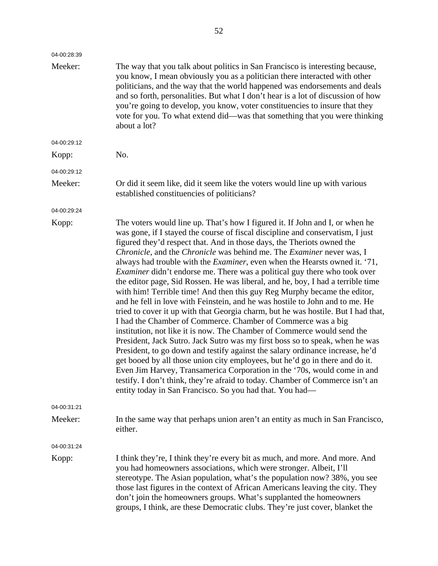| 04-00:28:39 |                                                                                                                                                                                                                                                                                                                                                                                                                                                                                                                                                                                                                                                                                                                                                                                                                                                                                                                                                                                                                                                                                                                                                                                                                                                                                                                                                                                                                                                                            |
|-------------|----------------------------------------------------------------------------------------------------------------------------------------------------------------------------------------------------------------------------------------------------------------------------------------------------------------------------------------------------------------------------------------------------------------------------------------------------------------------------------------------------------------------------------------------------------------------------------------------------------------------------------------------------------------------------------------------------------------------------------------------------------------------------------------------------------------------------------------------------------------------------------------------------------------------------------------------------------------------------------------------------------------------------------------------------------------------------------------------------------------------------------------------------------------------------------------------------------------------------------------------------------------------------------------------------------------------------------------------------------------------------------------------------------------------------------------------------------------------------|
| Meeker:     | The way that you talk about politics in San Francisco is interesting because,<br>you know, I mean obviously you as a politician there interacted with other<br>politicians, and the way that the world happened was endorsements and deals<br>and so forth, personalities. But what I don't hear is a lot of discussion of how<br>you're going to develop, you know, voter constituencies to insure that they<br>vote for you. To what extend did—was that something that you were thinking<br>about a lot?                                                                                                                                                                                                                                                                                                                                                                                                                                                                                                                                                                                                                                                                                                                                                                                                                                                                                                                                                                |
| 04-00:29:12 |                                                                                                                                                                                                                                                                                                                                                                                                                                                                                                                                                                                                                                                                                                                                                                                                                                                                                                                                                                                                                                                                                                                                                                                                                                                                                                                                                                                                                                                                            |
| Kopp:       | No.                                                                                                                                                                                                                                                                                                                                                                                                                                                                                                                                                                                                                                                                                                                                                                                                                                                                                                                                                                                                                                                                                                                                                                                                                                                                                                                                                                                                                                                                        |
| 04-00:29:12 |                                                                                                                                                                                                                                                                                                                                                                                                                                                                                                                                                                                                                                                                                                                                                                                                                                                                                                                                                                                                                                                                                                                                                                                                                                                                                                                                                                                                                                                                            |
| Meeker:     | Or did it seem like, did it seem like the voters would line up with various<br>established constituencies of politicians?                                                                                                                                                                                                                                                                                                                                                                                                                                                                                                                                                                                                                                                                                                                                                                                                                                                                                                                                                                                                                                                                                                                                                                                                                                                                                                                                                  |
| 04-00:29:24 |                                                                                                                                                                                                                                                                                                                                                                                                                                                                                                                                                                                                                                                                                                                                                                                                                                                                                                                                                                                                                                                                                                                                                                                                                                                                                                                                                                                                                                                                            |
| Kopp:       | The voters would line up. That's how I figured it. If John and I, or when he<br>was gone, if I stayed the course of fiscal discipline and conservatism, I just<br>figured they'd respect that. And in those days, the Theriots owned the<br><i>Chronicle</i> , and the <i>Chronicle</i> was behind me. The <i>Examiner</i> never was, I<br>always had trouble with the <i>Examiner</i> , even when the Hearsts owned it. '71,<br><i>Examiner</i> didn't endorse me. There was a political guy there who took over<br>the editor page, Sid Rossen. He was liberal, and he, boy, I had a terrible time<br>with him! Terrible time! And then this guy Reg Murphy became the editor,<br>and he fell in love with Feinstein, and he was hostile to John and to me. He<br>tried to cover it up with that Georgia charm, but he was hostile. But I had that,<br>I had the Chamber of Commerce. Chamber of Commerce was a big<br>institution, not like it is now. The Chamber of Commerce would send the<br>President, Jack Sutro. Jack Sutro was my first boss so to speak, when he was<br>President, to go down and testify against the salary ordinance increase, he'd<br>get booed by all those union city employees, but he'd go in there and do it.<br>Even Jim Harvey, Transamerica Corporation in the '70s, would come in and<br>testify. I don't think, they're afraid to today. Chamber of Commerce isn't an<br>entity today in San Francisco. So you had that. You had— |
| 04-00:31:21 |                                                                                                                                                                                                                                                                                                                                                                                                                                                                                                                                                                                                                                                                                                                                                                                                                                                                                                                                                                                                                                                                                                                                                                                                                                                                                                                                                                                                                                                                            |
| Meeker:     | In the same way that perhaps union aren't an entity as much in San Francisco,<br>either.                                                                                                                                                                                                                                                                                                                                                                                                                                                                                                                                                                                                                                                                                                                                                                                                                                                                                                                                                                                                                                                                                                                                                                                                                                                                                                                                                                                   |
| 04-00:31:24 |                                                                                                                                                                                                                                                                                                                                                                                                                                                                                                                                                                                                                                                                                                                                                                                                                                                                                                                                                                                                                                                                                                                                                                                                                                                                                                                                                                                                                                                                            |
| Kopp:       | I think they're, I think they're every bit as much, and more. And more. And<br>you had homeowners associations, which were stronger. Albeit, I'll<br>stereotype. The Asian population, what's the population now? 38%, you see<br>those last figures in the context of African Americans leaving the city. They<br>don't join the homeowners groups. What's supplanted the homeowners<br>groups, I think, are these Democratic clubs. They're just cover, blanket the                                                                                                                                                                                                                                                                                                                                                                                                                                                                                                                                                                                                                                                                                                                                                                                                                                                                                                                                                                                                      |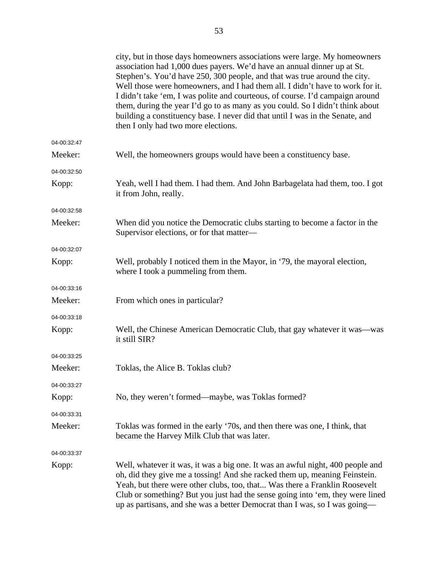|             | city, but in those days homeowners associations were large. My homeowners<br>association had 1,000 dues payers. We'd have an annual dinner up at St.<br>Stephen's. You'd have 250, 300 people, and that was true around the city.<br>Well those were homeowners, and I had them all. I didn't have to work for it.<br>I didn't take 'em, I was polite and courteous, of course. I'd campaign around<br>them, during the year I'd go to as many as you could. So I didn't think about<br>building a constituency base. I never did that until I was in the Senate, and<br>then I only had two more elections. |
|-------------|--------------------------------------------------------------------------------------------------------------------------------------------------------------------------------------------------------------------------------------------------------------------------------------------------------------------------------------------------------------------------------------------------------------------------------------------------------------------------------------------------------------------------------------------------------------------------------------------------------------|
| 04-00:32:47 |                                                                                                                                                                                                                                                                                                                                                                                                                                                                                                                                                                                                              |
| Meeker:     | Well, the homeowners groups would have been a constituency base.                                                                                                                                                                                                                                                                                                                                                                                                                                                                                                                                             |
| 04-00:32:50 |                                                                                                                                                                                                                                                                                                                                                                                                                                                                                                                                                                                                              |
| Kopp:       | Yeah, well I had them. I had them. And John Barbagelata had them, too. I got<br>it from John, really.                                                                                                                                                                                                                                                                                                                                                                                                                                                                                                        |
| 04-00:32:58 |                                                                                                                                                                                                                                                                                                                                                                                                                                                                                                                                                                                                              |
| Meeker:     | When did you notice the Democratic clubs starting to become a factor in the<br>Supervisor elections, or for that matter-                                                                                                                                                                                                                                                                                                                                                                                                                                                                                     |
| 04-00:32:07 |                                                                                                                                                                                                                                                                                                                                                                                                                                                                                                                                                                                                              |
| Kopp:       | Well, probably I noticed them in the Mayor, in '79, the mayoral election,<br>where I took a pummeling from them.                                                                                                                                                                                                                                                                                                                                                                                                                                                                                             |
| 04-00:33:16 |                                                                                                                                                                                                                                                                                                                                                                                                                                                                                                                                                                                                              |
| Meeker:     | From which ones in particular?                                                                                                                                                                                                                                                                                                                                                                                                                                                                                                                                                                               |
| 04-00:33:18 |                                                                                                                                                                                                                                                                                                                                                                                                                                                                                                                                                                                                              |
| Kopp:       | Well, the Chinese American Democratic Club, that gay whatever it was—was<br>it still SIR?                                                                                                                                                                                                                                                                                                                                                                                                                                                                                                                    |
| 04-00:33:25 |                                                                                                                                                                                                                                                                                                                                                                                                                                                                                                                                                                                                              |
| Meeker:     | Toklas, the Alice B. Toklas club?                                                                                                                                                                                                                                                                                                                                                                                                                                                                                                                                                                            |
| 04-00:33:27 |                                                                                                                                                                                                                                                                                                                                                                                                                                                                                                                                                                                                              |
| Kopp:       | No, they weren't formed—maybe, was Toklas formed?                                                                                                                                                                                                                                                                                                                                                                                                                                                                                                                                                            |
| 04-00:33:31 |                                                                                                                                                                                                                                                                                                                                                                                                                                                                                                                                                                                                              |
| Meeker:     | Toklas was formed in the early '70s, and then there was one, I think, that<br>became the Harvey Milk Club that was later.                                                                                                                                                                                                                                                                                                                                                                                                                                                                                    |
| 04-00:33:37 |                                                                                                                                                                                                                                                                                                                                                                                                                                                                                                                                                                                                              |
| Kopp:       | Well, whatever it was, it was a big one. It was an awful night, 400 people and<br>oh, did they give me a tossing! And she racked them up, meaning Feinstein.<br>Yeah, but there were other clubs, too, that Was there a Franklin Roosevelt<br>Club or something? But you just had the sense going into 'em, they were lined<br>up as partisans, and she was a better Democrat than I was, so I was going—                                                                                                                                                                                                    |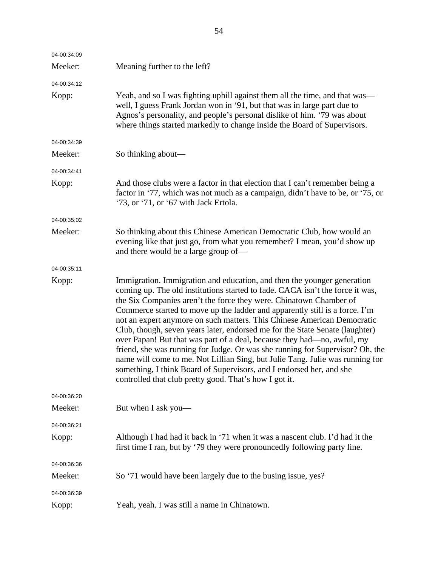| 04-00:34:09 |                                                                                                                                                                                                                                                                                                                                                                                                                                                                                                                                                                                                                                                                                                                                                                                                                                                         |
|-------------|---------------------------------------------------------------------------------------------------------------------------------------------------------------------------------------------------------------------------------------------------------------------------------------------------------------------------------------------------------------------------------------------------------------------------------------------------------------------------------------------------------------------------------------------------------------------------------------------------------------------------------------------------------------------------------------------------------------------------------------------------------------------------------------------------------------------------------------------------------|
| Meeker:     | Meaning further to the left?                                                                                                                                                                                                                                                                                                                                                                                                                                                                                                                                                                                                                                                                                                                                                                                                                            |
| 04-00:34:12 |                                                                                                                                                                                                                                                                                                                                                                                                                                                                                                                                                                                                                                                                                                                                                                                                                                                         |
| Kopp:       | Yeah, and so I was fighting uphill against them all the time, and that was—<br>well, I guess Frank Jordan won in '91, but that was in large part due to<br>Agnos's personality, and people's personal dislike of him. '79 was about<br>where things started markedly to change inside the Board of Supervisors.                                                                                                                                                                                                                                                                                                                                                                                                                                                                                                                                         |
| 04-00:34:39 |                                                                                                                                                                                                                                                                                                                                                                                                                                                                                                                                                                                                                                                                                                                                                                                                                                                         |
| Meeker:     | So thinking about—                                                                                                                                                                                                                                                                                                                                                                                                                                                                                                                                                                                                                                                                                                                                                                                                                                      |
| 04-00:34:41 |                                                                                                                                                                                                                                                                                                                                                                                                                                                                                                                                                                                                                                                                                                                                                                                                                                                         |
| Kopp:       | And those clubs were a factor in that election that I can't remember being a<br>factor in '77, which was not much as a campaign, didn't have to be, or '75, or<br>'73, or '71, or '67 with Jack Ertola.                                                                                                                                                                                                                                                                                                                                                                                                                                                                                                                                                                                                                                                 |
| 04-00:35:02 |                                                                                                                                                                                                                                                                                                                                                                                                                                                                                                                                                                                                                                                                                                                                                                                                                                                         |
| Meeker:     | So thinking about this Chinese American Democratic Club, how would an<br>evening like that just go, from what you remember? I mean, you'd show up<br>and there would be a large group of—                                                                                                                                                                                                                                                                                                                                                                                                                                                                                                                                                                                                                                                               |
| 04-00:35:11 |                                                                                                                                                                                                                                                                                                                                                                                                                                                                                                                                                                                                                                                                                                                                                                                                                                                         |
| Kopp:       | Immigration. Immigration and education, and then the younger generation<br>coming up. The old institutions started to fade. CACA isn't the force it was,<br>the Six Companies aren't the force they were. Chinatown Chamber of<br>Commerce started to move up the ladder and apparently still is a force. I'm<br>not an expert anymore on such matters. This Chinese American Democratic<br>Club, though, seven years later, endorsed me for the State Senate (laughter)<br>over Papan! But that was part of a deal, because they had—no, awful, my<br>friend, she was running for Judge. Or was she running for Supervisor? Oh, the<br>name will come to me. Not Lillian Sing, but Julie Tang. Julie was running for<br>something, I think Board of Supervisors, and I endorsed her, and she<br>controlled that club pretty good. That's how I got it. |
| 04-00:36:20 |                                                                                                                                                                                                                                                                                                                                                                                                                                                                                                                                                                                                                                                                                                                                                                                                                                                         |
| Meeker:     | But when I ask you—                                                                                                                                                                                                                                                                                                                                                                                                                                                                                                                                                                                                                                                                                                                                                                                                                                     |
| 04-00:36:21 |                                                                                                                                                                                                                                                                                                                                                                                                                                                                                                                                                                                                                                                                                                                                                                                                                                                         |
| Kopp:       | Although I had had it back in '71 when it was a nascent club. I'd had it the<br>first time I ran, but by '79 they were pronouncedly following party line.                                                                                                                                                                                                                                                                                                                                                                                                                                                                                                                                                                                                                                                                                               |
| 04-00:36:36 |                                                                                                                                                                                                                                                                                                                                                                                                                                                                                                                                                                                                                                                                                                                                                                                                                                                         |
| Meeker:     | So '71 would have been largely due to the busing issue, yes?                                                                                                                                                                                                                                                                                                                                                                                                                                                                                                                                                                                                                                                                                                                                                                                            |
| 04-00:36:39 |                                                                                                                                                                                                                                                                                                                                                                                                                                                                                                                                                                                                                                                                                                                                                                                                                                                         |
| Kopp:       | Yeah, yeah. I was still a name in Chinatown.                                                                                                                                                                                                                                                                                                                                                                                                                                                                                                                                                                                                                                                                                                                                                                                                            |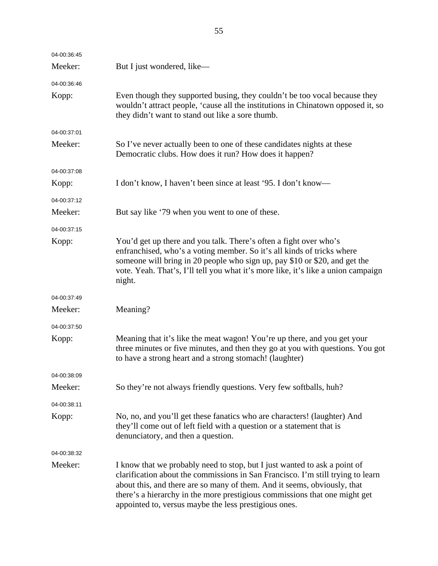| 04-00:36:45 |                                                                                                                                                                                                                                                                                                                                                                                 |
|-------------|---------------------------------------------------------------------------------------------------------------------------------------------------------------------------------------------------------------------------------------------------------------------------------------------------------------------------------------------------------------------------------|
| Meeker:     | But I just wondered, like—                                                                                                                                                                                                                                                                                                                                                      |
| 04-00:36:46 |                                                                                                                                                                                                                                                                                                                                                                                 |
| Kopp:       | Even though they supported busing, they couldn't be too vocal because they<br>wouldn't attract people, 'cause all the institutions in Chinatown opposed it, so<br>they didn't want to stand out like a sore thumb.                                                                                                                                                              |
| 04-00:37:01 |                                                                                                                                                                                                                                                                                                                                                                                 |
| Meeker:     | So I've never actually been to one of these candidates nights at these<br>Democratic clubs. How does it run? How does it happen?                                                                                                                                                                                                                                                |
| 04-00:37:08 |                                                                                                                                                                                                                                                                                                                                                                                 |
| Kopp:       | I don't know, I haven't been since at least '95. I don't know—                                                                                                                                                                                                                                                                                                                  |
| 04-00:37:12 |                                                                                                                                                                                                                                                                                                                                                                                 |
| Meeker:     | But say like '79 when you went to one of these.                                                                                                                                                                                                                                                                                                                                 |
| 04-00:37:15 |                                                                                                                                                                                                                                                                                                                                                                                 |
| Kopp:       | You'd get up there and you talk. There's often a fight over who's<br>enfranchised, who's a voting member. So it's all kinds of tricks where<br>someone will bring in 20 people who sign up, pay \$10 or \$20, and get the<br>vote. Yeah. That's, I'll tell you what it's more like, it's like a union campaign<br>night.                                                        |
| 04-00:37:49 |                                                                                                                                                                                                                                                                                                                                                                                 |
| Meeker:     | Meaning?                                                                                                                                                                                                                                                                                                                                                                        |
| 04-00:37:50 |                                                                                                                                                                                                                                                                                                                                                                                 |
| Kopp:       | Meaning that it's like the meat wagon! You're up there, and you get your<br>three minutes or five minutes, and then they go at you with questions. You got<br>to have a strong heart and a strong stomach! (laughter)                                                                                                                                                           |
| 04-00:38:09 |                                                                                                                                                                                                                                                                                                                                                                                 |
| Meeker:     | So they're not always friendly questions. Very few softballs, huh?                                                                                                                                                                                                                                                                                                              |
| 04-00:38:11 |                                                                                                                                                                                                                                                                                                                                                                                 |
| Kopp:       | No, no, and you'll get these fanatics who are characters! (laughter) And<br>they'll come out of left field with a question or a statement that is<br>denunciatory, and then a question.                                                                                                                                                                                         |
| 04-00:38:32 |                                                                                                                                                                                                                                                                                                                                                                                 |
| Meeker:     | I know that we probably need to stop, but I just wanted to ask a point of<br>clarification about the commissions in San Francisco. I'm still trying to learn<br>about this, and there are so many of them. And it seems, obviously, that<br>there's a hierarchy in the more prestigious commissions that one might get<br>appointed to, versus maybe the less prestigious ones. |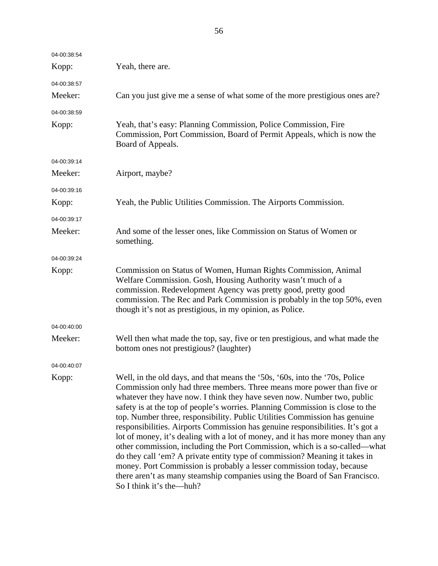| 04-00:38:54 |                                                                                                                                                                                                                                                                                                                                                                                                                                                                                                                                                                                                                                                                                                                                                                                                                                                                                                                    |
|-------------|--------------------------------------------------------------------------------------------------------------------------------------------------------------------------------------------------------------------------------------------------------------------------------------------------------------------------------------------------------------------------------------------------------------------------------------------------------------------------------------------------------------------------------------------------------------------------------------------------------------------------------------------------------------------------------------------------------------------------------------------------------------------------------------------------------------------------------------------------------------------------------------------------------------------|
| Kopp:       | Yeah, there are.                                                                                                                                                                                                                                                                                                                                                                                                                                                                                                                                                                                                                                                                                                                                                                                                                                                                                                   |
| 04-00:38:57 |                                                                                                                                                                                                                                                                                                                                                                                                                                                                                                                                                                                                                                                                                                                                                                                                                                                                                                                    |
| Meeker:     | Can you just give me a sense of what some of the more prestigious ones are?                                                                                                                                                                                                                                                                                                                                                                                                                                                                                                                                                                                                                                                                                                                                                                                                                                        |
| 04-00:38:59 |                                                                                                                                                                                                                                                                                                                                                                                                                                                                                                                                                                                                                                                                                                                                                                                                                                                                                                                    |
| Kopp:       | Yeah, that's easy: Planning Commission, Police Commission, Fire<br>Commission, Port Commission, Board of Permit Appeals, which is now the<br>Board of Appeals.                                                                                                                                                                                                                                                                                                                                                                                                                                                                                                                                                                                                                                                                                                                                                     |
| 04-00:39:14 |                                                                                                                                                                                                                                                                                                                                                                                                                                                                                                                                                                                                                                                                                                                                                                                                                                                                                                                    |
| Meeker:     | Airport, maybe?                                                                                                                                                                                                                                                                                                                                                                                                                                                                                                                                                                                                                                                                                                                                                                                                                                                                                                    |
| 04-00:39:16 |                                                                                                                                                                                                                                                                                                                                                                                                                                                                                                                                                                                                                                                                                                                                                                                                                                                                                                                    |
| Kopp:       | Yeah, the Public Utilities Commission. The Airports Commission.                                                                                                                                                                                                                                                                                                                                                                                                                                                                                                                                                                                                                                                                                                                                                                                                                                                    |
| 04-00:39:17 |                                                                                                                                                                                                                                                                                                                                                                                                                                                                                                                                                                                                                                                                                                                                                                                                                                                                                                                    |
| Meeker:     | And some of the lesser ones, like Commission on Status of Women or<br>something.                                                                                                                                                                                                                                                                                                                                                                                                                                                                                                                                                                                                                                                                                                                                                                                                                                   |
| 04-00:39:24 |                                                                                                                                                                                                                                                                                                                                                                                                                                                                                                                                                                                                                                                                                                                                                                                                                                                                                                                    |
| Kopp:       | Commission on Status of Women, Human Rights Commission, Animal<br>Welfare Commission. Gosh, Housing Authority wasn't much of a<br>commission. Redevelopment Agency was pretty good, pretty good<br>commission. The Rec and Park Commission is probably in the top 50%, even<br>though it's not as prestigious, in my opinion, as Police.                                                                                                                                                                                                                                                                                                                                                                                                                                                                                                                                                                           |
| 04-00:40:00 |                                                                                                                                                                                                                                                                                                                                                                                                                                                                                                                                                                                                                                                                                                                                                                                                                                                                                                                    |
| Meeker:     | Well then what made the top, say, five or ten prestigious, and what made the<br>bottom ones not prestigious? (laughter)                                                                                                                                                                                                                                                                                                                                                                                                                                                                                                                                                                                                                                                                                                                                                                                            |
| 04-00:40:07 |                                                                                                                                                                                                                                                                                                                                                                                                                                                                                                                                                                                                                                                                                                                                                                                                                                                                                                                    |
| Kopp:       | Well, in the old days, and that means the '50s, '60s, into the '70s, Police<br>Commission only had three members. Three means more power than five or<br>whatever they have now. I think they have seven now. Number two, public<br>safety is at the top of people's worries. Planning Commission is close to the<br>top. Number three, responsibility. Public Utilities Commission has genuine<br>responsibilities. Airports Commission has genuine responsibilities. It's got a<br>lot of money, it's dealing with a lot of money, and it has more money than any<br>other commission, including the Port Commission, which is a so-called-what<br>do they call 'em? A private entity type of commission? Meaning it takes in<br>money. Port Commission is probably a lesser commission today, because<br>there aren't as many steamship companies using the Board of San Francisco.<br>So I think it's the—huh? |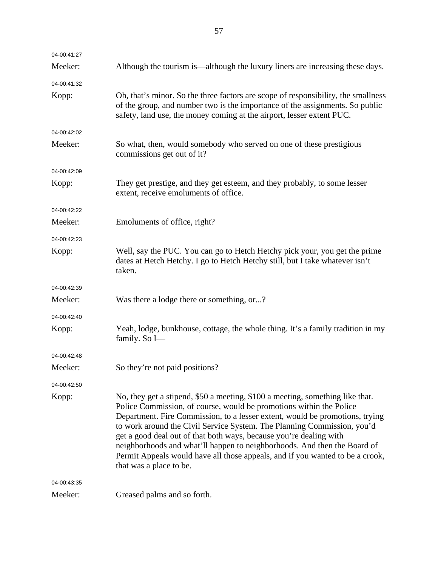| 04-00:41:27 |                                                                                                                                                                                                                                                                                                                                                                                                                                                                                                                                                                               |
|-------------|-------------------------------------------------------------------------------------------------------------------------------------------------------------------------------------------------------------------------------------------------------------------------------------------------------------------------------------------------------------------------------------------------------------------------------------------------------------------------------------------------------------------------------------------------------------------------------|
| Meeker:     | Although the tourism is—although the luxury liners are increasing these days.                                                                                                                                                                                                                                                                                                                                                                                                                                                                                                 |
| 04-00:41:32 |                                                                                                                                                                                                                                                                                                                                                                                                                                                                                                                                                                               |
| Kopp:       | Oh, that's minor. So the three factors are scope of responsibility, the smallness<br>of the group, and number two is the importance of the assignments. So public<br>safety, land use, the money coming at the airport, lesser extent PUC.                                                                                                                                                                                                                                                                                                                                    |
| 04-00:42:02 |                                                                                                                                                                                                                                                                                                                                                                                                                                                                                                                                                                               |
| Meeker:     | So what, then, would somebody who served on one of these prestigious<br>commissions get out of it?                                                                                                                                                                                                                                                                                                                                                                                                                                                                            |
| 04-00:42:09 |                                                                                                                                                                                                                                                                                                                                                                                                                                                                                                                                                                               |
| Kopp:       | They get prestige, and they get esteem, and they probably, to some lesser<br>extent, receive emoluments of office.                                                                                                                                                                                                                                                                                                                                                                                                                                                            |
| 04-00:42:22 |                                                                                                                                                                                                                                                                                                                                                                                                                                                                                                                                                                               |
| Meeker:     | Emoluments of office, right?                                                                                                                                                                                                                                                                                                                                                                                                                                                                                                                                                  |
| 04-00:42:23 |                                                                                                                                                                                                                                                                                                                                                                                                                                                                                                                                                                               |
| Kopp:       | Well, say the PUC. You can go to Hetch Hetchy pick your, you get the prime<br>dates at Hetch Hetchy. I go to Hetch Hetchy still, but I take whatever isn't<br>taken.                                                                                                                                                                                                                                                                                                                                                                                                          |
| 04-00:42:39 |                                                                                                                                                                                                                                                                                                                                                                                                                                                                                                                                                                               |
| Meeker:     | Was there a lodge there or something, or?                                                                                                                                                                                                                                                                                                                                                                                                                                                                                                                                     |
| 04-00:42:40 |                                                                                                                                                                                                                                                                                                                                                                                                                                                                                                                                                                               |
| Kopp:       | Yeah, lodge, bunkhouse, cottage, the whole thing. It's a family tradition in my<br>family. So I-                                                                                                                                                                                                                                                                                                                                                                                                                                                                              |
| 04-00:42:48 |                                                                                                                                                                                                                                                                                                                                                                                                                                                                                                                                                                               |
| Meeker:     | So they're not paid positions?                                                                                                                                                                                                                                                                                                                                                                                                                                                                                                                                                |
| 04-00:42:50 |                                                                                                                                                                                                                                                                                                                                                                                                                                                                                                                                                                               |
| Kopp:       | No, they get a stipend, \$50 a meeting, \$100 a meeting, something like that.<br>Police Commission, of course, would be promotions within the Police<br>Department. Fire Commission, to a lesser extent, would be promotions, trying<br>to work around the Civil Service System. The Planning Commission, you'd<br>get a good deal out of that both ways, because you're dealing with<br>neighborhoods and what'll happen to neighborhoods. And then the Board of<br>Permit Appeals would have all those appeals, and if you wanted to be a crook,<br>that was a place to be. |
| 04-00:43:35 |                                                                                                                                                                                                                                                                                                                                                                                                                                                                                                                                                                               |
| Meeker:     | Greased palms and so forth.                                                                                                                                                                                                                                                                                                                                                                                                                                                                                                                                                   |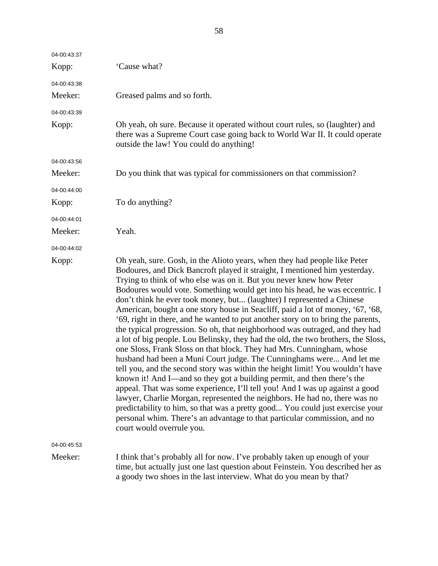| 04-00:43:37<br>Kopp:   | 'Cause what?                                                                                                                                                                                                                                                                                                                                                                                                                                                                                                                                                                                                                                                                                                                                                                                                                                                                                                                                                                                                                                                                                                                                                                                                                                                                                                                                                                                             |
|------------------------|----------------------------------------------------------------------------------------------------------------------------------------------------------------------------------------------------------------------------------------------------------------------------------------------------------------------------------------------------------------------------------------------------------------------------------------------------------------------------------------------------------------------------------------------------------------------------------------------------------------------------------------------------------------------------------------------------------------------------------------------------------------------------------------------------------------------------------------------------------------------------------------------------------------------------------------------------------------------------------------------------------------------------------------------------------------------------------------------------------------------------------------------------------------------------------------------------------------------------------------------------------------------------------------------------------------------------------------------------------------------------------------------------------|
|                        |                                                                                                                                                                                                                                                                                                                                                                                                                                                                                                                                                                                                                                                                                                                                                                                                                                                                                                                                                                                                                                                                                                                                                                                                                                                                                                                                                                                                          |
| 04-00:43:38<br>Meeker: | Greased palms and so forth.                                                                                                                                                                                                                                                                                                                                                                                                                                                                                                                                                                                                                                                                                                                                                                                                                                                                                                                                                                                                                                                                                                                                                                                                                                                                                                                                                                              |
| 04-00:43:39<br>Kopp:   | Oh yeah, oh sure. Because it operated without court rules, so (laughter) and<br>there was a Supreme Court case going back to World War II. It could operate<br>outside the law! You could do anything!                                                                                                                                                                                                                                                                                                                                                                                                                                                                                                                                                                                                                                                                                                                                                                                                                                                                                                                                                                                                                                                                                                                                                                                                   |
| 04-00:43:56            |                                                                                                                                                                                                                                                                                                                                                                                                                                                                                                                                                                                                                                                                                                                                                                                                                                                                                                                                                                                                                                                                                                                                                                                                                                                                                                                                                                                                          |
| Meeker:                | Do you think that was typical for commissioners on that commission?                                                                                                                                                                                                                                                                                                                                                                                                                                                                                                                                                                                                                                                                                                                                                                                                                                                                                                                                                                                                                                                                                                                                                                                                                                                                                                                                      |
| 04-00:44:00            |                                                                                                                                                                                                                                                                                                                                                                                                                                                                                                                                                                                                                                                                                                                                                                                                                                                                                                                                                                                                                                                                                                                                                                                                                                                                                                                                                                                                          |
| Kopp:                  | To do anything?                                                                                                                                                                                                                                                                                                                                                                                                                                                                                                                                                                                                                                                                                                                                                                                                                                                                                                                                                                                                                                                                                                                                                                                                                                                                                                                                                                                          |
| 04-00:44:01            |                                                                                                                                                                                                                                                                                                                                                                                                                                                                                                                                                                                                                                                                                                                                                                                                                                                                                                                                                                                                                                                                                                                                                                                                                                                                                                                                                                                                          |
| Meeker:                | Yeah.                                                                                                                                                                                                                                                                                                                                                                                                                                                                                                                                                                                                                                                                                                                                                                                                                                                                                                                                                                                                                                                                                                                                                                                                                                                                                                                                                                                                    |
| 04-00:44:02            |                                                                                                                                                                                                                                                                                                                                                                                                                                                                                                                                                                                                                                                                                                                                                                                                                                                                                                                                                                                                                                                                                                                                                                                                                                                                                                                                                                                                          |
| Kopp:                  | Oh yeah, sure. Gosh, in the Alioto years, when they had people like Peter<br>Bodoures, and Dick Bancroft played it straight, I mentioned him yesterday.<br>Trying to think of who else was on it. But you never knew how Peter<br>Bodoures would vote. Something would get into his head, he was eccentric. I<br>don't think he ever took money, but (laughter) I represented a Chinese<br>American, bought a one story house in Seacliff, paid a lot of money, '67, '68,<br>'69, right in there, and he wanted to put another story on to bring the parents,<br>the typical progression. So oh, that neighborhood was outraged, and they had<br>a lot of big people. Lou Belinsky, they had the old, the two brothers, the Sloss,<br>one Sloss, Frank Sloss on that block. They had Mrs. Cunningham, whose<br>husband had been a Muni Court judge. The Cunninghams were And let me<br>tell you, and the second story was within the height limit! You wouldn't have<br>known it! And I—and so they got a building permit, and then there's the<br>appeal. That was some experience, I'll tell you! And I was up against a good<br>lawyer, Charlie Morgan, represented the neighbors. He had no, there was no<br>predictability to him, so that was a pretty good You could just exercise your<br>personal whim. There's an advantage to that particular commission, and no<br>court would overrule you. |
| 04-00:45:53            |                                                                                                                                                                                                                                                                                                                                                                                                                                                                                                                                                                                                                                                                                                                                                                                                                                                                                                                                                                                                                                                                                                                                                                                                                                                                                                                                                                                                          |
| Meeker:                | I think that's probably all for now. I've probably taken up enough of your<br>time, but actually just one last question about Feinstein. You described her as<br>a goody two shoes in the last interview. What do you mean by that?                                                                                                                                                                                                                                                                                                                                                                                                                                                                                                                                                                                                                                                                                                                                                                                                                                                                                                                                                                                                                                                                                                                                                                      |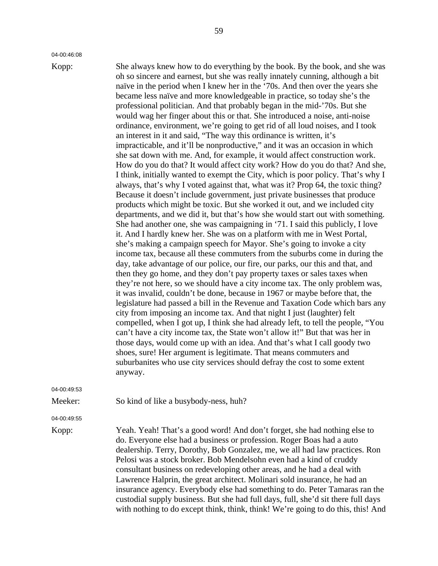04-00:46:08

Kopp: She always knew how to do everything by the book. By the book, and she was oh so sincere and earnest, but she was really innately cunning, although a bit naïve in the period when I knew her in the '70s. And then over the years she became less naïve and more knowledgeable in practice, so today she's the professional politician. And that probably began in the mid-'70s. But she would wag her finger about this or that. She introduced a noise, anti-noise ordinance, environment, we're going to get rid of all loud noises, and I took an interest in it and said, "The way this ordinance is written, it's impracticable, and it'll be nonproductive," and it was an occasion in which she sat down with me. And, for example, it would affect construction work. How do you do that? It would affect city work? How do you do that? And she, I think, initially wanted to exempt the City, which is poor policy. That's why I always, that's why I voted against that, what was it? Prop 64, the toxic thing? Because it doesn't include government, just private businesses that produce products which might be toxic. But she worked it out, and we included city departments, and we did it, but that's how she would start out with something. She had another one, she was campaigning in '71. I said this publicly, I love it. And I hardly knew her. She was on a platform with me in West Portal, she's making a campaign speech for Mayor. She's going to invoke a city income tax, because all these commuters from the suburbs come in during the day, take advantage of our police, our fire, our parks, our this and that, and then they go home, and they don't pay property taxes or sales taxes when they're not here, so we should have a city income tax. The only problem was, it was invalid, couldn't be done, because in 1967 or maybe before that, the legislature had passed a bill in the Revenue and Taxation Code which bars any city from imposing an income tax. And that night I just (laughter) felt compelled, when I got up, I think she had already left, to tell the people, "You can't have a city income tax, the State won't allow it!" But that was her in those days, would come up with an idea. And that's what I call goody two shoes, sure! Her argument is legitimate. That means commuters and suburbanites who use city services should defray the cost to some extent anyway.

04-00:49:53

Meeker: So kind of like a busybody-ness, huh?

04-00:49:55

Kopp: Yeah. Yeah! That's a good word! And don't forget, she had nothing else to do. Everyone else had a business or profession. Roger Boas had a auto dealership. Terry, Dorothy, Bob Gonzalez, me, we all had law practices. Ron Pelosi was a stock broker. Bob Mendelsohn even had a kind of cruddy consultant business on redeveloping other areas, and he had a deal with Lawrence Halprin, the great architect. Molinari sold insurance, he had an insurance agency. Everybody else had something to do. Peter Tamaras ran the custodial supply business. But she had full days, full, she'd sit there full days with nothing to do except think, think, think! We're going to do this, this! And